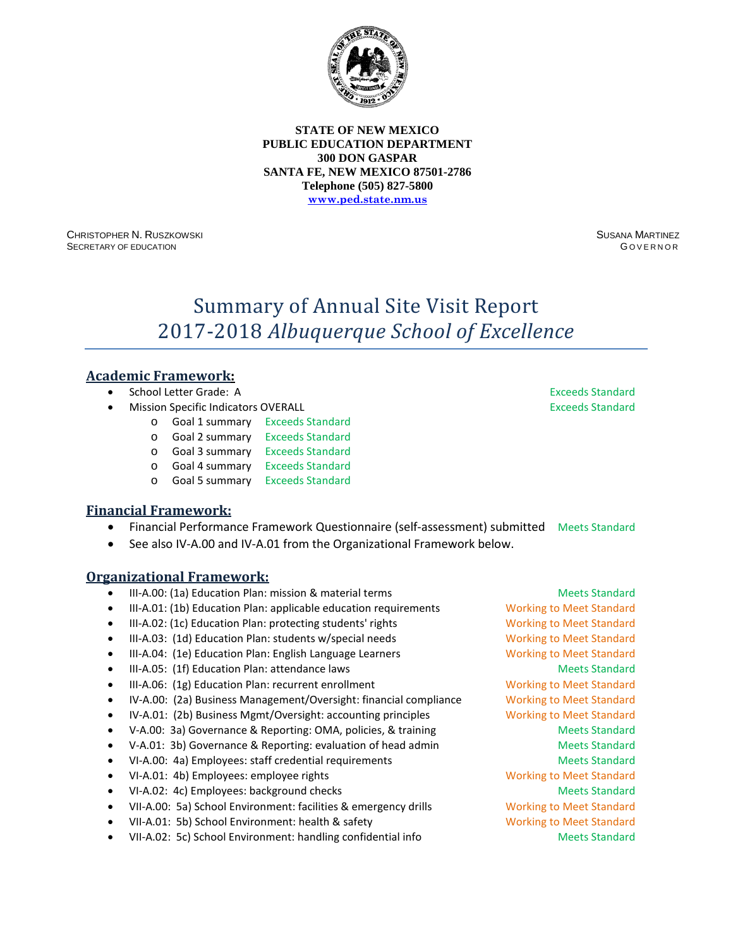

CHRISTOPHER N. RUSZKOWSKI SECRETARY OF EDUCATION

SUSANA MARTINEZ G OVERNOR

# Summary of Annual Site Visit Report 2017-2018 *Albuquerque School of Excellence*

# **Academic Framework:**

- School Letter Grade: A Exceeds Standard
- **Mission Specific Indicators OVERALL Exceeds Standard Exceeds Standard** 
	- o Goal 1 summary Exceeds Standard
		- o Goal 2 summary Exceeds Standard
		- o Goal 3 summary Exceeds Standard
		- o Goal 4 summary Exceeds Standard
		- o Goal 5 summary Exceeds Standard

### **Financial Framework:**

- Financial Performance Framework Questionnaire (self-assessment) submitted Meets Standard
- See also IV-A.00 and IV-A.01 from the Organizational Framework below.

- III-A.00: (1a) Education Plan: mission & material terms Meets Standard Meets Standard
- III-A.01: (1b) Education Plan: applicable education requirements Working to Meet Standard
- III-A.02: (1c) Education Plan: protecting students' rights Working to Meet Standard
- III-A.03: (1d) Education Plan: students w/special needs Working to Meet Standard
- III-A.04: (1e) Education Plan: English Language Learners Working to Meet Standard
- III-A.05: (1f) Education Plan: attendance laws Meets Standard Meets Standard
- III-A.06: (1g) Education Plan: recurrent enrollment Working to Meet Standard
- IV-A.00: (2a) Business Management/Oversight: financial compliance Working to Meet Standard
- IV-A.01: (2b) Business Mgmt/Oversight: accounting principles Working to Meet Standard
- V-A.00: 3a) Governance & Reporting: OMA, policies, & training Meets Standard
- V-A.01: 3b) Governance & Reporting: evaluation of head admin Meets Standard
- VI-A.00: 4a) Employees: staff credential requirements Meets Standard
- VI-A.01: 4b) Employees: employee rights Working to Meet Standard
- VI-A.02: 4c) Employees: background checks Meets Standard Meets Standard
- VII-A.00: 5a) School Environment: facilities & emergency drills Working to Meet Standard
- VII-A.01: 5b) School Environment: health & safety Working to Meet Standard
- VII-A.02: 5c) School Environment: handling confidential info Meets Standard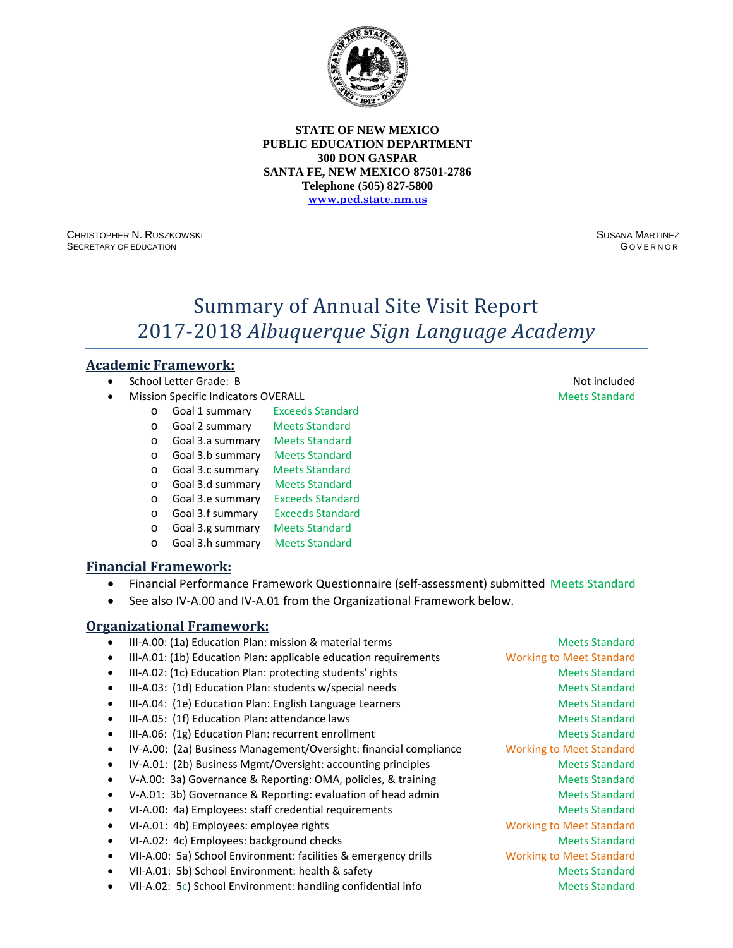

CHRISTOPHER N. RUSZKOWSKI SECRETARY OF EDUCATION

SUSANA MARTINEZ G OVERNOR

# Summary of Annual Site Visit Report 2017-2018 *Albuquerque Sign Language Academy*

# **Academic Framework:**

- School Letter Grade: B Not included
- **Mission Specific Indicators OVERALL Meets Standard Meets Standard Meets Standard** 
	- o Goal 1 summary Exceeds Standard
	- o Goal 2 summary Meets Standard
	- o Goal 3.a summary Meets Standard
	- $\circ$  Goal 3.b summary
	- o Goal 3.c summary Meets Standard
	- o **Goal 3.d summary** Meets Standard<br> **b Goal 3.e summary** Exceeds Standard
	- o Goal 3.e summary Exceeds Standard<br>
	o Goal 3.f summary Exceeds Standard
	- o Goal 3.f summary
	- o Goal 3.g summary Meets Standard
	- o Goal 3.h summary Meets Standard

### **Financial Framework:**

- Financial Performance Framework Questionnaire (self-assessment) submitted Meets Standard
- See also IV-A.00 and IV-A.01 from the Organizational Framework below.

- III-A.00: (1a) Education Plan: mission & material terms Meets Standard Meets Standard • III-A.01: (1b) Education Plan: applicable education requirements Working to Meet Standard III-A.02: (1c) Education Plan: protecting students' rights Meets Standard Meets Standard III-A.03: (1d) Education Plan: students w/special needs Meets Standard
- III-A.04: (1e) Education Plan: English Language Learners Meets Standard
- III-A.05: (1f) Education Plan: attendance laws Meets Standard Meets Standard
- III-A.06: (1g) Education Plan: recurrent enrollment and a standard Meets Standard
- IV-A.00: (2a) Business Management/Oversight: financial compliance Working to Meet Standard
- IV-A.01: (2b) Business Mgmt/Oversight: accounting principles Meets Standard
- V-A.00: 3a) Governance & Reporting: OMA, policies, & training Meets Standard
- V-A.01: 3b) Governance & Reporting: evaluation of head admin Meets Standard
- VI-A.00: 4a) Employees: staff credential requirements **Meets Standard** Meets Standard
- VI-A.01: 4b) Employees: employee rights Working to Meet Standard
- VI-A.02: 4c) Employees: background checks Meets Standard Meets Standard
- VII-A.00: 5a) School Environment: facilities & emergency drills Working to Meet Standard
- VII-A.01: 5b) School Environment: health & safety Meets Standard Meets Standard
- VII-A.02: 5c) School Environment: handling confidential info Meets Standard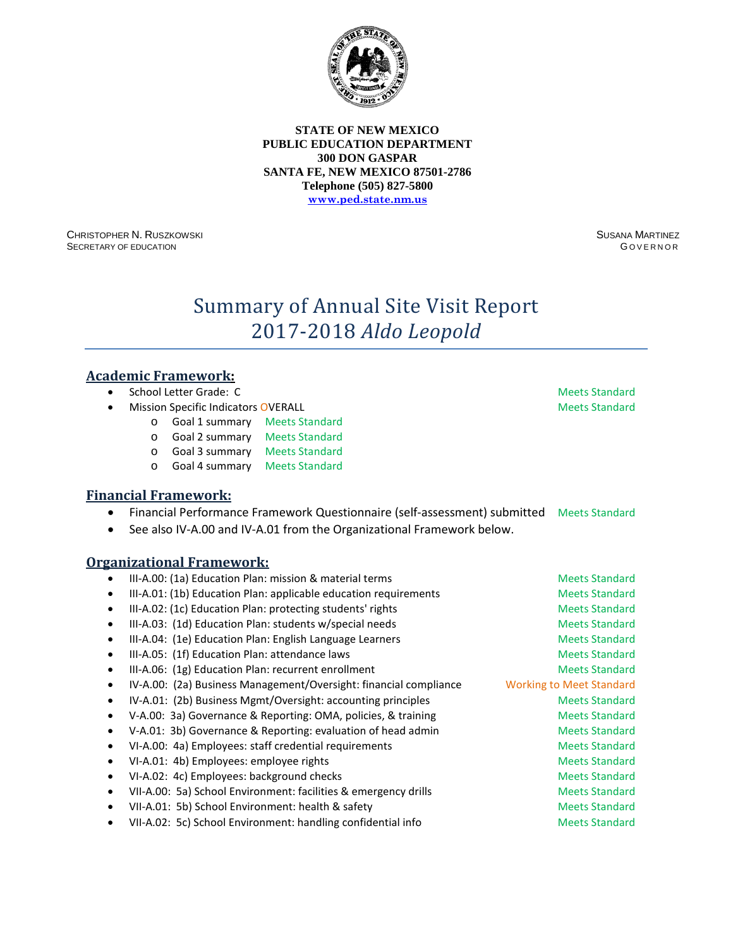

CHRISTOPHER N. RUSZKOWSKI SECRETARY OF EDUCATION

SUSANA MARTINEZ **GOVERNOR** 

# Summary of Annual Site Visit Report 2017-2018 *Aldo Leopold*

### **Academic Framework:**

- **School Letter Grade: C** Meets Standard
- **Mission Specific Indicators OVERALL Meets Standard Meets Standard Meets Standard** 
	- o Goal 1 summary Meets Standard
		- o Goal 2 summary Meets Standard
		- o Goal 3 summary Meets Standard
	- o Goal 4 summary Meets Standard

### **Financial Framework:**

- Financial Performance Framework Questionnaire (self-assessment) submitted Meets Standard
- See also IV-A.00 and IV-A.01 from the Organizational Framework below.

| $\bullet$ | III-A.00: (1a) Education Plan: mission & material terms           | <b>Meets Standard</b>           |
|-----------|-------------------------------------------------------------------|---------------------------------|
| ٠         | III-A.01: (1b) Education Plan: applicable education requirements  | <b>Meets Standard</b>           |
| ٠         | III-A.02: (1c) Education Plan: protecting students' rights        | <b>Meets Standard</b>           |
| ٠         | III-A.03: (1d) Education Plan: students w/special needs           | <b>Meets Standard</b>           |
| ٠         | III-A.04: (1e) Education Plan: English Language Learners          | <b>Meets Standard</b>           |
| ٠         | III-A.05: (1f) Education Plan: attendance laws                    | <b>Meets Standard</b>           |
| $\bullet$ | III-A.06: (1g) Education Plan: recurrent enrollment               | <b>Meets Standard</b>           |
| ٠         | IV-A.00: (2a) Business Management/Oversight: financial compliance | <b>Working to Meet Standard</b> |
| ٠         | IV-A.01: (2b) Business Mgmt/Oversight: accounting principles      | <b>Meets Standard</b>           |
| ٠         | V-A.00: 3a) Governance & Reporting: OMA, policies, & training     | <b>Meets Standard</b>           |
| ٠         | V-A.01: 3b) Governance & Reporting: evaluation of head admin      | <b>Meets Standard</b>           |
| $\bullet$ | VI-A.00: 4a) Employees: staff credential requirements             | <b>Meets Standard</b>           |
| ٠         | VI-A.01: 4b) Employees: employee rights                           | <b>Meets Standard</b>           |
|           | VI-A.02: 4c) Employees: background checks                         | <b>Meets Standard</b>           |
| ٠         | VII-A.00: 5a) School Environment: facilities & emergency drills   | <b>Meets Standard</b>           |
| ٠         | VII-A.01: 5b) School Environment: health & safety                 | <b>Meets Standard</b>           |
| ٠         | VII-A.02: 5c) School Environment: handling confidential info      | <b>Meets Standard</b>           |
|           |                                                                   |                                 |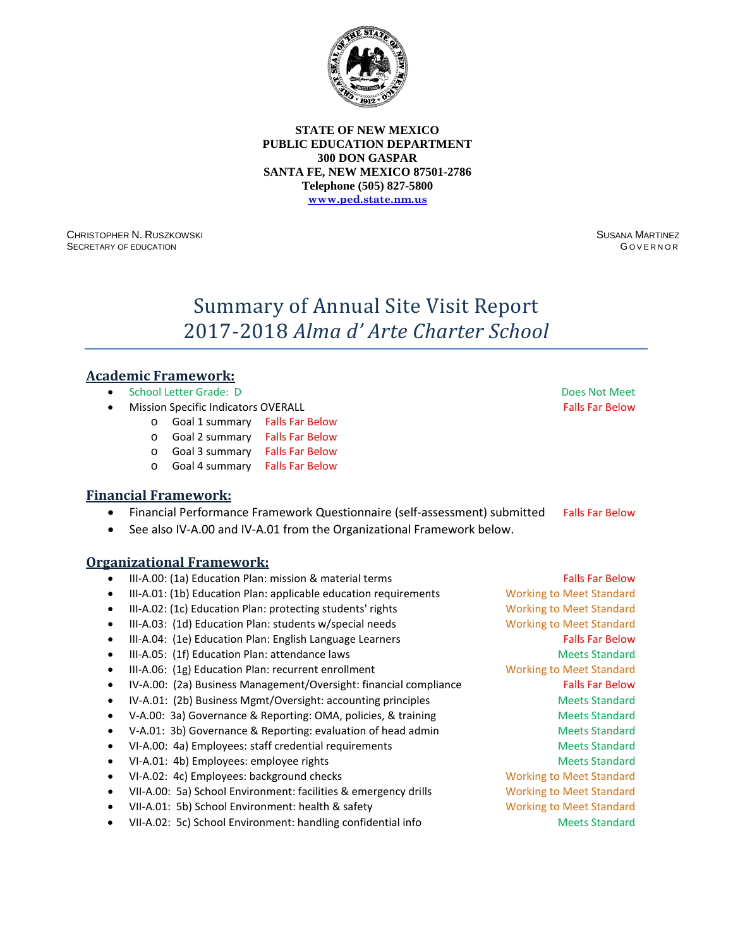

CHRISTOPHER N. RUSZKOWSKI SECRETARY OF EDUCATION

SUSANA MARTINEZ **GOVERNOR** 

# Summary of Annual Site Visit Report 2017-2018 *Alma d' Arte Charter School*

### **Academic Framework:**

- School Letter Grade: D Does Not Meet
- **Mission Specific Indicators OVERALL Falls Far Below Falls Far Below Falls Far Below** 
	- o Goal 1 summary Falls Far Below
		- o Goal 2 summary Falls Far Below
	- o Goal 3 summary Falls Far Below
	- o Goal 4 summary Falls Far Below

#### **Financial Framework:**

- Financial Performance Framework Questionnaire (self-assessment) submitted Falls Far Below
- See also IV-A.00 and IV-A.01 from the Organizational Framework below.

|           | III-A.00: (1a) Education Plan: mission & material terms           | <b>Falls Far Below</b>          |
|-----------|-------------------------------------------------------------------|---------------------------------|
| ٠         | III-A.01: (1b) Education Plan: applicable education requirements  | <b>Working to Meet Standard</b> |
| ٠         | III-A.02: (1c) Education Plan: protecting students' rights        | <b>Working to Meet Standard</b> |
| ٠         | III-A.03: (1d) Education Plan: students w/special needs           | <b>Working to Meet Standard</b> |
|           | III-A.04: (1e) Education Plan: English Language Learners          | <b>Falls Far Below</b>          |
| ٠         | III-A.05: (1f) Education Plan: attendance laws                    | <b>Meets Standard</b>           |
| ٠         | III-A.06: (1g) Education Plan: recurrent enrollment               | <b>Working to Meet Standard</b> |
| $\bullet$ | IV-A.00: (2a) Business Management/Oversight: financial compliance | <b>Falls Far Below</b>          |
| ٠         | IV-A.01: (2b) Business Mgmt/Oversight: accounting principles      | <b>Meets Standard</b>           |
| ٠         | V-A.00: 3a) Governance & Reporting: OMA, policies, & training     | <b>Meets Standard</b>           |
|           | V-A.01: 3b) Governance & Reporting: evaluation of head admin      | <b>Meets Standard</b>           |
|           | VI-A.00: 4a) Employees: staff credential requirements             | <b>Meets Standard</b>           |
| ٠         | VI-A.01: 4b) Employees: employee rights                           | <b>Meets Standard</b>           |
| ٠         | VI-A.02: 4c) Employees: background checks                         | <b>Working to Meet Standard</b> |
| ٠         | VII-A.00: 5a) School Environment: facilities & emergency drills   | <b>Working to Meet Standard</b> |
| ٠         | VII-A.01: 5b) School Environment: health & safety                 | <b>Working to Meet Standard</b> |
|           | VII-A.02: 5c) School Environment: handling confidential info      | <b>Meets Standard</b>           |
|           |                                                                   |                                 |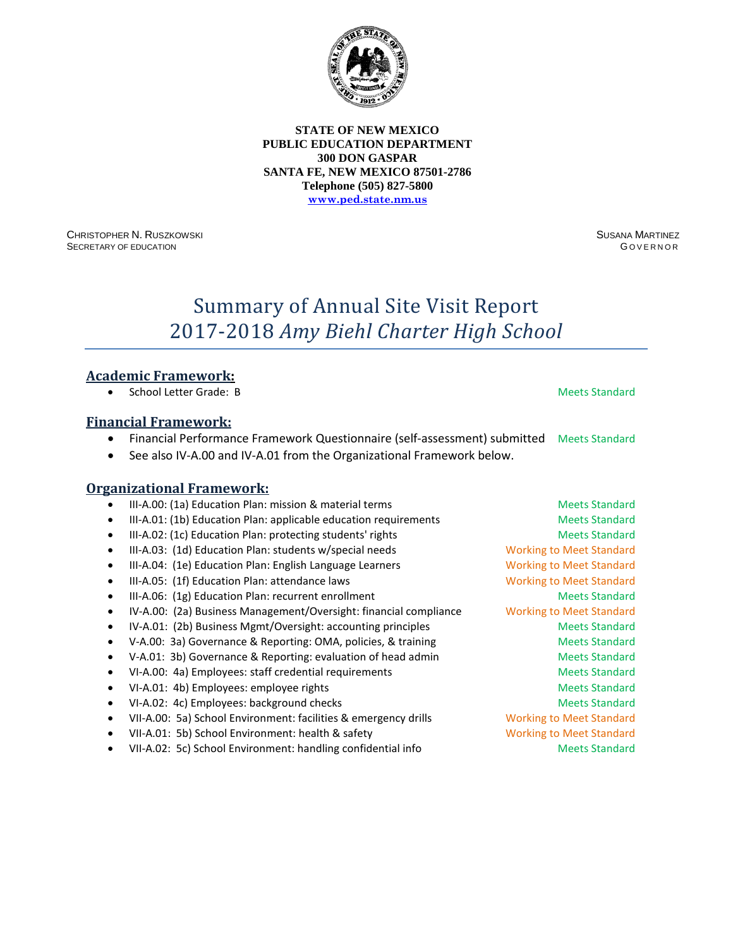

CHRISTOPHER N. RUSZKOWSKI SECRETARY OF EDUCATION

SUSANA MARTINEZ **GOVERNOR** 

# Summary of Annual Site Visit Report 2017-2018 *Amy Biehl Charter High School*

### **Academic Framework:**

• School Letter Grade: B Meets Standard

### **Financial Framework:**

- Financial Performance Framework Questionnaire (self-assessment) submitted Meets Standard
- See also IV-A.00 and IV-A.01 from the Organizational Framework below.

|           | III-A.00: (1a) Education Plan: mission & material terms           | <b>Meets Standard</b>           |
|-----------|-------------------------------------------------------------------|---------------------------------|
| ٠         | III-A.01: (1b) Education Plan: applicable education requirements  | <b>Meets Standard</b>           |
| ٠         | III-A.02: (1c) Education Plan: protecting students' rights        | <b>Meets Standard</b>           |
|           | III-A.03: (1d) Education Plan: students w/special needs           | <b>Working to Meet Standard</b> |
|           | III-A.04: (1e) Education Plan: English Language Learners          | <b>Working to Meet Standard</b> |
| ٠         | III-A.05: (1f) Education Plan: attendance laws                    | <b>Working to Meet Standard</b> |
| $\bullet$ | III-A.06: (1g) Education Plan: recurrent enrollment               | <b>Meets Standard</b>           |
| $\bullet$ | IV-A.00: (2a) Business Management/Oversight: financial compliance | <b>Working to Meet Standard</b> |
| ٠         | IV-A.01: (2b) Business Mgmt/Oversight: accounting principles      | <b>Meets Standard</b>           |
|           | V-A.00: 3a) Governance & Reporting: OMA, policies, & training     | <b>Meets Standard</b>           |
|           | V-A.01: 3b) Governance & Reporting: evaluation of head admin      | <b>Meets Standard</b>           |
| ٠         | VI-A.00: 4a) Employees: staff credential requirements             | <b>Meets Standard</b>           |
|           | VI-A.01: 4b) Employees: employee rights                           | <b>Meets Standard</b>           |
| ٠         | VI-A.02: 4c) Employees: background checks                         | <b>Meets Standard</b>           |
| ٠         | VII-A.00: 5a) School Environment: facilities & emergency drills   | <b>Working to Meet Standard</b> |
|           | VII-A.01: 5b) School Environment: health & safety                 | <b>Working to Meet Standard</b> |
|           | VII-A.02: 5c) School Environment: handling confidential info      | <b>Meets Standard</b>           |
|           |                                                                   |                                 |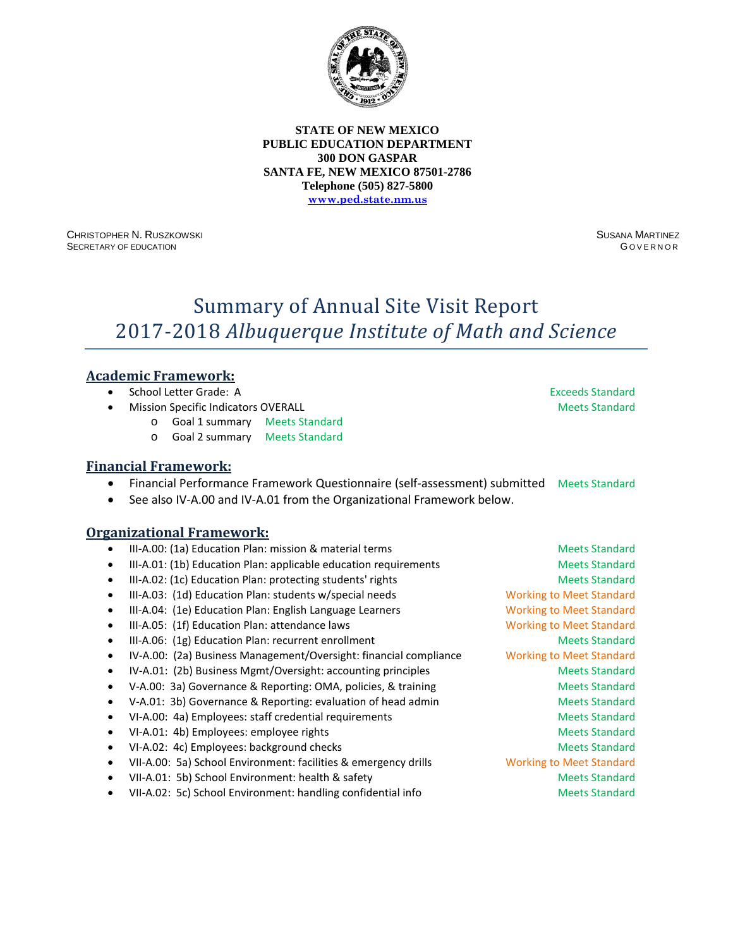

CHRISTOPHER N. RUSZKOWSKI SECRETARY OF EDUCATION

SUSANA MARTINEZ G OVERNOR

# Summary of Annual Site Visit Report 2017-2018 *Albuquerque Institute of Math and Science*

# **Academic Framework:**

- School Letter Grade: A Exceeds Standard
- **Mission Specific Indicators OVERALL Meets Standard Meets Standard Meets Standard** 
	- o Goal 1 summary Meets Standard
	- o Goal 2 summary Meets Standard

### **Financial Framework:**

- Financial Performance Framework Questionnaire (self-assessment) submitted Meets Standard
- See also IV-A.00 and IV-A.01 from the Organizational Framework below.

- III-A.00: (1a) Education Plan: mission & material terms Meets Standard Meets Standard
- III-A.01: (1b) Education Plan: applicable education requirements Meets Standard
- III-A.02: (1c) Education Plan: protecting students' rights Meets Standard Meets Standard
- III-A.03: (1d) Education Plan: students w/special needs Working to Meet Standard
- III-A.04: (1e) Education Plan: English Language Learners Working to Meet Standard
- III-A.05: (1f) Education Plan: attendance laws Working to Meet Standard
- III-A.06: (1g) Education Plan: recurrent enrollment and a standard Meets Standard
- IV-A.00: (2a) Business Management/Oversight: financial compliance Working to Meet Standard
- IV-A.01: (2b) Business Mgmt/Oversight: accounting principles Meets Standard
- V-A.00: 3a) Governance & Reporting: OMA, policies, & training Meets Standard
- V-A.01: 3b) Governance & Reporting: evaluation of head admin Meets Standard
- VI-A.00: 4a) Employees: staff credential requirements Meets Standard
- VI-A.01: 4b) Employees: employee rights Meets Standard Meets Standard
- VI-A.02: 4c) Employees: background checks Meets Standard Meets Standard
- VII-A.00: 5a) School Environment: facilities & emergency drills Working to Meet Standard
- VII-A.01: 5b) School Environment: health & safety Meets Standard Meets Standard
- VII-A.02: 5c) School Environment: handling confidential info Meets Standard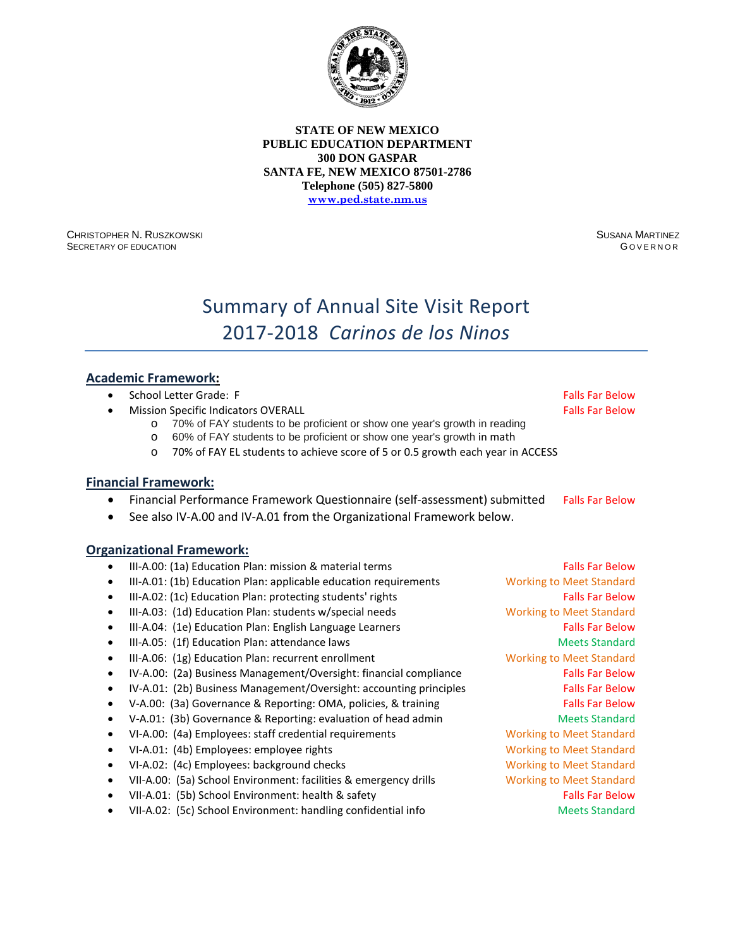

CHRISTOPHER N. RUSZKOWSKI SECRETARY OF EDUCATION

SUSANA MARTINEZ G OVERNOR

# Summary of Annual Site Visit Report 2017-2018 *Carinos de los Ninos*

### **Academic Framework:**

- School Letter Grade: F Falls Far Below Falls Far Below
- **Mission Specific Indicators OVERALL Falls Factors Falls Far Below Falls Far Below**

- o 70% of FAY students to be proficient or show one year's growth in reading o 60% of FAY students to be proficient or show one year's growth in math
- o 70% of FAY EL students to achieve score of 5 or 0.5 growth each year in ACCESS

#### **Financial Framework:**

- Financial Performance Framework Questionnaire (self-assessment) submitted Falls Far Below
- See also IV-A.00 and IV-A.01 from the Organizational Framework below.

#### **Organizational Framework:**

III-A.00: (1a) Education Plan: mission & material terms Falls Far Below • III-A.01: (1b) Education Plan: applicable education requirements Working to Meet Standard III-A.02: (1c) Education Plan: protecting students' rights Falls Far Below • III-A.03: (1d) Education Plan: students w/special needs Working to Meet Standard • III-A.04: (1e) Education Plan: English Language Learners Falls Far Below • III-A.05: (1f) Education Plan: attendance laws Meets Standard Meets Standard • III-A.06: (1g) Education Plan: recurrent enrollment Working to Meet Standard IV-A.00: (2a) Business Management/Oversight: financial compliance Falls Far Below IV-A.01: (2b) Business Management/Oversight: accounting principles Falls Far Below • V-A.00: (3a) Governance & Reporting: OMA, policies, & training Falls Far Below • V-A.01: (3b) Governance & Reporting: evaluation of head admin Meets Standard • VI-A.00: (4a) Employees: staff credential requirements Working to Meet Standard • VI-A.01: (4b) Employees: employee rights Working to Meet Standard VI-A.02: (4c) Employees: background checks Working to Meet Standard • VII-A.00: (5a) School Environment: facilities & emergency drills Working to Meet Standard • VII-A.01: (5b) School Environment: health & safety Falls Far Below Falls Far Below VII-A.02: (5c) School Environment: handling confidential info Meets Standard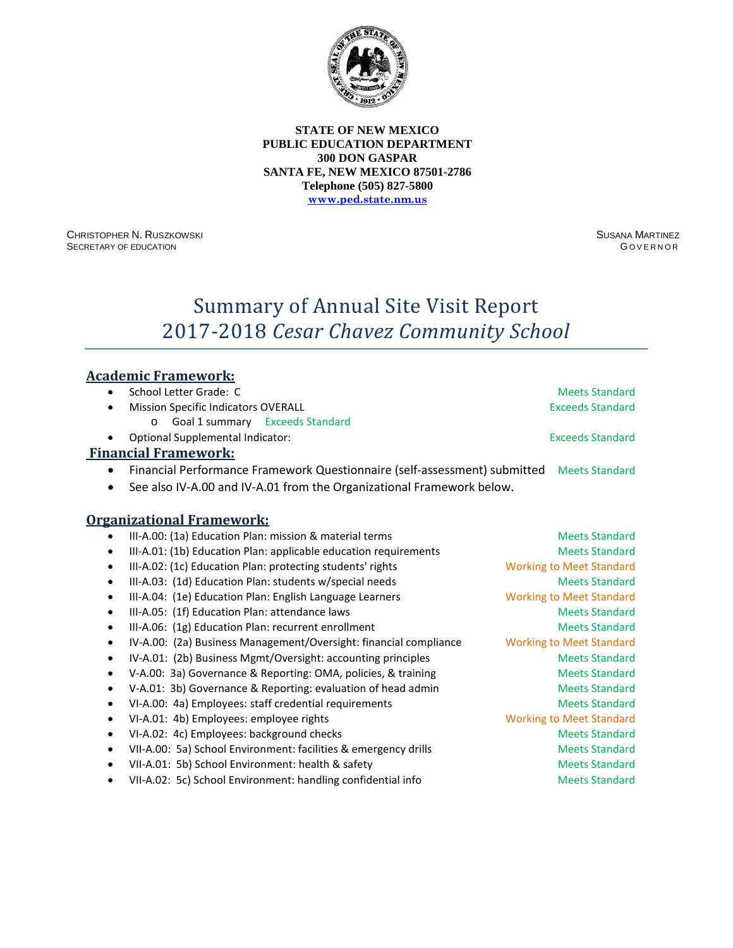

CHRISTOPHER N. RUSZKOWSKI SECRETARY OF EDUCATION

SUSANA MARTINEZ **GOVERNOR** 

**Meets Standard** 

# Summary of Annual Site Visit Report 2017-2018 *Cesar Chavez Community School*

### **Academic Framework:**

|  | School Letter Grade: C |  |
|--|------------------------|--|
|  |                        |  |

- Mission Specific Indicators OVERALL **Exceeding Standard** Exceeds Standard
	- o Goal 1 summary Exceeds Standard
- Optional Supplemental Indicator: Exceeds Standard

### **Financial Framework:**

- Financial Performance Framework Questionnaire (self-assessment) submitted Meets Standard
- See also IV-A.00 and IV-A.01 from the Organizational Framework below.

|   | III-A.00: (1a) Education Plan: mission & material terms           | <b>Meets Standard</b>           |
|---|-------------------------------------------------------------------|---------------------------------|
|   | III-A.01: (1b) Education Plan: applicable education requirements  | <b>Meets Standard</b>           |
| ٠ | III-A.02: (1c) Education Plan: protecting students' rights        | <b>Working to Meet Standard</b> |
|   | III-A.03: (1d) Education Plan: students w/special needs           | <b>Meets Standard</b>           |
|   | III-A.04: (1e) Education Plan: English Language Learners          | <b>Working to Meet Standard</b> |
|   | III-A.05: (1f) Education Plan: attendance laws                    | <b>Meets Standard</b>           |
| ٠ | III-A.06: (1g) Education Plan: recurrent enrollment               | <b>Meets Standard</b>           |
| ٠ | IV-A.00: (2a) Business Management/Oversight: financial compliance | <b>Working to Meet Standard</b> |
| ٠ | IV-A.01: (2b) Business Mgmt/Oversight: accounting principles      | <b>Meets Standard</b>           |
|   | V-A.00: 3a) Governance & Reporting: OMA, policies, & training     | <b>Meets Standard</b>           |
|   | V-A.01: 3b) Governance & Reporting: evaluation of head admin      | <b>Meets Standard</b>           |
|   | VI-A.00: 4a) Employees: staff credential requirements             | <b>Meets Standard</b>           |
|   | VI-A.01: 4b) Employees: employee rights                           | <b>Working to Meet Standard</b> |
| ٠ | VI-A.02: 4c) Employees: background checks                         | <b>Meets Standard</b>           |
| ٠ | VII-A.00: 5a) School Environment: facilities & emergency drills   | <b>Meets Standard</b>           |
|   | VII-A.01: 5b) School Environment: health & safety                 | <b>Meets Standard</b>           |
|   | VII-A.02: 5c) School Environment: handling confidential info      | <b>Meets Standard</b>           |
|   |                                                                   |                                 |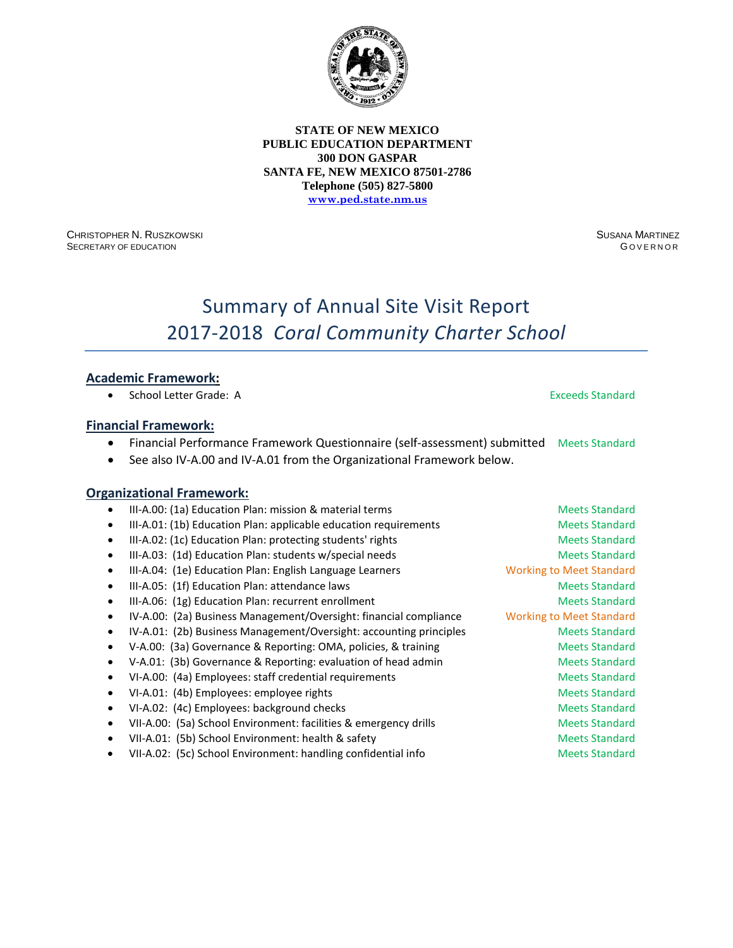

CHRISTOPHER N. RUSZKOWSKI SECRETARY OF EDUCATION

SUSANA MARTINEZ **GOVERNOR** 

# Summary of Annual Site Visit Report 2017-2018 *Coral Community Charter School*

### **Academic Framework:**

• School Letter Grade: A Exercise Standard Standard Standard

#### **Financial Framework:**

- Financial Performance Framework Questionnaire (self-assessment) submitted Meets Standard
- See also IV-A.00 and IV-A.01 from the Organizational Framework below.

|           | III-A.00: (1a) Education Plan: mission & material terms            | <b>Meets Standard</b>           |
|-----------|--------------------------------------------------------------------|---------------------------------|
| $\bullet$ | III-A.01: (1b) Education Plan: applicable education requirements   | <b>Meets Standard</b>           |
|           | III-A.02: (1c) Education Plan: protecting students' rights         | <b>Meets Standard</b>           |
|           | III-A.03: (1d) Education Plan: students w/special needs            | <b>Meets Standard</b>           |
|           | III-A.04: (1e) Education Plan: English Language Learners           | <b>Working to Meet Standard</b> |
|           | III-A.05: (1f) Education Plan: attendance laws                     | <b>Meets Standard</b>           |
|           | III-A.06: (1g) Education Plan: recurrent enrollment                | <b>Meets Standard</b>           |
| ٠         | IV-A.00: (2a) Business Management/Oversight: financial compliance  | <b>Working to Meet Standard</b> |
|           | IV-A.01: (2b) Business Management/Oversight: accounting principles | <b>Meets Standard</b>           |
|           | V-A.00: (3a) Governance & Reporting: OMA, policies, & training     | <b>Meets Standard</b>           |
|           | V-A.01: (3b) Governance & Reporting: evaluation of head admin      | <b>Meets Standard</b>           |
|           | VI-A.00: (4a) Employees: staff credential requirements             | <b>Meets Standard</b>           |
|           | VI-A.01: (4b) Employees: employee rights                           | <b>Meets Standard</b>           |
|           | VI-A.02: (4c) Employees: background checks                         | <b>Meets Standard</b>           |
|           | VII-A.00: (5a) School Environment: facilities & emergency drills   | <b>Meets Standard</b>           |
|           | VII-A.01: (5b) School Environment: health & safety                 | <b>Meets Standard</b>           |
|           | VII-A.02: (5c) School Environment: handling confidential info      | <b>Meets Standard</b>           |
|           |                                                                    |                                 |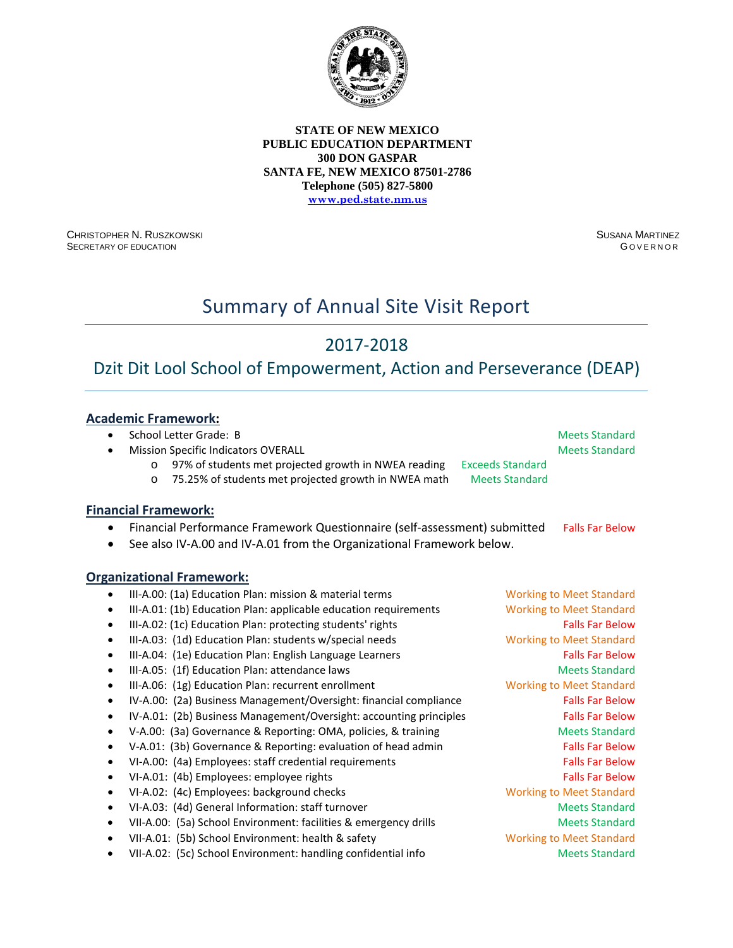

CHRISTOPHER N. RUSZKOWSKI SECRETARY OF EDUCATION

SUSANA MARTINEZ G OVERNOR

# Summary of Annual Site Visit Report

# 2017-2018

# Dzit Dit Lool School of Empowerment, Action and Perseverance (DEAP)

# **Academic Framework:**

**Financial Framework:** 

|  | School Letter Grade: B |  |
|--|------------------------|--|
|  |                        |  |

**Mission Specific Indicators OVERALL Meets Standard Meets Standard Meets Standard** 

**Meets Standard** 

o 97% of students met projected growth in NWEA reading Exceeds Standard<br>
o 75.25% of students met projected growth in NWEA math Meets Standard o 75.25% of students met projected growth in NWEA math

• Financial Performance Framework Questionnaire (self-assessment) submitted Falls Far Below

See also IV-A.00 and IV-A.01 from the Organizational Framework below.

- III-A.00: (1a) Education Plan: mission & material terms Working to Meet Standard • III-A.01: (1b) Education Plan: applicable education requirements Working to Meet Standard
- III-A.02: (1c) Education Plan: protecting students' rights Falls Far Below Falls Far Below
- III-A.03: (1d) Education Plan: students w/special needs Working to Meet Standard
- III-A.04: (1e) Education Plan: English Language Learners Falls Far Below
- III-A.05: (1f) Education Plan: attendance laws Meets Standard Meets Standard
- III-A.06: (1g) Education Plan: recurrent enrollment Working to Meet Standard
- IV-A.00: (2a) Business Management/Oversight: financial compliance Falls Far Below
- IV-A.01: (2b) Business Management/Oversight: accounting principles Falls Far Below
- V-A.00: (3a) Governance & Reporting: OMA, policies, & training Meets Standard
- V-A.01: (3b) Governance & Reporting: evaluation of head admin Falls Far Below
- VI-A.00: (4a) Employees: staff credential requirements Falls Far Below
- VI-A.01: (4b) Employees: employee rights Falls Far Below Falls Far Below
- VI-A.02: (4c) Employees: background checks Working to Meet Standard
- VI-A.03: (4d) General Information: staff turnover and a standard Meets Standard
- VII-A.00: (5a) School Environment: facilities & emergency drills Meets Standard
- VII-A.01: (5b) School Environment: health & safety Working to Meet Standard
- VII-A.02: (5c) School Environment: handling confidential info Meets Standard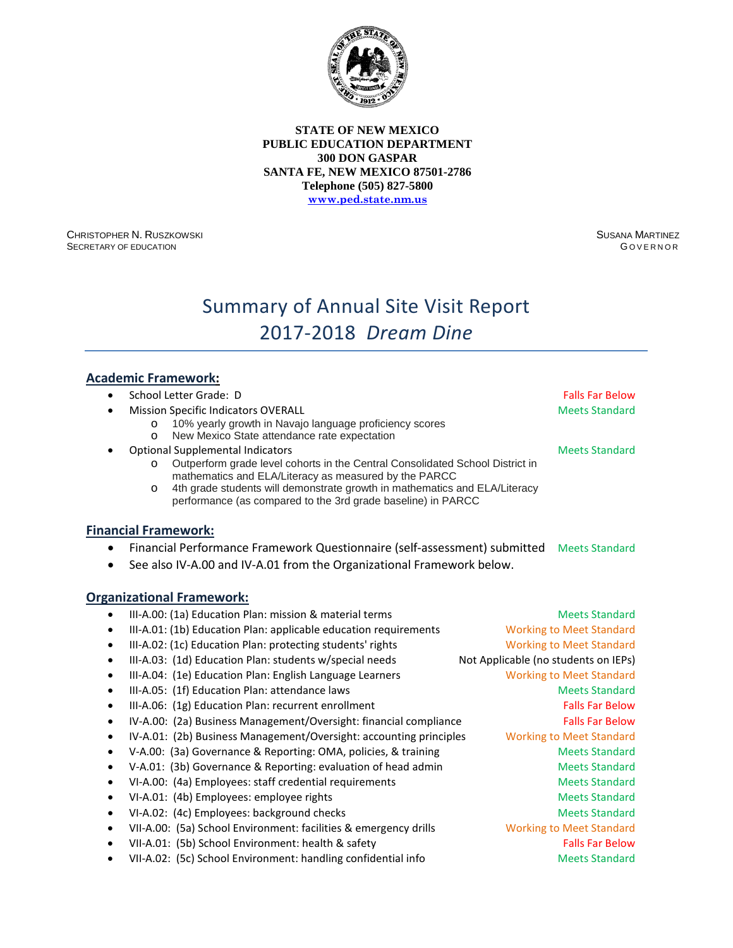

CHRISTOPHER N. RUSZKOWSKI SECRETARY OF EDUCATION

SUSANA MARTINEZ **GOVERNOR** 

# Summary of Annual Site Visit Report 2017-2018 *Dream Dine*

### **Academic Framework:**

| $\bullet$ | School Letter Grade: D                                                                                                                         | <b>Falls Far Below</b>               |
|-----------|------------------------------------------------------------------------------------------------------------------------------------------------|--------------------------------------|
|           | <b>Mission Specific Indicators OVERALL</b>                                                                                                     | <b>Meets Standard</b>                |
|           | 10% yearly growth in Navajo language proficiency scores<br>$\circ$                                                                             |                                      |
|           | New Mexico State attendance rate expectation<br>$\circ$                                                                                        |                                      |
|           | <b>Optional Supplemental Indicators</b>                                                                                                        | <b>Meets Standard</b>                |
|           | Outperform grade level cohorts in the Central Consolidated School District in<br>$\circ$                                                       |                                      |
|           | mathematics and ELA/Literacy as measured by the PARCC<br>4th grade students will demonstrate growth in mathematics and ELA/Literacy<br>$\circ$ |                                      |
|           | performance (as compared to the 3rd grade baseline) in PARCC                                                                                   |                                      |
|           |                                                                                                                                                |                                      |
|           | <b>Financial Framework:</b>                                                                                                                    |                                      |
| $\bullet$ | Financial Performance Framework Questionnaire (self-assessment) submitted                                                                      | <b>Meets Standard</b>                |
|           | See also IV-A.00 and IV-A.01 from the Organizational Framework below.                                                                          |                                      |
|           |                                                                                                                                                |                                      |
|           | <b>Organizational Framework:</b>                                                                                                               |                                      |
|           | III-A.00: (1a) Education Plan: mission & material terms                                                                                        | <b>Meets Standard</b>                |
| ٠         | III-A.01: (1b) Education Plan: applicable education requirements                                                                               | <b>Working to Meet Standard</b>      |
| $\bullet$ | III-A.02: (1c) Education Plan: protecting students' rights                                                                                     | <b>Working to Meet Standard</b>      |
| $\bullet$ | III-A.03: (1d) Education Plan: students w/special needs                                                                                        | Not Applicable (no students on IEPs) |
| $\bullet$ | III-A.04: (1e) Education Plan: English Language Learners                                                                                       | <b>Working to Meet Standard</b>      |
| $\bullet$ | III-A.05: (1f) Education Plan: attendance laws                                                                                                 | <b>Meets Standard</b>                |
| $\bullet$ | III-A.06: (1g) Education Plan: recurrent enrollment                                                                                            | <b>Falls Far Below</b>               |
| $\bullet$ | IV-A.00: (2a) Business Management/Oversight: financial compliance                                                                              | <b>Falls Far Below</b>               |
| ٠         | IV-A.01: (2b) Business Management/Oversight: accounting principles                                                                             | <b>Working to Meet Standard</b>      |
| ٠         | V-A.00: (3a) Governance & Reporting: OMA, policies, & training                                                                                 | <b>Meets Standard</b>                |
| $\bullet$ | V-A.01: (3b) Governance & Reporting: evaluation of head admin                                                                                  | <b>Meets Standard</b>                |
| ٠         | VI-A.00: (4a) Employees: staff credential requirements                                                                                         | <b>Meets Standard</b>                |
|           | VI-A.01: (4b) Employees: employee rights                                                                                                       | <b>Meets Standard</b>                |
| ٠         | VI-A.02: (4c) Employees: background checks                                                                                                     | <b>Meets Standard</b>                |

- VII-A.00: (5a) School Environment: facilities & emergency drills Working to Meet Standard
- VII-A.01: (5b) School Environment: health & safety Falls Far Below
- VII-A.02: (5c) School Environment: handling confidential info Meets Standard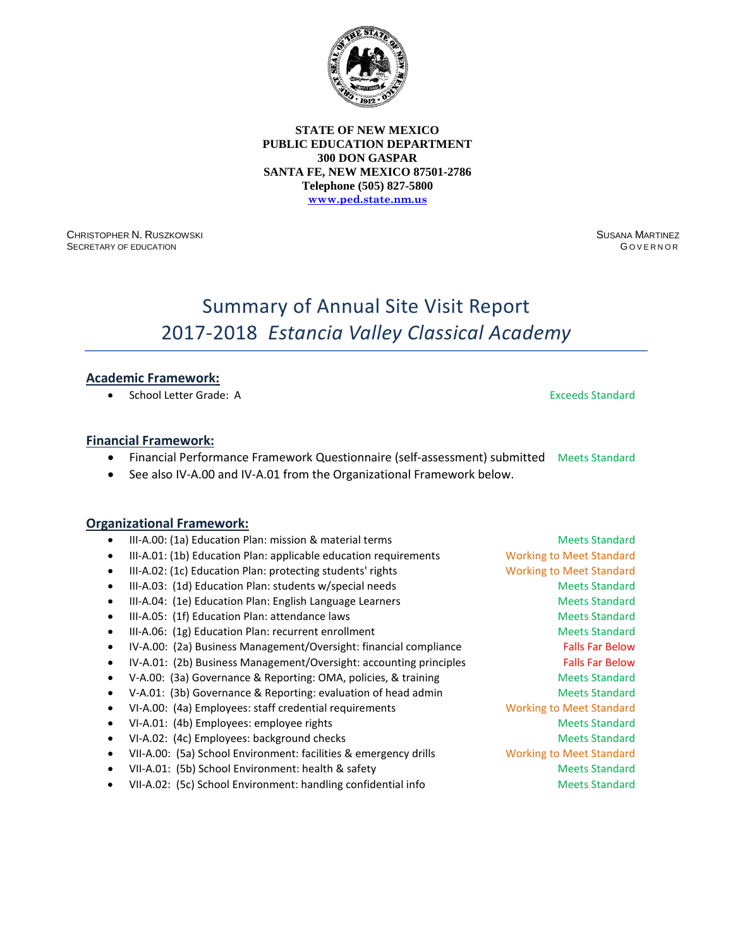

CHRISTOPHER N. RUSZKOWSKI SECRETARY OF EDUCATION

SUSANA MARTINEZ G OVERNOR

# Summary of Annual Site Visit Report 2017-2018 *Estancia Valley Classical Academy*

### **Academic Framework:**

• School Letter Grade: A Exceeds Standard

#### **Financial Framework:**

- Financial Performance Framework Questionnaire (self-assessment) submitted Meets Standard
- See also IV-A.00 and IV-A.01 from the Organizational Framework below.

- III-A.00: (1a) Education Plan: mission & material terms Meets Standard Meets Standard
- III-A.01: (1b) Education Plan: applicable education requirements Working to Meet Standard
- III-A.02: (1c) Education Plan: protecting students' rights Working to Meet Standard
- III-A.03: (1d) Education Plan: students w/special needs Meets Standard Meets Standard
- III-A.04: (1e) Education Plan: English Language Learners Meets Standard
- III-A.05: (1f) Education Plan: attendance laws Meets Standard Meets Standard
- III-A.06: (1g) Education Plan: recurrent enrollment Meets Standard Meets Standard
- IV-A.00: (2a) Business Management/Oversight: financial compliance Falls Far Below
- IV-A.01: (2b) Business Management/Oversight: accounting principles Falls Far Below
- V-A.00: (3a) Governance & Reporting: OMA, policies, & training Meets Standard
- V-A.01: (3b) Governance & Reporting: evaluation of head admin Meets Standard
- VI-A.00: (4a) Employees: staff credential requirements Working to Meet Standard
- VI-A.01: (4b) Employees: employee rights Meets Standard Meets Standard
- VI-A.02: (4c) Employees: background checks Meets Standard Meets Standard
- VII-A.00: (5a) School Environment: facilities & emergency drills Working to Meet Standard
- VII-A.01: (5b) School Environment: health & safety Meets Standard Meets Standard
- VII-A.02: (5c) School Environment: handling confidential info Meets Standard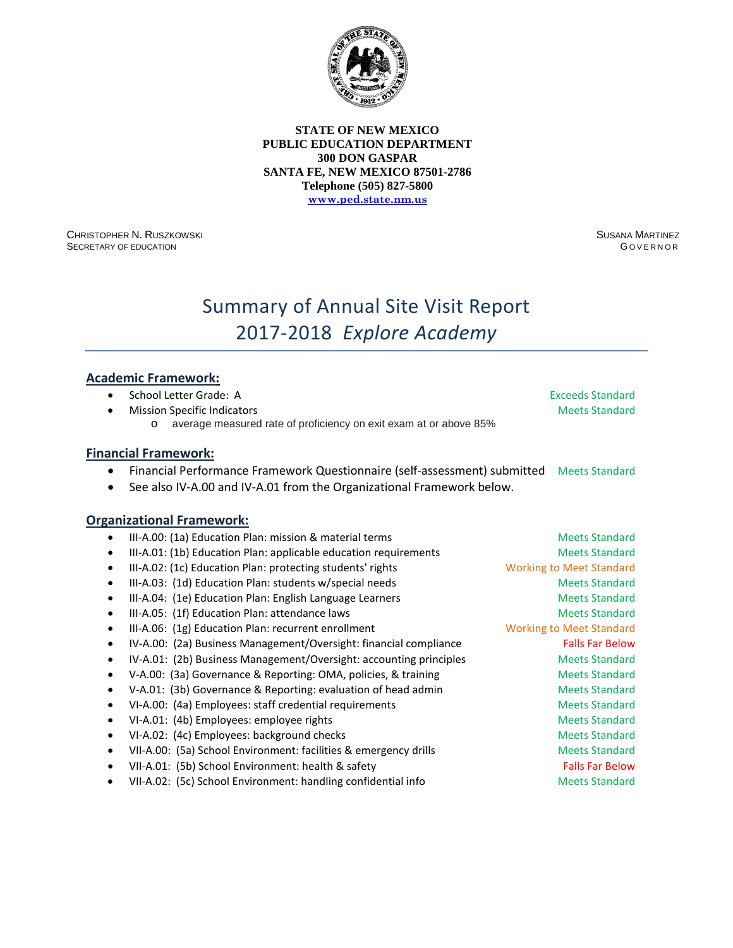

CHRISTOPHER N. RUSZKOWSKI SECRETARY OF EDUCATION

SUSANA MARTINEZ **GOVERNOR** 

# Summary of Annual Site Visit Report 2017-2018 *Explore Academy*

### **Academic Framework:**

| $\bullet$ | School Letter Grade: A                                                                   | <b>Exceeds Standard</b>         |
|-----------|------------------------------------------------------------------------------------------|---------------------------------|
|           | <b>Mission Specific Indicators</b>                                                       | <b>Meets Standard</b>           |
|           | average measured rate of proficiency on exit exam at or above 85%<br>$\circ$             |                                 |
|           | <b>Financial Framework:</b>                                                              |                                 |
|           | Financial Performance Framework Questionnaire (self-assessment) submitted Meets Standard |                                 |
|           | See also IV-A.00 and IV-A.01 from the Organizational Framework below.                    |                                 |
|           |                                                                                          |                                 |
|           | <b>Organizational Framework:</b>                                                         |                                 |
| $\bullet$ | III-A.00: (1a) Education Plan: mission & material terms                                  | <b>Meets Standard</b>           |
| $\bullet$ | III-A.01: (1b) Education Plan: applicable education requirements                         | <b>Meets Standard</b>           |
| $\bullet$ | III-A.02: (1c) Education Plan: protecting students' rights                               | <b>Working to Meet Standard</b> |
| $\bullet$ | III-A.03: (1d) Education Plan: students w/special needs                                  | <b>Meets Standard</b>           |
| $\bullet$ | III-A.04: (1e) Education Plan: English Language Learners                                 | <b>Meets Standard</b>           |
| $\bullet$ | III-A.05: (1f) Education Plan: attendance laws                                           | <b>Meets Standard</b>           |
| $\bullet$ | III-A.06: (1g) Education Plan: recurrent enrollment                                      | <b>Working to Meet Standard</b> |
| $\bullet$ | IV-A.00: (2a) Business Management/Oversight: financial compliance                        | <b>Falls Far Below</b>          |
| $\bullet$ | IV-A.01: (2b) Business Management/Oversight: accounting principles                       | <b>Meets Standard</b>           |
| $\bullet$ | V-A.00: (3a) Governance & Reporting: OMA, policies, & training                           | <b>Meets Standard</b>           |
| $\bullet$ | V-A.01: (3b) Governance & Reporting: evaluation of head admin                            | <b>Meets Standard</b>           |
| $\bullet$ | VI-A.00: (4a) Employees: staff credential requirements                                   | <b>Meets Standard</b>           |
| $\bullet$ | VI-A.01: (4b) Employees: employee rights                                                 | <b>Meets Standard</b>           |
| $\bullet$ | VI-A.02: (4c) Employees: background checks                                               | <b>Meets Standard</b>           |
| $\bullet$ | VII-A.00: (5a) School Environment: facilities & emergency drills                         | <b>Meets Standard</b>           |
| $\bullet$ | VII-A.01: (5b) School Environment: health & safety                                       | <b>Falls Far Below</b>          |
| $\bullet$ | VII-A.02: (5c) School Environment: handling confidential info                            | <b>Meets Standard</b>           |
|           |                                                                                          |                                 |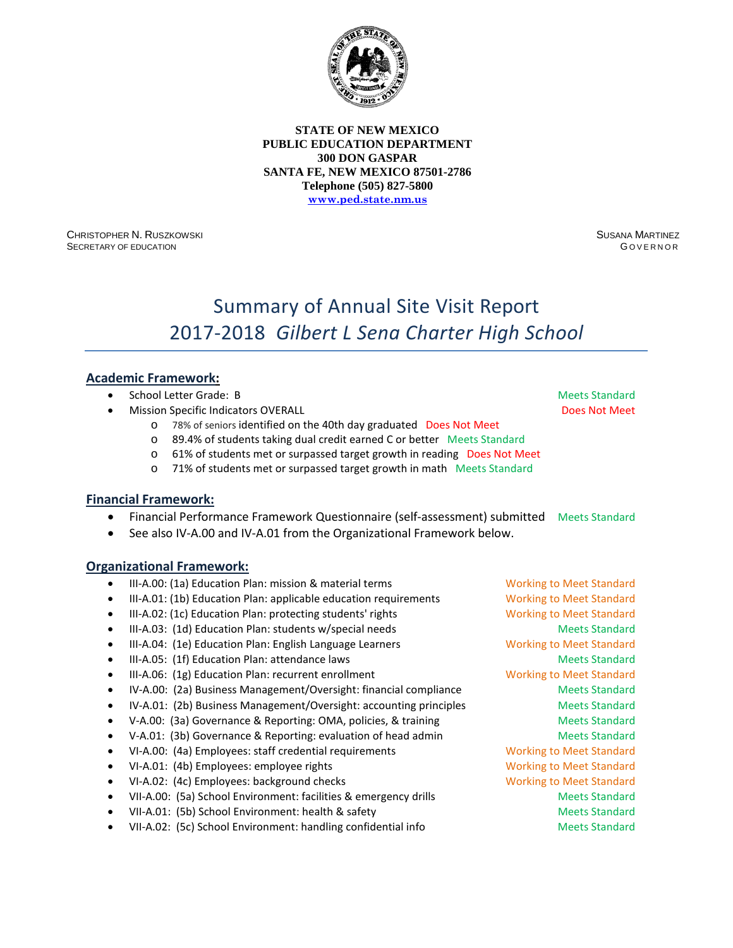

CHRISTOPHER N. RUSZKOWSKI SECRETARY OF EDUCATION

SUSANA MARTINEZ G OVERNOR

# Summary of Annual Site Visit Report 2017-2018 *Gilbert L Sena Charter High School*

### **Academic Framework:**

- **School Letter Grade: B Meets Standard School Letter Grade: B** Meets Standard
- **Mission Specific Indicators OVERALL Access According to Access According to Access Not Meet** Does Not Meet
	- o 78% of seniors identified on the 40th day graduated Does Not Meet
	- o 89.4% of students taking dual credit earned C or better Meets Standard<br>○ 61% of students met or surpassed target growth in reading Does Not Me
	- 61% of students met or surpassed target growth in reading Does Not Meet
	- o 71% of students met or surpassed target growth in math Meets Standard

#### **Financial Framework:**

- Financial Performance Framework Questionnaire (self-assessment) submitted Meets Standard
- See also IV-A.00 and IV-A.01 from the Organizational Framework below.

- III-A.00: (1a) Education Plan: mission & material terms Working to Meet Standard
- III-A.01: (1b) Education Plan: applicable education requirements Working to Meet Standard
- III-A.02: (1c) Education Plan: protecting students' rights Working to Meet Standard
- III-A.03: (1d) Education Plan: students w/special needs Meets Standard Meets Standard
- III-A.04: (1e) Education Plan: English Language Learners Working to Meet Standard
- III-A.05: (1f) Education Plan: attendance laws Meets Standard Meets Standard
- III-A.06: (1g) Education Plan: recurrent enrollment Working to Meet Standard
- IV-A.00: (2a) Business Management/Oversight: financial compliance Meets Standard
- IV-A.01: (2b) Business Management/Oversight: accounting principles Meets Standard
- V-A.00: (3a) Governance & Reporting: OMA, policies, & training Meets Standard
- V-A.01: (3b) Governance & Reporting: evaluation of head admin Meets Standard
- VI-A.00: (4a) Employees: staff credential requirements Working to Meet Standard
- VI-A.01: (4b) Employees: employee rights Working to Meet Standard
- VI-A.02: (4c) Employees: background checks Working to Meet Standard
- VII-A.00: (5a) School Environment: facilities & emergency drills Meets Standard
- VII-A.01: (5b) School Environment: health & safety Meets Standard Meets Standard
- VII-A.02: (5c) School Environment: handling confidential info Meets Standard

- 
- -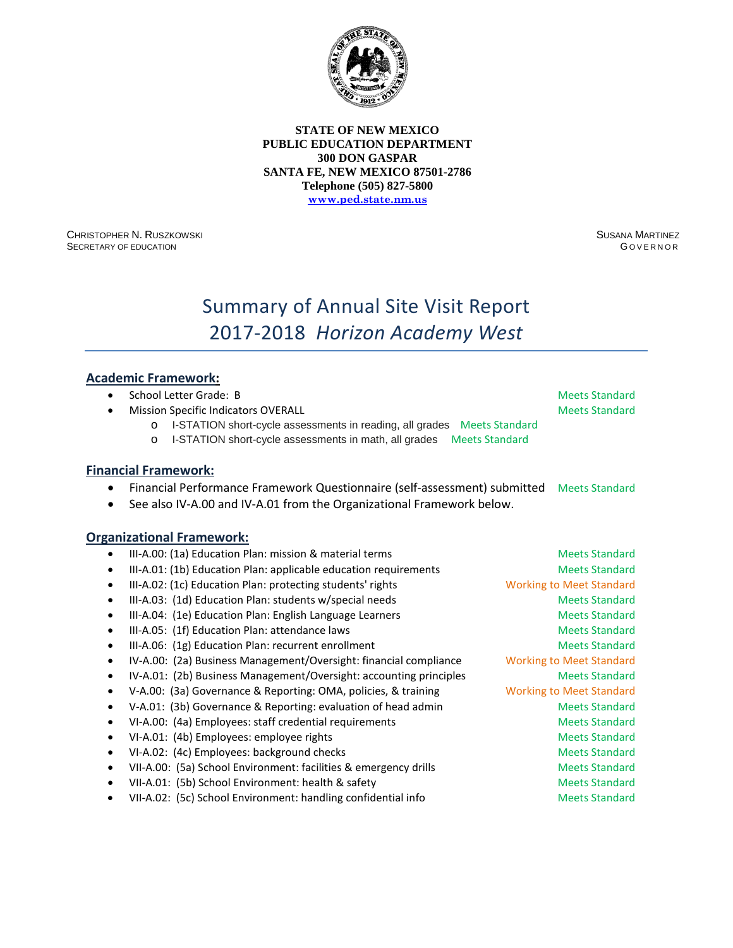

CHRISTOPHER N. RUSZKOWSKI SECRETARY OF EDUCATION

SUSANA MARTINEZ **GOVERNOR** 

# Summary of Annual Site Visit Report 2017-2018 *Horizon Academy West*

### **Academic Framework:**

|  | School Letter Grade: B                     |
|--|--------------------------------------------|
|  | <b>Mission Specific Indicators OVERALL</b> |

**Meets Standard** Meets Standard

- o I-STATION short-cycle assessments in reading, all grades Meets Standard
- o I-STATION short-cycle assessments in math, all grades Meets Standard

#### **Financial Framework:**

- Financial Performance Framework Questionnaire (self-assessment) submitted Meets Standard
- See also IV-A.00 and IV-A.01 from the Organizational Framework below.

|           | III-A.00: (1a) Education Plan: mission & material terms            | <b>Meets Standard</b>           |
|-----------|--------------------------------------------------------------------|---------------------------------|
| $\bullet$ | III-A.01: (1b) Education Plan: applicable education requirements   | <b>Meets Standard</b>           |
|           | III-A.02: (1c) Education Plan: protecting students' rights         | <b>Working to Meet Standard</b> |
| ٠         | III-A.03: (1d) Education Plan: students w/special needs            | <b>Meets Standard</b>           |
| ٠         | III-A.04: (1e) Education Plan: English Language Learners           | <b>Meets Standard</b>           |
| $\bullet$ | III-A.05: (1f) Education Plan: attendance laws                     | <b>Meets Standard</b>           |
| $\bullet$ | III-A.06: (1g) Education Plan: recurrent enrollment                | <b>Meets Standard</b>           |
|           | IV-A.00: (2a) Business Management/Oversight: financial compliance  | <b>Working to Meet Standard</b> |
|           | IV-A.01: (2b) Business Management/Oversight: accounting principles | <b>Meets Standard</b>           |
|           | V-A.00: (3a) Governance & Reporting: OMA, policies, & training     | <b>Working to Meet Standard</b> |
|           | V-A.01: (3b) Governance & Reporting: evaluation of head admin      | <b>Meets Standard</b>           |
|           | VI-A.00: (4a) Employees: staff credential requirements             | <b>Meets Standard</b>           |
|           | VI-A.01: (4b) Employees: employee rights                           | <b>Meets Standard</b>           |
| ٠         | VI-A.02: (4c) Employees: background checks                         | <b>Meets Standard</b>           |
|           | VII-A.00: (5a) School Environment: facilities & emergency drills   | <b>Meets Standard</b>           |
| $\bullet$ | VII-A.01: (5b) School Environment: health & safety                 | <b>Meets Standard</b>           |
|           | VII-A.02: (5c) School Environment: handling confidential info      | <b>Meets Standard</b>           |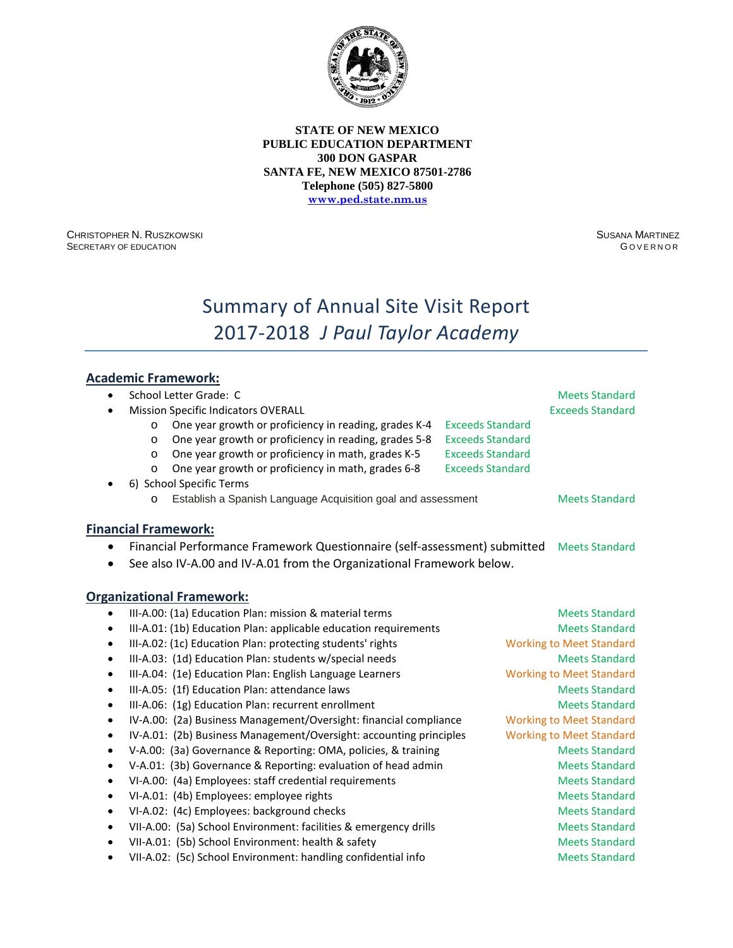

CHRISTOPHER N. RUSZKOWSKI SECRETARY OF EDUCATION

SUSANA MARTINEZ **GOVERNOR** 

# Summary of Annual Site Visit Report 2017-2018 *J Paul Taylor Academy*

# **Academic Framework:**

| ٠         | School Letter Grade: C                                                    | <b>Meets Standard</b>           |
|-----------|---------------------------------------------------------------------------|---------------------------------|
|           | <b>Mission Specific Indicators OVERALL</b>                                | <b>Exceeds Standard</b>         |
|           | One year growth or proficiency in reading, grades K-4<br>$\circ$          | <b>Exceeds Standard</b>         |
|           | One year growth or proficiency in reading, grades 5-8<br>$\circ$          | <b>Exceeds Standard</b>         |
|           | One year growth or proficiency in math, grades K-5<br>$\circ$             | <b>Exceeds Standard</b>         |
|           | One year growth or proficiency in math, grades 6-8<br>$\circ$             | <b>Exceeds Standard</b>         |
|           | 6) School Specific Terms                                                  |                                 |
|           | Establish a Spanish Language Acquisition goal and assessment<br>$\Omega$  | <b>Meets Standard</b>           |
|           | <b>Financial Framework:</b>                                               |                                 |
|           | Financial Performance Framework Questionnaire (self-assessment) submitted | <b>Meets Standard</b>           |
|           | See also IV-A.00 and IV-A.01 from the Organizational Framework below.     |                                 |
|           |                                                                           |                                 |
|           | <b>Organizational Framework:</b>                                          |                                 |
| ٠         | III-A.00: (1a) Education Plan: mission & material terms                   | <b>Meets Standard</b>           |
| $\bullet$ | III-A.01: (1b) Education Plan: applicable education requirements          | <b>Meets Standard</b>           |
| $\bullet$ | III-A.02: (1c) Education Plan: protecting students' rights                | <b>Working to Meet Standard</b> |
| $\bullet$ | III-A.03: (1d) Education Plan: students w/special needs                   | <b>Meets Standard</b>           |
| $\bullet$ | III-A.04: (1e) Education Plan: English Language Learners                  | <b>Working to Meet Standard</b> |
| $\bullet$ | III-A.05: (1f) Education Plan: attendance laws                            | <b>Meets Standard</b>           |
| $\bullet$ | III-A.06: (1g) Education Plan: recurrent enrollment                       | <b>Meets Standard</b>           |
| ٠         | IV-A.00: (2a) Business Management/Oversight: financial compliance         | <b>Working to Meet Standard</b> |
| $\bullet$ | IV-A.01: (2b) Business Management/Oversight: accounting principles        | <b>Working to Meet Standard</b> |
| $\bullet$ | V-A.00: (3a) Governance & Reporting: OMA, policies, & training            | <b>Meets Standard</b>           |
| $\bullet$ | V-A.01: (3b) Governance & Reporting: evaluation of head admin             | <b>Meets Standard</b>           |
| $\bullet$ | VI-A.00: (4a) Employees: staff credential requirements                    | <b>Meets Standard</b>           |
| $\bullet$ | VI-A.01: (4b) Employees: employee rights                                  | <b>Meets Standard</b>           |
| $\bullet$ | VI-A.02: (4c) Employees: background checks                                | <b>Meets Standard</b>           |
| $\bullet$ | VII-A.00: (5a) School Environment: facilities & emergency drills          | <b>Meets Standard</b>           |
| $\bullet$ | VII-A.01: (5b) School Environment: health & safety                        | <b>Meets Standard</b>           |
| $\bullet$ | VII-A.02: (5c) School Environment: handling confidential info             | <b>Meets Standard</b>           |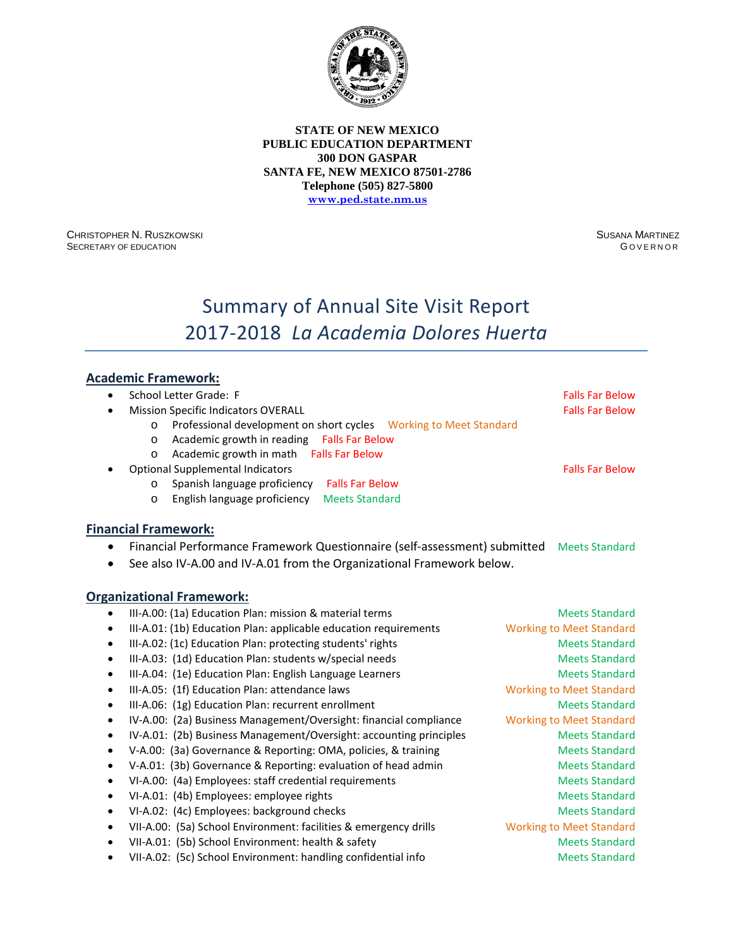

CHRISTOPHER N. RUSZKOWSKI SECRETARY OF EDUCATION

SUSANA MARTINEZ **GOVERNOR** 

# Summary of Annual Site Visit Report 2017-2018 *La Academia Dolores Huerta*

# **Academic Framework:**

| ٠         | School Letter Grade: F                                                          | <b>Falls Far Below</b>          |
|-----------|---------------------------------------------------------------------------------|---------------------------------|
|           | <b>Mission Specific Indicators OVERALL</b>                                      | <b>Falls Far Below</b>          |
|           | Professional development on short cycles    Vorking to Meet Standard<br>$\circ$ |                                 |
|           | Academic growth in reading Falls Far Below<br>O                                 |                                 |
|           | Academic growth in math Falls Far Below<br>O                                    |                                 |
|           | <b>Optional Supplemental Indicators</b>                                         | <b>Falls Far Below</b>          |
|           | Spanish language proficiency<br><b>Falls Far Below</b><br>O                     |                                 |
|           | English language proficiency<br><b>Meets Standard</b><br>$\Omega$               |                                 |
|           | <b>Financial Framework:</b>                                                     |                                 |
|           | Financial Performance Framework Questionnaire (self-assessment) submitted       | <b>Meets Standard</b>           |
|           | See also IV-A.00 and IV-A.01 from the Organizational Framework below.           |                                 |
|           |                                                                                 |                                 |
|           | <b>Organizational Framework:</b>                                                |                                 |
| ٠         | III-A.00: (1a) Education Plan: mission & material terms                         | <b>Meets Standard</b>           |
| $\bullet$ | III-A.01: (1b) Education Plan: applicable education requirements                | <b>Working to Meet Standard</b> |
| $\bullet$ | III-A.02: (1c) Education Plan: protecting students' rights                      | <b>Meets Standard</b>           |
| $\bullet$ | III-A.03: (1d) Education Plan: students w/special needs                         | <b>Meets Standard</b>           |
| $\bullet$ | III-A.04: (1e) Education Plan: English Language Learners                        | <b>Meets Standard</b>           |
| $\bullet$ | III-A.05: (1f) Education Plan: attendance laws                                  | <b>Working to Meet Standard</b> |
| $\bullet$ | III-A.06: (1g) Education Plan: recurrent enrollment                             | <b>Meets Standard</b>           |
| $\bullet$ | IV-A.00: (2a) Business Management/Oversight: financial compliance               | <b>Working to Meet Standard</b> |
| $\bullet$ | IV-A.01: (2b) Business Management/Oversight: accounting principles              | <b>Meets Standard</b>           |
| $\bullet$ | V-A.00: (3a) Governance & Reporting: OMA, policies, & training                  | <b>Meets Standard</b>           |
| $\bullet$ | V-A.01: (3b) Governance & Reporting: evaluation of head admin                   | <b>Meets Standard</b>           |
| $\bullet$ | VI-A.00: (4a) Employees: staff credential requirements                          | <b>Meets Standard</b>           |
| $\bullet$ | VI-A.01: (4b) Employees: employee rights                                        | <b>Meets Standard</b>           |
| $\bullet$ | VI-A.02: (4c) Employees: background checks                                      | <b>Meets Standard</b>           |
| ٠         | VII-A.00: (5a) School Environment: facilities & emergency drills                | <b>Working to Meet Standard</b> |
| $\bullet$ | VII-A.01: (5b) School Environment: health & safety                              | <b>Meets Standard</b>           |
| $\bullet$ | VII-A.02: (5c) School Environment: handling confidential info                   | <b>Meets Standard</b>           |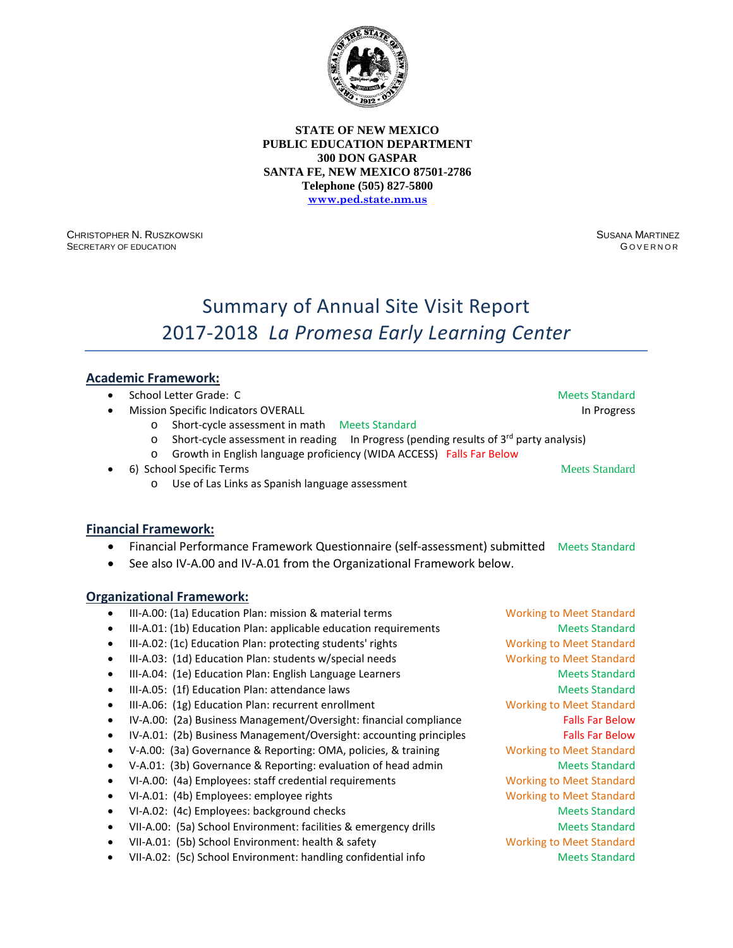

CHRISTOPHER N. RUSZKOWSKI SECRETARY OF EDUCATION

SUSANA MARTINEZ G OVERNOR

# Summary of Annual Site Visit Report 2017-2018 *La Promesa Early Learning Center*

### **Academic Framework:**

- **School Letter Grade: C**  $\blacksquare$  **School Letter Grade: C**  $\blacksquare$  **Meets Standard**
- **Mission Specific Indicators OVERALL In Progress** and the United States of the Indian Progress and the Progress
	- o Short-cycle assessment in math Meets Standard
	- $\circ$  Short-cycle assessment in reading In Progress (pending results of 3<sup>rd</sup> party analysis)
	- o Growth in English language proficiency (WIDA ACCESS) Falls Far Below
- 6) School Specific Terms Meets Standard
	- o Use of Las Links as Spanish language assessment

#### **Financial Framework:**

- Financial Performance Framework Questionnaire (self-assessment) submitted Meets Standard
- See also IV-A.00 and IV-A.01 from the Organizational Framework below.

- III-A.00: (1a) Education Plan: mission & material terms Working to Meet Standard
- III-A.01: (1b) Education Plan: applicable education requirements Meets Standard
- III-A.02: (1c) Education Plan: protecting students' rights Working to Meet Standard
- III-A.03: (1d) Education Plan: students w/special needs Working to Meet Standard
- III-A.04: (1e) Education Plan: English Language Learners Meets Standard
- III-A.05: (1f) Education Plan: attendance laws Meets Standard Meets Standard
- III-A.06: (1g) Education Plan: recurrent enrollment Working to Meet Standard
- IV-A.00: (2a) Business Management/Oversight: financial compliance Falls Far Below
- IV-A.01: (2b) Business Management/Oversight: accounting principles Falls Far Below
- V-A.00: (3a) Governance & Reporting: OMA, policies, & training Working to Meet Standard
- V-A.01: (3b) Governance & Reporting: evaluation of head admin Meets Standard
- VI-A.00: (4a) Employees: staff credential requirements Working to Meet Standard
- VI-A.01: (4b) Employees: employee rights Working to Meet Standard
- VI-A.02: (4c) Employees: background checks Meets Standard Meets Standard
- VII-A.00: (5a) School Environment: facilities & emergency drills Meets Standard
- VII-A.01: (5b) School Environment: health & safety Working to Meet Standard
- VII-A.02: (5c) School Environment: handling confidential info Meets Standard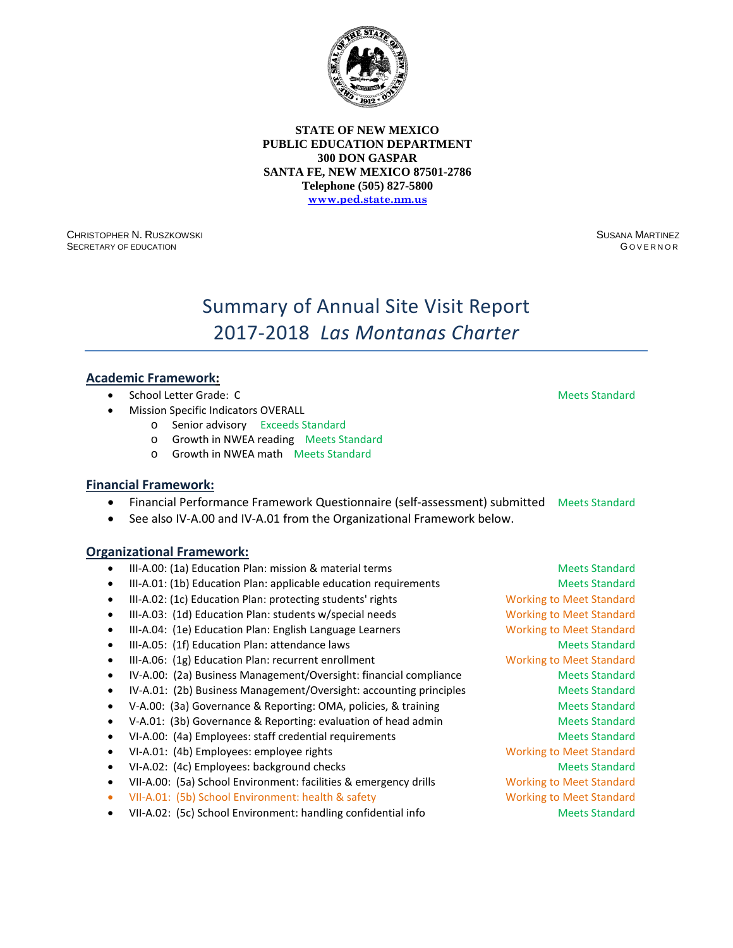

CHRISTOPHER N. RUSZKOWSKI SECRETARY OF EDUCATION

SUSANA MARTINEZ G OVERNOR

# Summary of Annual Site Visit Report 2017-2018 *Las Montanas Charter*

### **Academic Framework:**

- **School Letter Grade: C**  $\blacksquare$  **School Letter Grade: C**  $\blacksquare$  **Meets Standard**
- Mission Specific Indicators OVERALL
	- o Senior advisory Exceeds Standard
	- o Growth in NWEA reading Meets Standard
	- o Growth in NWEA math Meets Standard

#### **Financial Framework:**

- Financial Performance Framework Questionnaire (self-assessment) submitted Meets Standard
- See also IV-A.00 and IV-A.01 from the Organizational Framework below.

- III-A.00: (1a) Education Plan: mission & material terms Meets Standard Meets Standard
- III-A.01: (1b) Education Plan: applicable education requirements Meets Standard
- III-A.02: (1c) Education Plan: protecting students' rights Working to Meet Standard
- III-A.03: (1d) Education Plan: students w/special needs Working to Meet Standard
- III-A.04: (1e) Education Plan: English Language Learners Working to Meet Standard
- III-A.05: (1f) Education Plan: attendance laws Meets Standard Meets Standard
- III-A.06: (1g) Education Plan: recurrent enrollment Working to Meet Standard
- IV-A.00: (2a) Business Management/Oversight: financial compliance Meets Standard
- IV-A.01: (2b) Business Management/Oversight: accounting principles Meets Standard
- V-A.00: (3a) Governance & Reporting: OMA, policies, & training Meets Standard
- V-A.01: (3b) Governance & Reporting: evaluation of head admin Meets Standard
- VI-A.00: (4a) Employees: staff credential requirements and a metal of Meets Standard
- VI-A.01: (4b) Employees: employee rights Working to Meet Standard
- VI-A.02: (4c) Employees: background checks Meets Standard Meets Standard
- VII-A.00: (5a) School Environment: facilities & emergency drills Working to Meet Standard
- VII-A.01: (5b) School Environment: health & safety Working to Meet Standard
- VII-A.02: (5c) School Environment: handling confidential info Meets Standard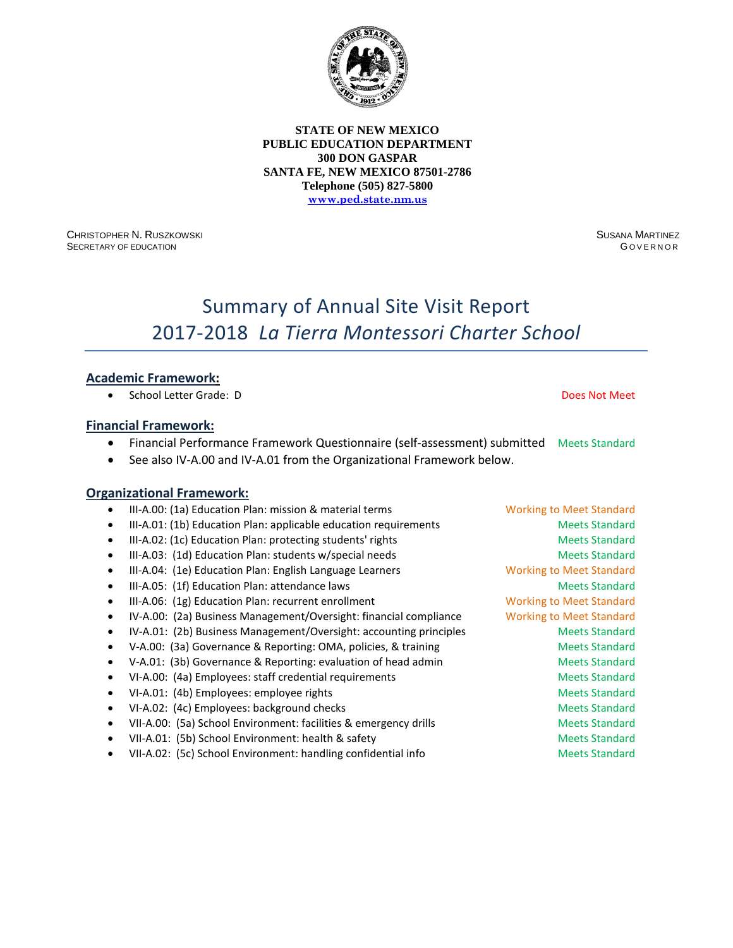

CHRISTOPHER N. RUSZKOWSKI SECRETARY OF EDUCATION

SUSANA MARTINEZ G OVERNOR

# Summary of Annual Site Visit Report 2017-2018 *La Tierra Montessori Charter School*

### **Academic Framework:**

• School Letter Grade: D Does Not Meet

#### **Financial Framework:**

- Financial Performance Framework Questionnaire (self-assessment) submitted Meets Standard
- See also IV-A.00 and IV-A.01 from the Organizational Framework below.

#### **Organizational Framework:**

III-A.00: (1a) Education Plan: mission & material terms Working to Meet Standard III-A.01: (1b) Education Plan: applicable education requirements Meets Standard III-A.02: (1c) Education Plan: protecting students' rights Meets Standard Meets Standard III-A.03: (1d) Education Plan: students w/special needs Meets Standard Meets Standard • III-A.04: (1e) Education Plan: English Language Learners Working to Meet Standard • III-A.05: (1f) Education Plan: attendance laws Meets Standard • III-A.06: (1g) Education Plan: recurrent enrollment Working to Meet Standard • IV-A.00: (2a) Business Management/Oversight: financial compliance Working to Meet Standard IV-A.01: (2b) Business Management/Oversight: accounting principles Meets Standard • V-A.00: (3a) Governance & Reporting: OMA, policies, & training Meets Standard • V-A.01: (3b) Governance & Reporting: evaluation of head admin Meets Standard • VI-A.00: (4a) Employees: staff credential requirements and a meets Standard • VI-A.01: (4b) Employees: employee rights Meets Standard Meets Standard • VI-A.02: (4c) Employees: background checks Meets Standard Meets Standard VII-A.00: (5a) School Environment: facilities & emergency drills Meets Standard VII-A.01: (5b) School Environment: health & safety Meets Standard Meets Standard • VII-A.02: (5c) School Environment: handling confidential info Meets Standard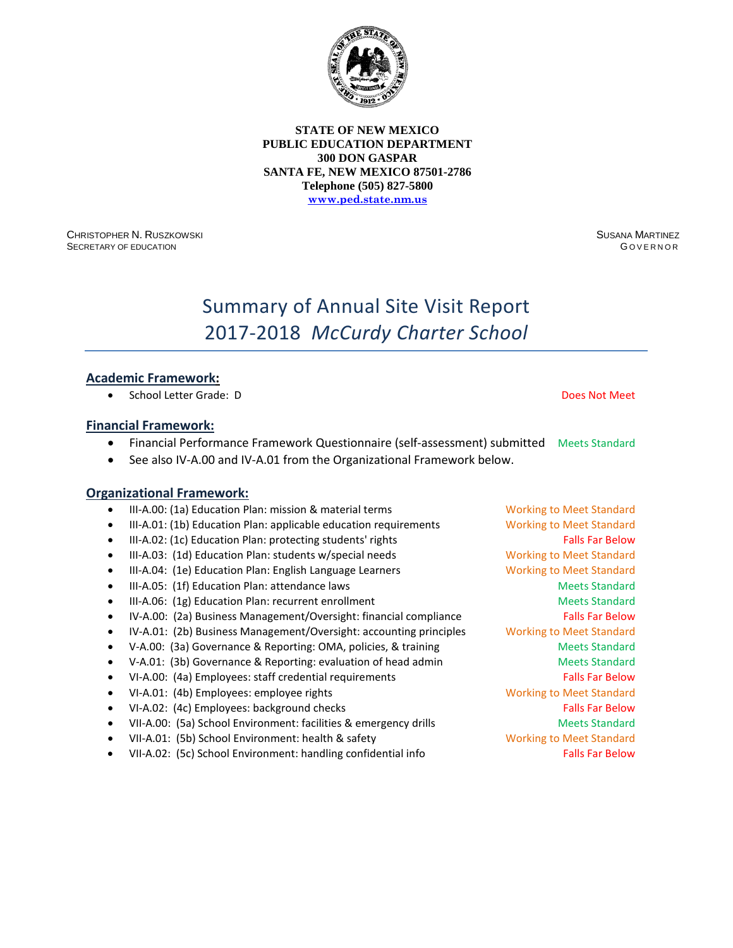

CHRISTOPHER N. RUSZKOWSKI SECRETARY OF EDUCATION

SUSANA MARTINEZ G OVERNOR

# Summary of Annual Site Visit Report 2017-2018 *McCurdy Charter School*

### **Academic Framework:**

• School Letter Grade: D Does Not Meet

#### **Financial Framework:**

- Financial Performance Framework Questionnaire (self-assessment) submitted Meets Standard
- See also IV-A.00 and IV-A.01 from the Organizational Framework below.

- III-A.00: (1a) Education Plan: mission & material terms Working to Meet Standard
- III-A.01: (1b) Education Plan: applicable education requirements Working to Meet Standard
- III-A.02: (1c) Education Plan: protecting students' rights Falls Far Below Falls Far Below
- III-A.03: (1d) Education Plan: students w/special needs Working to Meet Standard
- III-A.04: (1e) Education Plan: English Language Learners Working to Meet Standard
- III-A.05: (1f) Education Plan: attendance laws Meets Standard Meets Standard
- III-A.06: (1g) Education Plan: recurrent enrollment and a standard Meets Standard
- IV-A.00: (2a) Business Management/Oversight: financial compliance Falls Far Below
- IV-A.01: (2b) Business Management/Oversight: accounting principles Working to Meet Standard
- V-A.00: (3a) Governance & Reporting: OMA, policies, & training Meets Standard
- V-A.01: (3b) Governance & Reporting: evaluation of head admin Meets Standard
- VI-A.00: (4a) Employees: staff credential requirements Falls Far Below
- VI-A.01: (4b) Employees: employee rights Working to Meet Standard
- VI-A.02: (4c) Employees: background checks Falls Far Below Falls Far Below
- VII-A.00: (5a) School Environment: facilities & emergency drills Meets Standard
- VII-A.01: (5b) School Environment: health & safety Working to Meet Standard
- VII-A.02: (5c) School Environment: handling confidential info Falls Far Below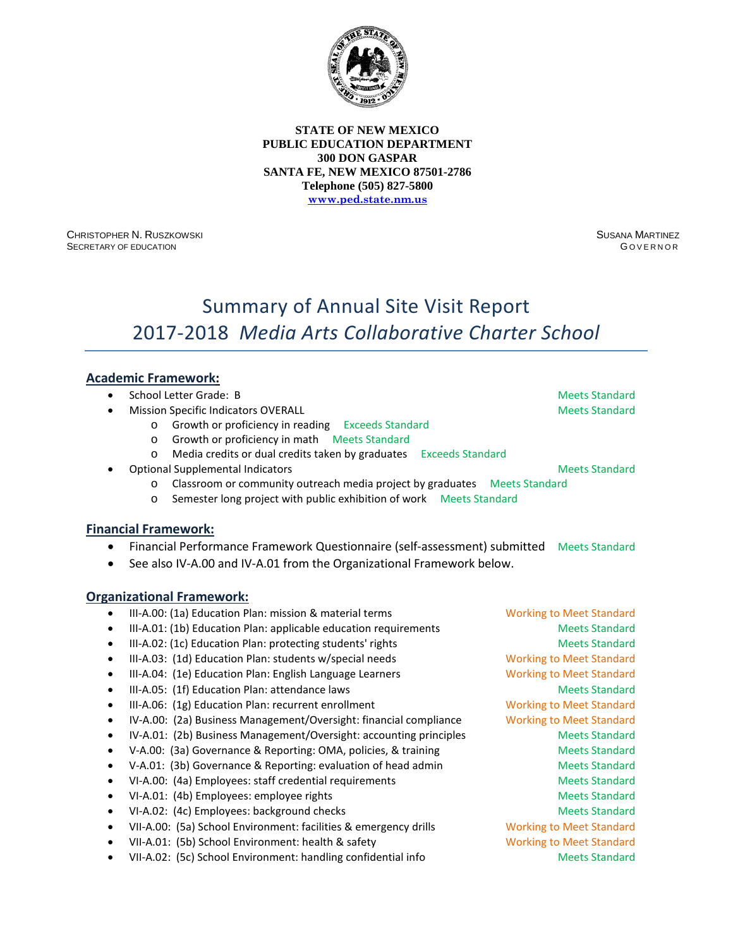

CHRISTOPHER N. RUSZKOWSKI SECRETARY OF EDUCATION

SUSANA MARTINEZ G OVERNOR

# Summary of Annual Site Visit Report 2017-2018 *Media Arts Collaborative Charter School*

### **Academic Framework:**

- **School Letter Grade: B Meets Standard School Letter Grade: B** Meets Standard
- **Mission Specific Indicators OVERALL Meets Standard Meets Standard Meets Standard** 
	- o Growth or proficiency in reading Exceeds Standard
	- o Growth or proficiency in math Meets Standard
	- o Media credits or dual credits taken by graduates Exceeds Standard
- **Optional Supplemental Indicators Meets Standard Supplemental Indicators Meets Standard Meets Standard Meets Standard Meets Standard Meets Standard Meets Standard Meets Standard Meets Standard Meets Standard Meets Standard** 
	- o Classroom or community outreach media project by graduates Meets Standard
	- o Semester long project with public exhibition of work Meets Standard

#### **Financial Framework:**

- Financial Performance Framework Questionnaire (self-assessment) submitted Meets Standard
- See also IV-A.00 and IV-A.01 from the Organizational Framework below.

|           | III-A.00: (1a) Education Plan: mission & material terms            | <b>Working to Meet Standard</b> |
|-----------|--------------------------------------------------------------------|---------------------------------|
|           | III-A.01: (1b) Education Plan: applicable education requirements   | <b>Meets Standard</b>           |
|           | III-A.02: (1c) Education Plan: protecting students' rights         | <b>Meets Standard</b>           |
|           | III-A.03: (1d) Education Plan: students w/special needs            | <b>Working to Meet Standard</b> |
|           | III-A.04: (1e) Education Plan: English Language Learners           | <b>Working to Meet Standard</b> |
|           | III-A.05: (1f) Education Plan: attendance laws                     | <b>Meets Standard</b>           |
| $\bullet$ | III-A.06: (1g) Education Plan: recurrent enrollment                | <b>Working to Meet Standard</b> |
| ٠         | IV-A.00: (2a) Business Management/Oversight: financial compliance  | <b>Working to Meet Standard</b> |
|           | IV-A.01: (2b) Business Management/Oversight: accounting principles | <b>Meets Standard</b>           |
|           | V-A.00: (3a) Governance & Reporting: OMA, policies, & training     | <b>Meets Standard</b>           |
|           | V-A.01: (3b) Governance & Reporting: evaluation of head admin      | <b>Meets Standard</b>           |
|           | VI-A.00: (4a) Employees: staff credential requirements             | <b>Meets Standard</b>           |
|           | VI-A.01: (4b) Employees: employee rights                           | <b>Meets Standard</b>           |
|           | VI-A.02: (4c) Employees: background checks                         | <b>Meets Standard</b>           |
|           | VII-A.00: (5a) School Environment: facilities & emergency drills   | <b>Working to Meet Standard</b> |
|           | VII-A.01: (5b) School Environment: health & safety                 | <b>Working to Meet Standard</b> |
|           | VII-A.02: (5c) School Environment: handling confidential info      | <b>Meets Standard</b>           |
|           |                                                                    |                                 |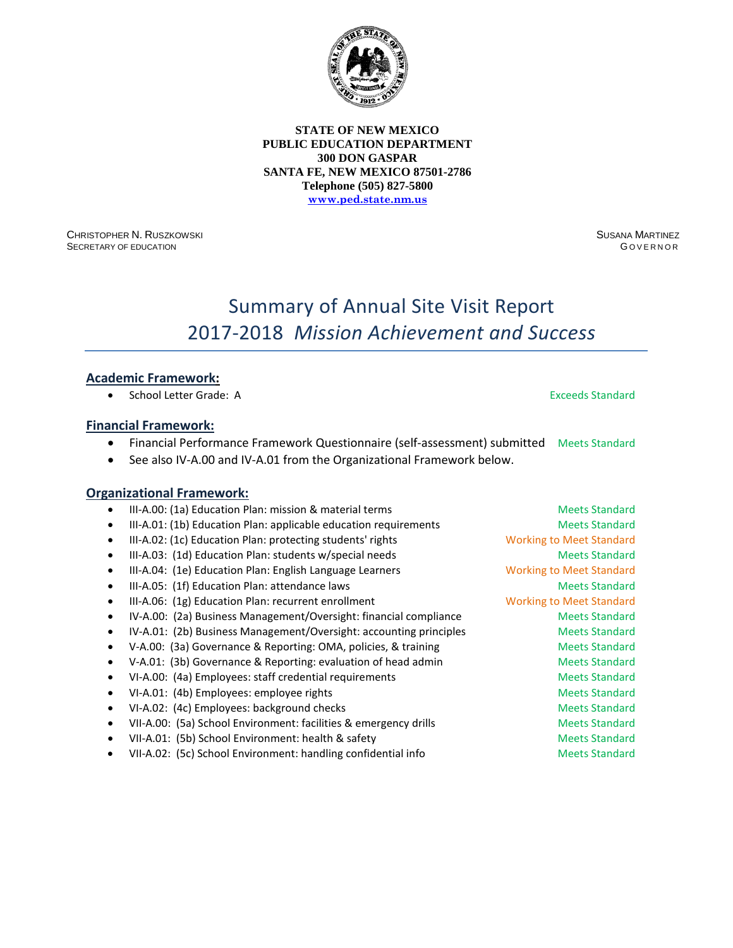

CHRISTOPHER N. RUSZKOWSKI SECRETARY OF EDUCATION

SUSANA MARTINEZ **GOVERNOR** 

# Summary of Annual Site Visit Report 2017-2018 *Mission Achievement and Success*

### **Academic Framework:**

• School Letter Grade: A Exceeds Standard

#### **Financial Framework:**

- Financial Performance Framework Questionnaire (self-assessment) submitted Meets Standard
- See also IV-A.00 and IV-A.01 from the Organizational Framework below.

|           | III-A.00: (1a) Education Plan: mission & material terms            | <b>Meets Standard</b>           |
|-----------|--------------------------------------------------------------------|---------------------------------|
|           | III-A.01: (1b) Education Plan: applicable education requirements   | <b>Meets Standard</b>           |
| $\bullet$ | III-A.02: (1c) Education Plan: protecting students' rights         | <b>Working to Meet Standard</b> |
| $\bullet$ | III-A.03: (1d) Education Plan: students w/special needs            | <b>Meets Standard</b>           |
|           | III-A.04: (1e) Education Plan: English Language Learners           | <b>Working to Meet Standard</b> |
|           | III-A.05: (1f) Education Plan: attendance laws                     | <b>Meets Standard</b>           |
|           | III-A.06: (1g) Education Plan: recurrent enrollment                | <b>Working to Meet Standard</b> |
|           | IV-A.00: (2a) Business Management/Oversight: financial compliance  | <b>Meets Standard</b>           |
|           | IV-A.01: (2b) Business Management/Oversight: accounting principles | <b>Meets Standard</b>           |
|           | V-A.00: (3a) Governance & Reporting: OMA, policies, & training     | <b>Meets Standard</b>           |
|           | V-A.01: (3b) Governance & Reporting: evaluation of head admin      | <b>Meets Standard</b>           |
|           | VI-A.00: (4a) Employees: staff credential requirements             | <b>Meets Standard</b>           |
|           | VI-A.01: (4b) Employees: employee rights                           | <b>Meets Standard</b>           |
|           | VI-A.02: (4c) Employees: background checks                         | <b>Meets Standard</b>           |
|           | VII-A.00: (5a) School Environment: facilities & emergency drills   | <b>Meets Standard</b>           |
| ٠         | VII-A.01: (5b) School Environment: health & safety                 | <b>Meets Standard</b>           |
|           | VII-A.02: (5c) School Environment: handling confidential info      | <b>Meets Standard</b>           |
|           |                                                                    |                                 |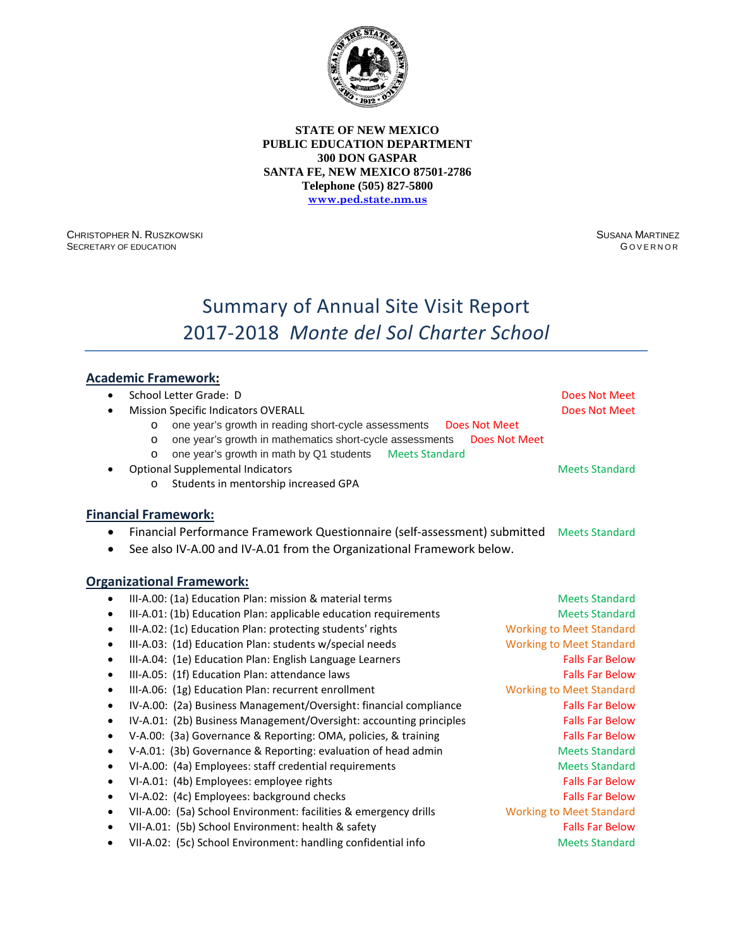

CHRISTOPHER N. RUSZKOWSKI SECRETARY OF EDUCATION

SUSANA MARTINEZ **GOVERNOR** 

# Summary of Annual Site Visit Report 2017-2018 *Monte del Sol Charter School*

# **Academic Framework:**

| $\bullet$ | School Letter Grade: D                                                                   | Does Not Meet                   |
|-----------|------------------------------------------------------------------------------------------|---------------------------------|
|           | <b>Mission Specific Indicators OVERALL</b>                                               | Does Not Meet                   |
|           | one year's growth in reading short-cycle assessments<br><b>Does Not Meet</b><br>$\Omega$ |                                 |
|           | one year's growth in mathematics short-cycle assessments<br>$\circ$                      | <b>Does Not Meet</b>            |
|           | <b>Meets Standard</b><br>one year's growth in math by Q1 students<br>O                   |                                 |
|           | <b>Optional Supplemental Indicators</b>                                                  | <b>Meets Standard</b>           |
|           | Students in mentorship increased GPA<br>$\Omega$                                         |                                 |
|           | <b>Financial Framework:</b>                                                              |                                 |
|           | Financial Performance Framework Questionnaire (self-assessment) submitted                | <b>Meets Standard</b>           |
|           | See also IV-A.00 and IV-A.01 from the Organizational Framework below.                    |                                 |
|           |                                                                                          |                                 |
|           | <b>Organizational Framework:</b>                                                         |                                 |
| $\bullet$ | III-A.00: (1a) Education Plan: mission & material terms                                  | <b>Meets Standard</b>           |
| $\bullet$ | III-A.01: (1b) Education Plan: applicable education requirements                         | <b>Meets Standard</b>           |
| $\bullet$ | III-A.02: (1c) Education Plan: protecting students' rights                               | <b>Working to Meet Standard</b> |
| $\bullet$ | III-A.03: (1d) Education Plan: students w/special needs                                  | <b>Working to Meet Standard</b> |
| $\bullet$ | III-A.04: (1e) Education Plan: English Language Learners                                 | <b>Falls Far Below</b>          |
| $\bullet$ | III-A.05: (1f) Education Plan: attendance laws                                           | <b>Falls Far Below</b>          |
| $\bullet$ | III-A.06: (1g) Education Plan: recurrent enrollment                                      | <b>Working to Meet Standard</b> |
| $\bullet$ | IV-A.00: (2a) Business Management/Oversight: financial compliance                        | <b>Falls Far Below</b>          |
| $\bullet$ | IV-A.01: (2b) Business Management/Oversight: accounting principles                       | <b>Falls Far Below</b>          |
| $\bullet$ | V-A.00: (3a) Governance & Reporting: OMA, policies, & training                           | <b>Falls Far Below</b>          |
| $\bullet$ | V-A.01: (3b) Governance & Reporting: evaluation of head admin                            | <b>Meets Standard</b>           |
| $\bullet$ | VI-A.00: (4a) Employees: staff credential requirements                                   | <b>Meets Standard</b>           |
| $\bullet$ | VI-A.01: (4b) Employees: employee rights                                                 | <b>Falls Far Below</b>          |
| $\bullet$ | VI-A.02: (4c) Employees: background checks                                               | <b>Falls Far Below</b>          |
| $\bullet$ | VII-A.00: (5a) School Environment: facilities & emergency drills                         | <b>Working to Meet Standard</b> |
| $\bullet$ | VII-A.01: (5b) School Environment: health & safety                                       | <b>Falls Far Below</b>          |
| $\bullet$ | VII-A.02: (5c) School Environment: handling confidential info                            | <b>Meets Standard</b>           |
|           |                                                                                          |                                 |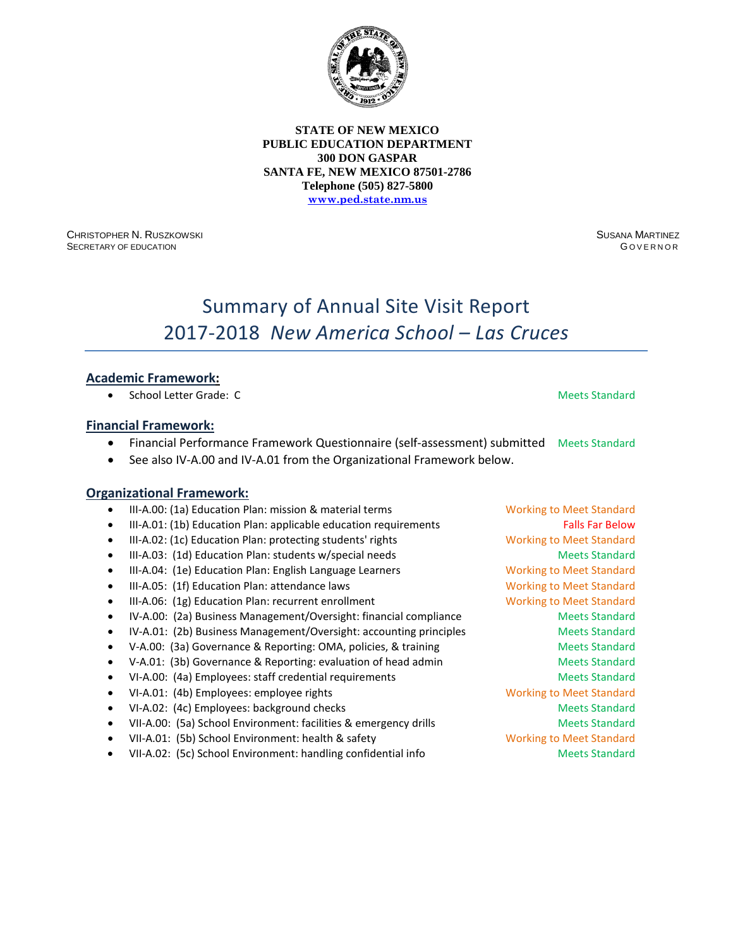

CHRISTOPHER N. RUSZKOWSKI SECRETARY OF EDUCATION

SUSANA MARTINEZ G OVERNOR

# Summary of Annual Site Visit Report 2017-2018 *New America School – Las Cruces*

### **Academic Framework:**

• School Letter Grade: C **Meets Standard** Meets Standard

#### **Financial Framework:**

- Financial Performance Framework Questionnaire (self-assessment) submitted Meets Standard
- See also IV-A.00 and IV-A.01 from the Organizational Framework below.

- III-A.00: (1a) Education Plan: mission & material terms Working to Meet Standard
- III-A.01: (1b) Education Plan: applicable education requirements Falls Far Below
- III-A.02: (1c) Education Plan: protecting students' rights Working to Meet Standard
- III-A.03: (1d) Education Plan: students w/special needs Meets Standard Meets Standard
- III-A.04: (1e) Education Plan: English Language Learners Working to Meet Standard
- III-A.05: (1f) Education Plan: attendance laws Working to Meet Standard
- III-A.06: (1g) Education Plan: recurrent enrollment Working to Meet Standard
- IV-A.00: (2a) Business Management/Oversight: financial compliance Meets Standard
- IV-A.01: (2b) Business Management/Oversight: accounting principles Meets Standard
- V-A.00: (3a) Governance & Reporting: OMA, policies, & training Meets Standard
- V-A.01: (3b) Governance & Reporting: evaluation of head admin Meets Standard
- VI-A.00: (4a) Employees: staff credential requirements and a meets Standard
- VI-A.01: (4b) Employees: employee rights Working to Meet Standard
- VI-A.02: (4c) Employees: background checks Meets Standard Meets Standard
- VII-A.00: (5a) School Environment: facilities & emergency drills Meets Standard
- VII-A.01: (5b) School Environment: health & safety Working to Meet Standard
- VII-A.02: (5c) School Environment: handling confidential info Meets Standard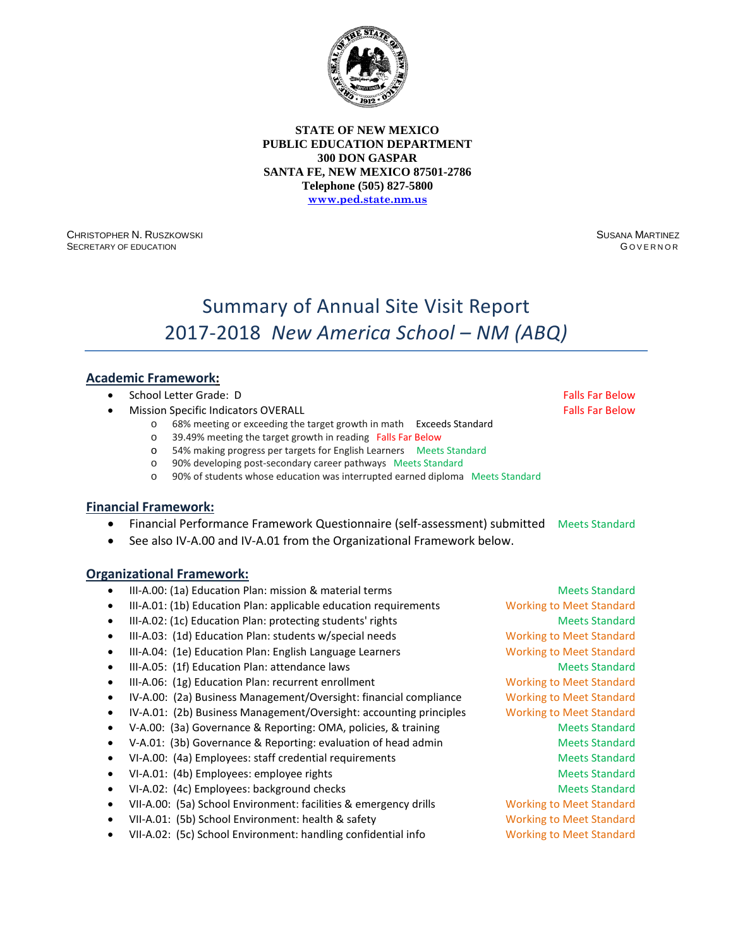

CHRISTOPHER N. RUSZKOWSKI SECRETARY OF EDUCATION

SUSANA MARTINEZ G OVERNOR

# Summary of Annual Site Visit Report 2017-2018 *New America School – NM (ABQ)*

### **Academic Framework:**

- School Letter Grade: D Falls Far Below Falls Far Below
- **Mission Specific Indicators OVERALL Falls Factors Falls Far Below Falls Far Below** 
	- o 68% meeting or exceeding the target growth in math Exceeds Standard
	- o 39.49% meeting the target growth in reading Falls Far Below
	- o 54% making progress per targets for English Learners Meets Standard
	- o 90% developing post-secondary career pathways Meets Standard
	- 90% of students whose education was interrupted earned diploma Meets Standard

#### **Financial Framework:**

- Financial Performance Framework Questionnaire (self-assessment) submitted Meets Standard
- See also IV-A.00 and IV-A.01 from the Organizational Framework below.

- III-A.00: (1a) Education Plan: mission & material terms Meets Standard Meets Standard
- III-A.01: (1b) Education Plan: applicable education requirements Working to Meet Standard
- III-A.02: (1c) Education Plan: protecting students' rights Meets Standard Meets Standard
- III-A.03: (1d) Education Plan: students w/special needs Working to Meet Standard
- III-A.04: (1e) Education Plan: English Language Learners Working to Meet Standard
- III-A.05: (1f) Education Plan: attendance laws Meets Standard Meets Standard
- III-A.06: (1g) Education Plan: recurrent enrollment Working to Meet Standard
- IV-A.00: (2a) Business Management/Oversight: financial compliance Working to Meet Standard
- IV-A.01: (2b) Business Management/Oversight: accounting principles Working to Meet Standard
- V-A.00: (3a) Governance & Reporting: OMA, policies, & training Meets Standard
- V-A.01: (3b) Governance & Reporting: evaluation of head admin Meets Standard
- VI-A.00: (4a) Employees: staff credential requirements Meets Standard
- VI-A.01: (4b) Employees: employee rights Meets Standard
- VI-A.02: (4c) Employees: background checks Meets Standard Meets Standard
- VII-A.00: (5a) School Environment: facilities & emergency drills Working to Meet Standard
- VII-A.01: (5b) School Environment: health & safety Working to Meet Standard
- VII-A.02: (5c) School Environment: handling confidential info Working to Meet Standard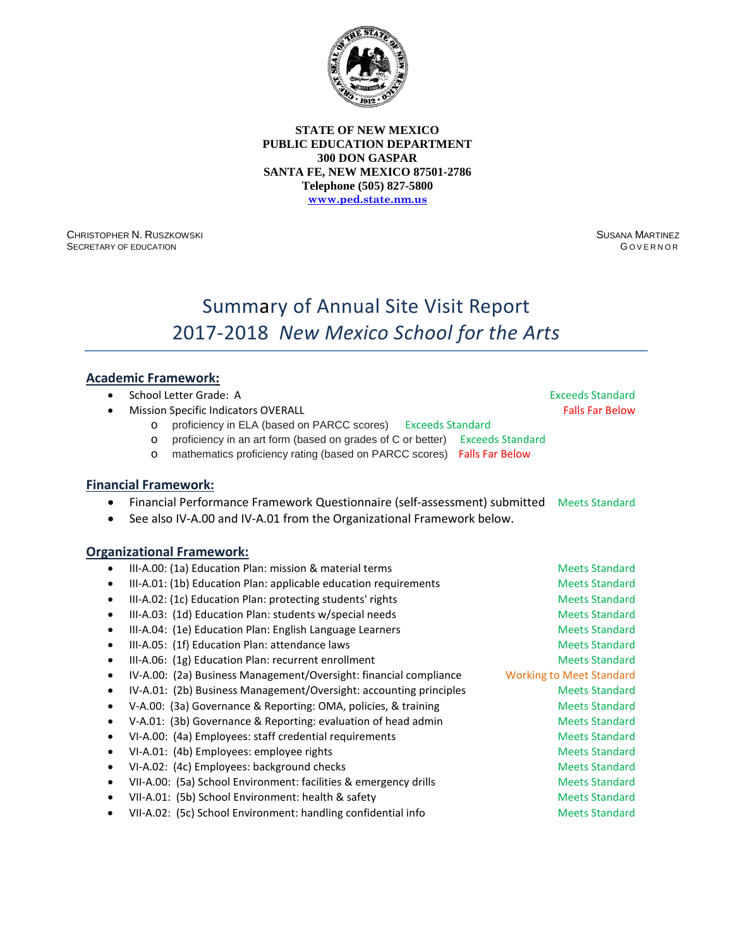

CHRISTOPHER N. RUSZKOWSKI SECRETARY OF EDUCATION

SUSANA MARTINEZ **GOVERNOR** 

# Summary of Annual Site Visit Report 2017-2018 *New Mexico School for the Arts*

# **Academic Framework:**

| $\bullet$ |         | School Letter Grade: A                                                                   |                         | <b>Exceeds Standard</b>         |
|-----------|---------|------------------------------------------------------------------------------------------|-------------------------|---------------------------------|
|           |         | <b>Mission Specific Indicators OVERALL</b>                                               |                         | <b>Falls Far Below</b>          |
|           | $\circ$ | proficiency in ELA (based on PARCC scores)<br><b>Exceeds Standard</b>                    |                         |                                 |
|           | $\circ$ | proficiency in an art form (based on grades of C or better)                              | <b>Exceeds Standard</b> |                                 |
|           | $\circ$ | mathematics proficiency rating (based on PARCC scores)                                   | <b>Falls Far Below</b>  |                                 |
|           |         | <b>Financial Framework:</b>                                                              |                         |                                 |
|           |         | Financial Performance Framework Questionnaire (self-assessment) submitted Meets Standard |                         |                                 |
| ٠         |         | See also IV-A.00 and IV-A.01 from the Organizational Framework below.                    |                         |                                 |
|           |         |                                                                                          |                         |                                 |
|           |         | <b>Organizational Framework:</b>                                                         |                         |                                 |
| ٠         |         | III-A.00: (1a) Education Plan: mission & material terms                                  |                         | <b>Meets Standard</b>           |
| ٠         |         | III-A.01: (1b) Education Plan: applicable education requirements                         |                         | <b>Meets Standard</b>           |
| $\bullet$ |         | III-A.02: (1c) Education Plan: protecting students' rights                               |                         | <b>Meets Standard</b>           |
| $\bullet$ |         | III-A.03: (1d) Education Plan: students w/special needs                                  |                         | <b>Meets Standard</b>           |
| $\bullet$ |         | III-A.04: (1e) Education Plan: English Language Learners                                 |                         | <b>Meets Standard</b>           |
| $\bullet$ |         | III-A.05: (1f) Education Plan: attendance laws                                           |                         | <b>Meets Standard</b>           |
| $\bullet$ |         | III-A.06: (1g) Education Plan: recurrent enrollment                                      |                         | <b>Meets Standard</b>           |
| ٠         |         | IV-A.00: (2a) Business Management/Oversight: financial compliance                        |                         | <b>Working to Meet Standard</b> |
| $\bullet$ |         | IV-A.01: (2b) Business Management/Oversight: accounting principles                       |                         | <b>Meets Standard</b>           |
| $\bullet$ |         | V-A.00: (3a) Governance & Reporting: OMA, policies, & training                           |                         | <b>Meets Standard</b>           |
| $\bullet$ |         | V-A.01: (3b) Governance & Reporting: evaluation of head admin                            |                         | <b>Meets Standard</b>           |
| $\bullet$ |         | VI-A.00: (4a) Employees: staff credential requirements                                   |                         | <b>Meets Standard</b>           |
| $\bullet$ |         | VI-A.01: (4b) Employees: employee rights                                                 |                         | <b>Meets Standard</b>           |
| $\bullet$ |         | VI-A.02: (4c) Employees: background checks                                               |                         | <b>Meets Standard</b>           |
| $\bullet$ |         | VII-A.00: (5a) School Environment: facilities & emergency drills                         |                         | <b>Meets Standard</b>           |
| $\bullet$ |         | VII-A.01: (5b) School Environment: health & safety                                       |                         | <b>Meets Standard</b>           |
|           |         | VII-A.02: (5c) School Environment: handling confidential info                            |                         | <b>Meets Standard</b>           |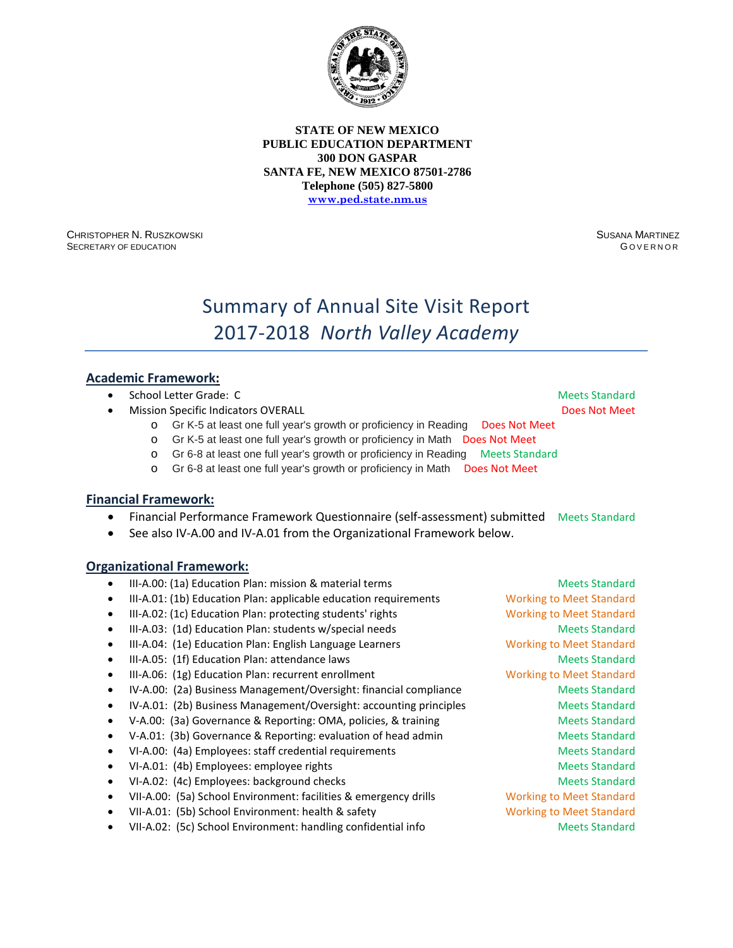

CHRISTOPHER N. RUSZKOWSKI SECRETARY OF EDUCATION

SUSANA MARTINEZ G OVERNOR

# Summary of Annual Site Visit Report 2017-2018 *North Valley Academy*

### **Academic Framework:**

- **School Letter Grade: C**  $\blacksquare$  **School Letter Grade: C**  $\blacksquare$  **Meets Standard**
- **Mission Specific Indicators OVERALL Access According to Access According Control Over Access According Control Meet** 
	- o Gr K-5 at least one full year's growth or proficiency in Reading Does Not Meet
	- o Gr K-5 at least one full year's growth or proficiency in Math Does Not Meet
	- o Gr 6-8 at least one full year's growth or proficiency in Reading Meets Standard
	- o Gr 6-8 at least one full year's growth or proficiency in Math Does Not Meet

#### **Financial Framework:**

- Financial Performance Framework Questionnaire (self-assessment) submitted Meets Standard
- See also IV-A.00 and IV-A.01 from the Organizational Framework below.

|   | III-A.00: (1a) Education Plan: mission & material terms            | <b>Meets Standard</b>           |
|---|--------------------------------------------------------------------|---------------------------------|
|   | III-A.01: (1b) Education Plan: applicable education requirements   | <b>Working to Meet Standard</b> |
| ٠ | III-A.02: (1c) Education Plan: protecting students' rights         | <b>Working to Meet Standard</b> |
|   | III-A.03: (1d) Education Plan: students w/special needs            | <b>Meets Standard</b>           |
|   | III-A.04: (1e) Education Plan: English Language Learners           | <b>Working to Meet Standard</b> |
|   | III-A.05: (1f) Education Plan: attendance laws                     | <b>Meets Standard</b>           |
| ٠ | III-A.06: (1g) Education Plan: recurrent enrollment                | <b>Working to Meet Standard</b> |
| ٠ | IV-A.00: (2a) Business Management/Oversight: financial compliance  | <b>Meets Standard</b>           |
|   | IV-A.01: (2b) Business Management/Oversight: accounting principles | <b>Meets Standard</b>           |
|   | V-A.00: (3a) Governance & Reporting: OMA, policies, & training     | <b>Meets Standard</b>           |
|   | V-A.01: (3b) Governance & Reporting: evaluation of head admin      | <b>Meets Standard</b>           |
|   | VI-A.00: (4a) Employees: staff credential requirements             | <b>Meets Standard</b>           |
| ٠ | VI-A.01: (4b) Employees: employee rights                           | <b>Meets Standard</b>           |
|   | VI-A.02: (4c) Employees: background checks                         | <b>Meets Standard</b>           |
|   | VII-A.00: (5a) School Environment: facilities & emergency drills   | <b>Working to Meet Standard</b> |
| ٠ | VII-A.01: (5b) School Environment: health & safety                 | <b>Working to Meet Standard</b> |
|   | VII-A.02: (5c) School Environment: handling confidential info      | <b>Meets Standard</b>           |
|   |                                                                    |                                 |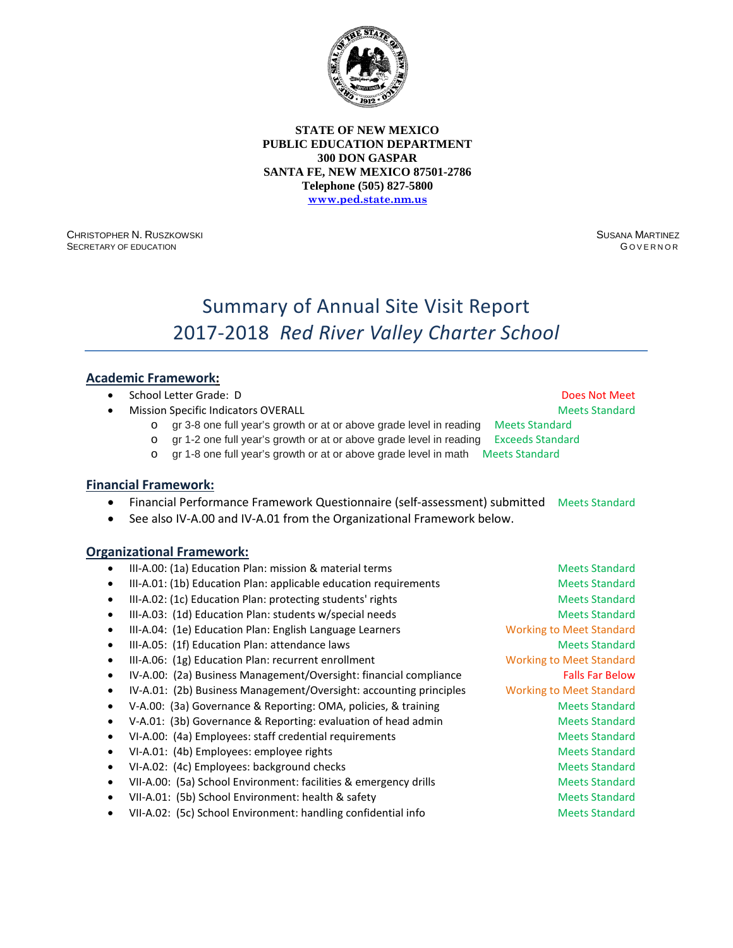

CHRISTOPHER N. RUSZKOWSKI SECRETARY OF EDUCATION

SUSANA MARTINEZ G OVERNOR

# Summary of Annual Site Visit Report 2017-2018 *Red River Valley Charter School*

### **Academic Framework:**

|  | School Letter Grade: D |  |
|--|------------------------|--|
|  |                        |  |

**Mission Specific Indicators OVERALL Meets Standard Meets Standard Meets Standard** 

**Does Not Meet** 

- o gr 3-8 one full year's growth or at or above grade level in reading Meets Standard o gr 1-2 one full year's growth or at or above grade level in reading Exceeds Standard
- o gr 1-8 one full year's growth or at or above grade level in math Meets Standard

#### **Financial Framework:**

- Financial Performance Framework Questionnaire (self-assessment) submitted Meets Standard
- See also IV-A.00 and IV-A.01 from the Organizational Framework below.

- III-A.00: (1a) Education Plan: mission & material terms Meets Standard Meets Standard III-A.01: (1b) Education Plan: applicable education requirements Meets Standard III-A.02: (1c) Education Plan: protecting students' rights Meets Standard Meets Standard • III-A.03: (1d) Education Plan: students w/special needs Meets Meets Standard • III-A.04: (1e) Education Plan: English Language Learners Working to Meet Standard • III-A.05: (1f) Education Plan: attendance laws Meets Standard Meets Standard • III-A.06: (1g) Education Plan: recurrent enrollment Working to Meet Standard IV-A.00: (2a) Business Management/Oversight: financial compliance Falls Far Below • IV-A.01: (2b) Business Management/Oversight: accounting principles Working to Meet Standard • V-A.00: (3a) Governance & Reporting: OMA, policies, & training Meets Standard • V-A.01: (3b) Governance & Reporting: evaluation of head admin Meets Standard • VI-A.00: (4a) Employees: staff credential requirements and a metal of Meets Standard VI-A.01: (4b) Employees: employee rights Meets Standard Meets Standard VI-A.02: (4c) Employees: background checks Meets Standard Meets Standard VII-A.00: (5a) School Environment: facilities & emergency drills Meets Standard • VII-A.01: (5b) School Environment: health & safety Meets Standard Meets Standard
	- VII-A.02: (5c) School Environment: handling confidential info Meets Standard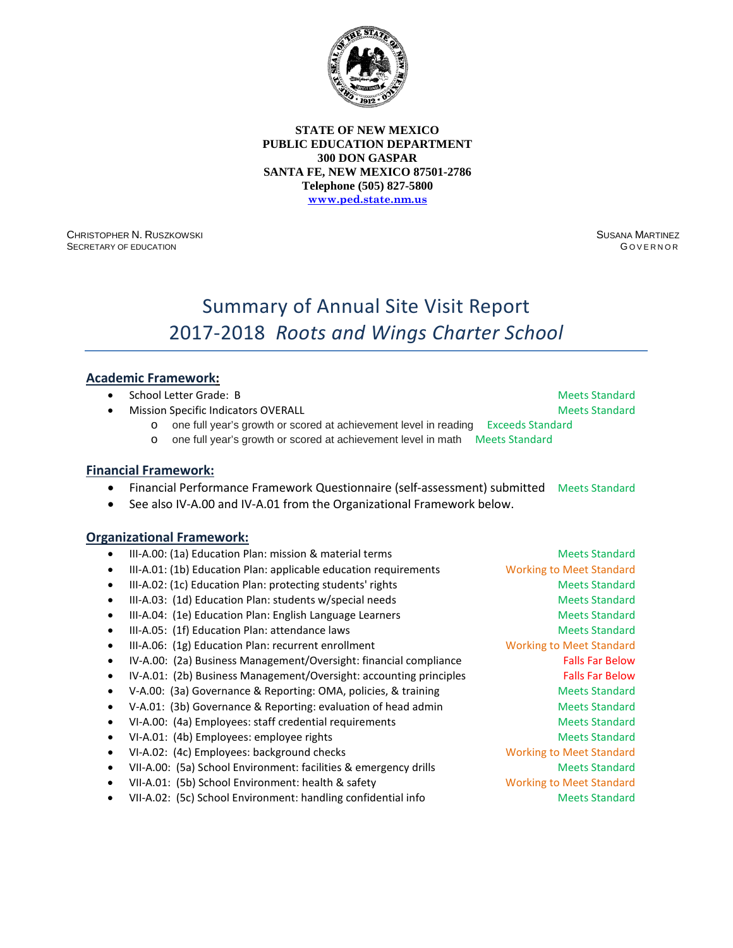

CHRISTOPHER N. RUSZKOWSKI SECRETARY OF EDUCATION

SUSANA MARTINEZ G OVERNOR

# Summary of Annual Site Visit Report 2017-2018 *Roots and Wings Charter School*

### **Academic Framework:**

- **School Letter Grade: B Meets Standard School Letter Grade: B** Meets Standard
- **Mission Specific Indicators OVERALL Meets Standard Meets Standard Meets Standard**

- o one full year's growth or scored at achievement level in reading Exceeds Standard
- o one full year's growth or scored at achievement level in math Meets Standard

#### **Financial Framework:**

- Financial Performance Framework Questionnaire (self-assessment) submitted Meets Standard
- See also IV-A.00 and IV-A.01 from the Organizational Framework below.

#### **Organizational Framework:**

III-A.00: (1a) Education Plan: mission & material terms Meets Standard Meets Standard • III-A.01: (1b) Education Plan: applicable education requirements Working to Meet Standard III-A.02: (1c) Education Plan: protecting students' rights Meets Standard Meets Standard III-A.03: (1d) Education Plan: students w/special needs Meets Standard Meets Standard • III-A.04: (1e) Education Plan: English Language Learners and Meets Standard • III-A.05: (1f) Education Plan: attendance laws Meets Standard Meets Standard • III-A.06: (1g) Education Plan: recurrent enrollment Working to Meet Standard IV-A.00: (2a) Business Management/Oversight: financial compliance Falls Far Below IV-A.01: (2b) Business Management/Oversight: accounting principles Falls Far Below • V-A.00: (3a) Governance & Reporting: OMA, policies, & training Meets Standard • V-A.01: (3b) Governance & Reporting: evaluation of head admin Meets Standard • VI-A.00: (4a) Employees: staff credential requirements and a meets Standard • VI-A.01: (4b) Employees: employee rights Meets Standard • VI-A.02: (4c) Employees: background checks Working to Meet Standard • VII-A.00: (5a) School Environment: facilities & emergency drills Meets Standard • VII-A.01: (5b) School Environment: health & safety Working to Meet Standard • VII-A.02: (5c) School Environment: handling confidential info Meets Standard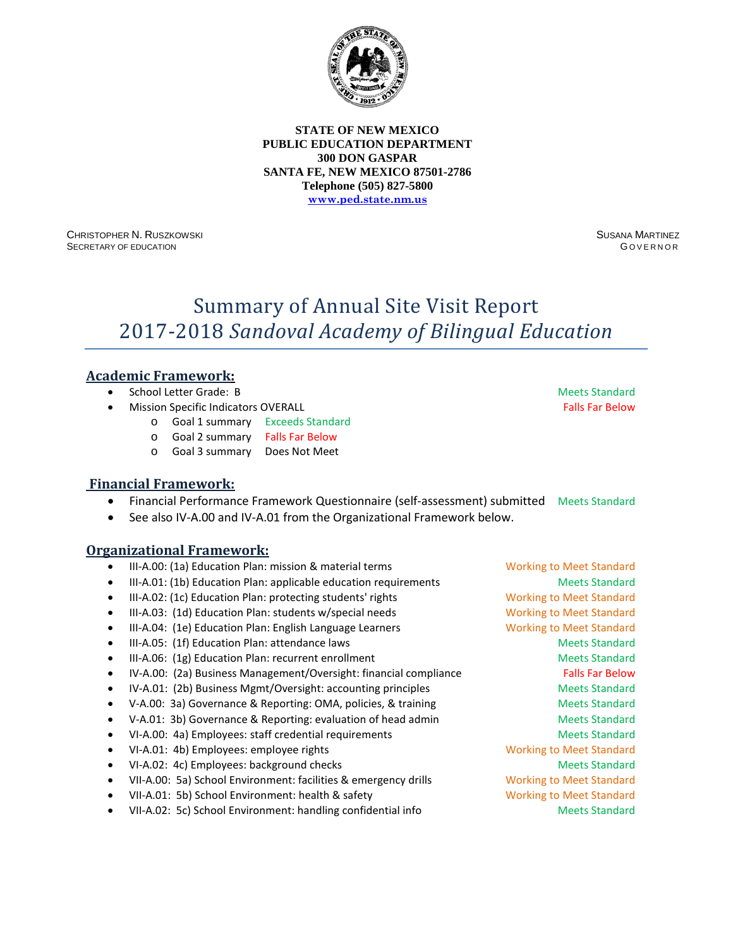

CHRISTOPHER N. RUSZKOWSKI SECRETARY OF EDUCATION

SUSANA MARTINEZ G OVERNOR

# Summary of Annual Site Visit Report 2017-2018 *Sandoval Academy of Bilingual Education*

# **Academic Framework:**

- School Letter Grade: B Meets Standard
- **Mission Specific Indicators OVERALL Falls Factors Falls Far Below Falls Far Below** 
	- o Goal 1 summary Exceeds Standard
	- o Goal 2 summary Falls Far Below
	- o Goal 3 summary Does Not Meet

#### **Financial Framework:**

- Financial Performance Framework Questionnaire (self-assessment) submitted Meets Standard
- See also IV-A.00 and IV-A.01 from the Organizational Framework below.

- III-A.00: (1a) Education Plan: mission & material terms Working to Meet Standard
- III-A.01: (1b) Education Plan: applicable education requirements Meets Standard
- III-A.02: (1c) Education Plan: protecting students' rights Working to Meet Standard
- III-A.03: (1d) Education Plan: students w/special needs Working to Meet Standard
- III-A.04: (1e) Education Plan: English Language Learners Working to Meet Standard
- III-A.05: (1f) Education Plan: attendance laws Meets Standard Meets Standard
- III-A.06: (1g) Education Plan: recurrent enrollment and a standard Meets Standard
- IV-A.00: (2a) Business Management/Oversight: financial compliance Falls Far Below
- IV-A.01: (2b) Business Mgmt/Oversight: accounting principles Meets Standard
- V-A.00: 3a) Governance & Reporting: OMA, policies, & training Meets Standard
- V-A.01: 3b) Governance & Reporting: evaluation of head admin Meets Standard
- VI-A.00: 4a) Employees: staff credential requirements and a meets Standard
- VI-A.01: 4b) Employees: employee rights Working to Meet Standard
- VI-A.02: 4c) Employees: background checks Meets Standard Meets Standard
- VII-A.00: 5a) School Environment: facilities & emergency drills Working to Meet Standard
- VII-A.01: 5b) School Environment: health & safety Working to Meet Standard
- VII-A.02: 5c) School Environment: handling confidential info Meets Standard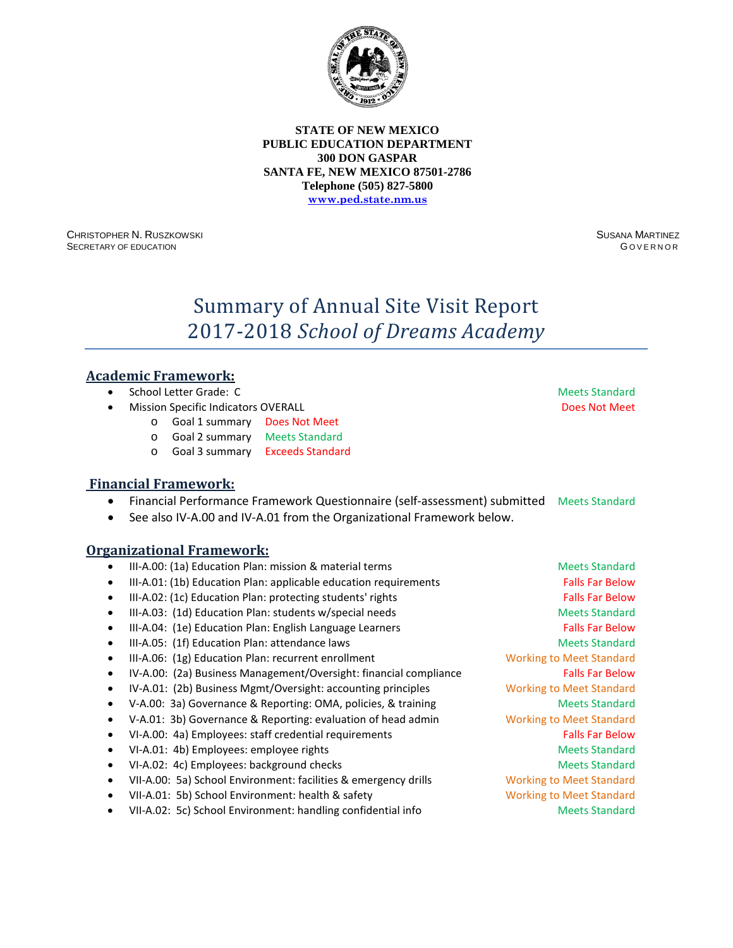

CHRISTOPHER N. RUSZKOWSKI SECRETARY OF EDUCATION

SUSANA MARTINEZ G OVERNOR

# Summary of Annual Site Visit Report 2017-2018 *School of Dreams Academy*

### **Academic Framework:**

- School Letter Grade: C Meets Standard
- **Mission Specific Indicators OVERALL Access According to Access According to Access Not Meet** Does Not Meet
	- o Goal 1 summary Does Not Meet
	- o Goal 2 summary Meets Standard
	- o Goal 3 summary Exceeds Standard

### **Financial Framework:**

- Financial Performance Framework Questionnaire (self-assessment) submitted Meets Standard
- See also IV-A.00 and IV-A.01 from the Organizational Framework below.

- III-A.00: (1a) Education Plan: mission & material terms Meets Standard Meets Standard
- III-A.01: (1b) Education Plan: applicable education requirements Falls Far Below
- III-A.02: (1c) Education Plan: protecting students' rights Falls Far Below
- III-A.03: (1d) Education Plan: students w/special needs Meets Standard Meets Standard
- III-A.04: (1e) Education Plan: English Language Learners Falls Far Below
- III-A.05: (1f) Education Plan: attendance laws Meets Standard Meets Standard
- III-A.06: (1g) Education Plan: recurrent enrollment Working to Meet Standard
- IV-A.00: (2a) Business Management/Oversight: financial compliance Falls Far Below
- IV-A.01: (2b) Business Mgmt/Oversight: accounting principles Working to Meet Standard
- V-A.00: 3a) Governance & Reporting: OMA, policies, & training Meets Standard
- V-A.01: 3b) Governance & Reporting: evaluation of head admin Working to Meet Standard
- VI-A.00: 4a) Employees: staff credential requirements Falls Far Below
- VI-A.01: 4b) Employees: employee rights Meets Standard Meets Standard
- VI-A.02: 4c) Employees: background checks Meets Standard Meets Standard
- VII-A.00: 5a) School Environment: facilities & emergency drills Working to Meet Standard
- VII-A.01: 5b) School Environment: health & safety Working to Meet Standard
- VII-A.02: 5c) School Environment: handling confidential info Meets Standard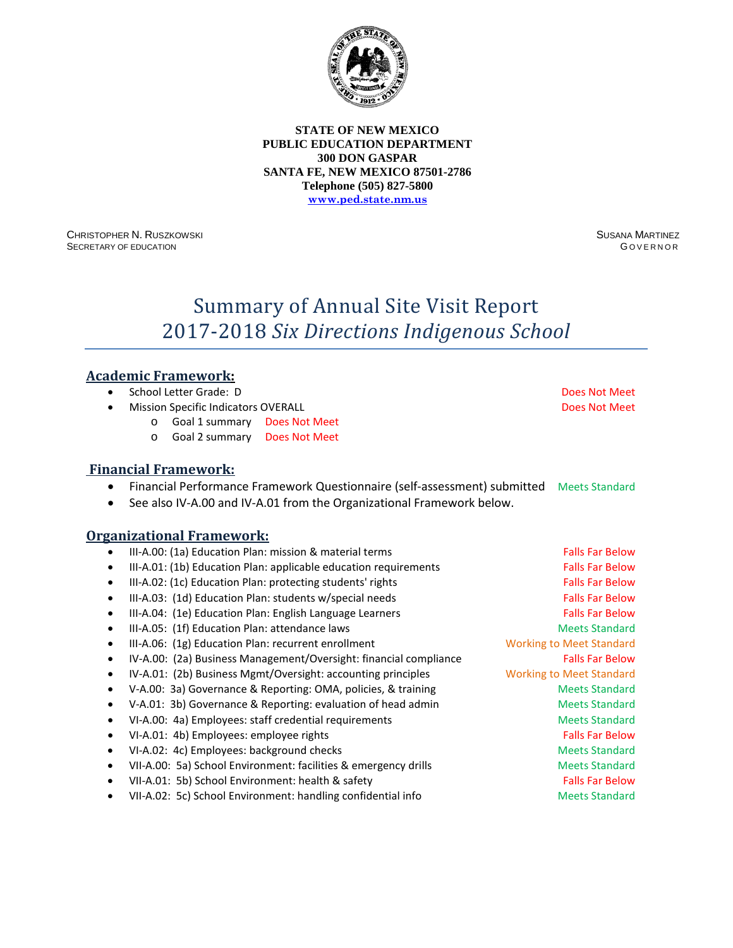

CHRISTOPHER N. RUSZKOWSKI SECRETARY OF EDUCATION

SUSANA MARTINEZ **GOVERNOR** 

# Summary of Annual Site Visit Report 2017-2018 *Six Directions Indigenous School*

### **Academic Framework:**

- School Letter Grade: D Does Not Meet
- **Mission Specific Indicators OVERALL Access According to Access According Control OVERALL Does Not Meet** 
	- o Goal 1 summary Does Not Meet
	- o Goal 2 summary Does Not Meet

# **Financial Framework:**

- Financial Performance Framework Questionnaire (self-assessment) submitted Meets Standard
- See also IV-A.00 and IV-A.01 from the Organizational Framework below.

| $\bullet$ | III-A.00: (1a) Education Plan: mission & material terms           | <b>Falls Far Below</b>          |
|-----------|-------------------------------------------------------------------|---------------------------------|
| ٠         | III-A.01: (1b) Education Plan: applicable education requirements  | <b>Falls Far Below</b>          |
| $\bullet$ | III-A.02: (1c) Education Plan: protecting students' rights        | <b>Falls Far Below</b>          |
| ٠         | III-A.03: (1d) Education Plan: students w/special needs           | <b>Falls Far Below</b>          |
| ٠         | III-A.04: (1e) Education Plan: English Language Learners          | <b>Falls Far Below</b>          |
| ٠         | III-A.05: (1f) Education Plan: attendance laws                    | <b>Meets Standard</b>           |
| $\bullet$ | III-A.06: (1g) Education Plan: recurrent enrollment               | <b>Working to Meet Standard</b> |
| ٠         | IV-A.00: (2a) Business Management/Oversight: financial compliance | <b>Falls Far Below</b>          |
| ٠         | IV-A.01: (2b) Business Mgmt/Oversight: accounting principles      | <b>Working to Meet Standard</b> |
| ٠         | V-A.00: 3a) Governance & Reporting: OMA, policies, & training     | <b>Meets Standard</b>           |
| ٠         | V-A.01: 3b) Governance & Reporting: evaluation of head admin      | <b>Meets Standard</b>           |
| ٠         | VI-A.00: 4a) Employees: staff credential requirements             | <b>Meets Standard</b>           |
| ٠         | VI-A.01: 4b) Employees: employee rights                           | <b>Falls Far Below</b>          |
| ٠         | VI-A.02: 4c) Employees: background checks                         | <b>Meets Standard</b>           |
| ٠         | VII-A.00: 5a) School Environment: facilities & emergency drills   | <b>Meets Standard</b>           |
| ٠         | VII-A.01: 5b) School Environment: health & safety                 | <b>Falls Far Below</b>          |
| ٠         | VII-A.02: 5c) School Environment: handling confidential info      | <b>Meets Standard</b>           |
|           |                                                                   |                                 |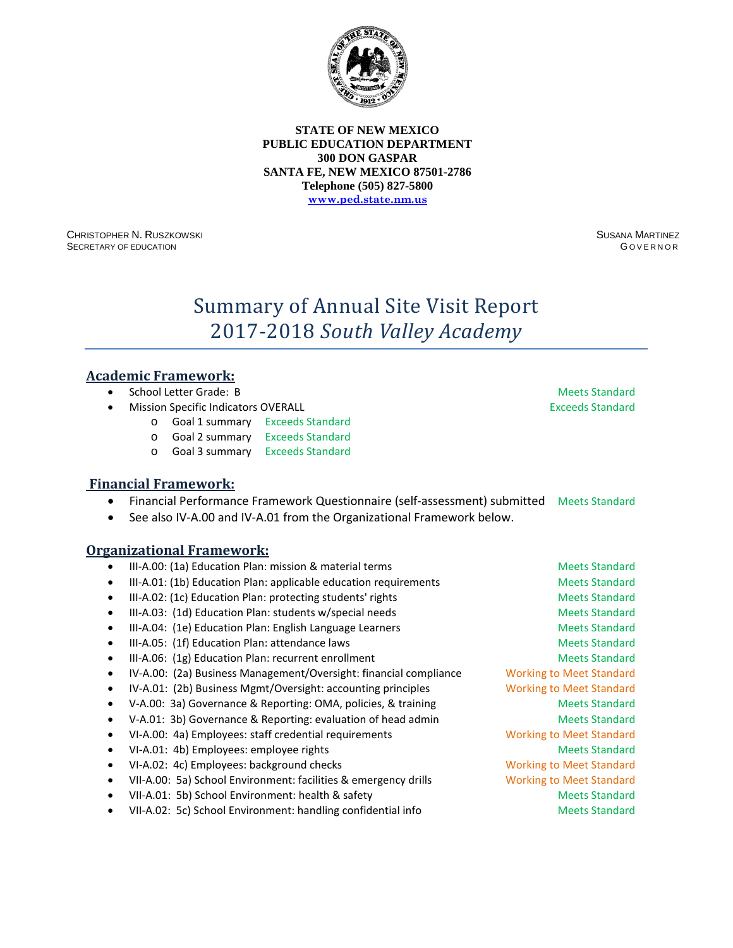

CHRISTOPHER N. RUSZKOWSKI SECRETARY OF EDUCATION

SUSANA MARTINEZ G OVERNOR

# Summary of Annual Site Visit Report 2017-2018 *South Valley Academy*

### **Academic Framework:**

- School Letter Grade: B Meets Standard
- **Mission Specific Indicators OVERALL Exceeds Standard Exceeds Standard** 
	- o Goal 1 summary Exceeds Standard
	- o Goal 2 summary Exceeds Standard
	- o Goal 3 summary Exceeds Standard

### **Financial Framework:**

- Financial Performance Framework Questionnaire (self-assessment) submitted Meets Standard
- See also IV-A.00 and IV-A.01 from the Organizational Framework below.

- III-A.00: (1a) Education Plan: mission & material terms Meets Standard Meets Standard
- III-A.01: (1b) Education Plan: applicable education requirements Meets Standard
- III-A.02: (1c) Education Plan: protecting students' rights Meets Standard Meets Standard
- III-A.03: (1d) Education Plan: students w/special needs Meets Standard Meets Standard
- III-A.04: (1e) Education Plan: English Language Learners Meets Standard Meets Standard
- III-A.05: (1f) Education Plan: attendance laws Meets Standard Meets Standard
- III-A.06: (1g) Education Plan: recurrent enrollment and a standard Meets Standard
- IV-A.00: (2a) Business Management/Oversight: financial compliance Working to Meet Standard
- IV-A.01: (2b) Business Mgmt/Oversight: accounting principles Working to Meet Standard
- V-A.00: 3a) Governance & Reporting: OMA, policies, & training Meets Standard
- V-A.01: 3b) Governance & Reporting: evaluation of head admin Meets Standard
- VI-A.00: 4a) Employees: staff credential requirements Working to Meet Standard
- VI-A.01: 4b) Employees: employee rights Meets Standard Meets Standard
- VI-A.02: 4c) Employees: background checks Working to Meet Standard
- VII-A.00: 5a) School Environment: facilities & emergency drills Working to Meet Standard
- VII-A.01: 5b) School Environment: health & safety Meets Standard Meets Standard
- VII-A.02: 5c) School Environment: handling confidential info Meets Standard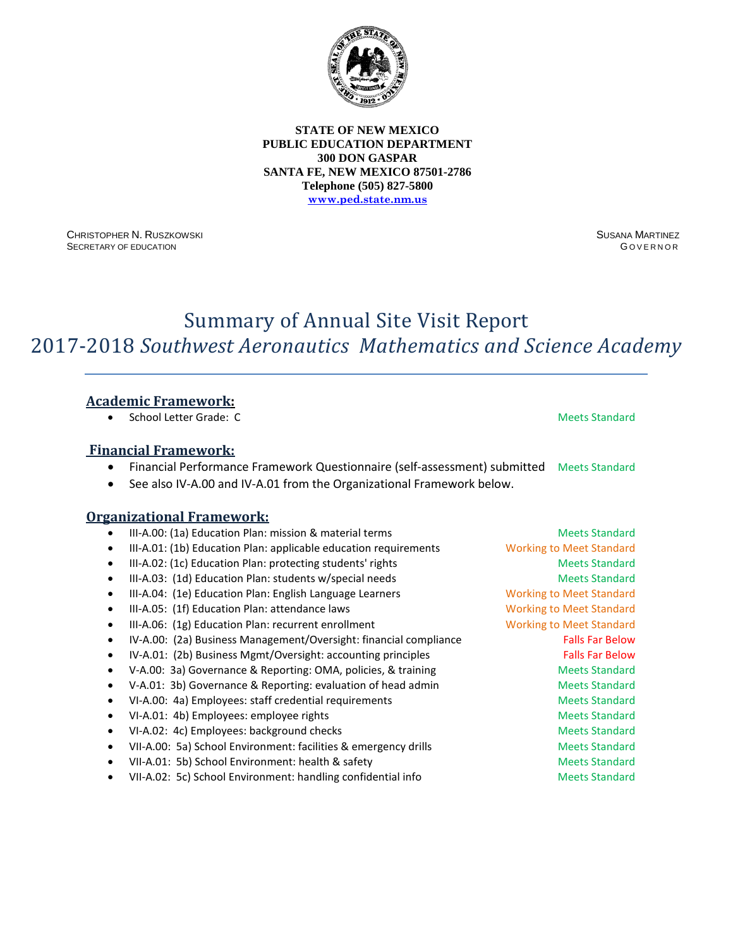

CHRISTOPHER N. RUSZKOWSKI SECRETARY OF EDUCATION

SUSANA MARTINEZ G OVERNOR

# Summary of Annual Site Visit Report 2017-2018 *Southwest Aeronautics Mathematics and Science Academy*

# **Academic Framework:**

• School Letter Grade: C Meets Standard

### **Financial Framework:**

- Financial Performance Framework Questionnaire (self-assessment) submitted Meets Standard
- See also IV-A.00 and IV-A.01 from the Organizational Framework below.

- III-A.00: (1a) Education Plan: mission & material terms Meets Standard Meets Standard
- III-A.01: (1b) Education Plan: applicable education requirements Working to Meet Standard
- III-A.02: (1c) Education Plan: protecting students' rights Meets Standard Meets Standard
- III-A.03: (1d) Education Plan: students w/special needs Meets Standard Meets Standard
- III-A.04: (1e) Education Plan: English Language Learners Working to Meet Standard
- III-A.05: (1f) Education Plan: attendance laws Working to Meet Standard
- III-A.06: (1g) Education Plan: recurrent enrollment Working to Meet Standard
- IV-A.00: (2a) Business Management/Oversight: financial compliance Falls Far Below
- IV-A.01: (2b) Business Mgmt/Oversight: accounting principles Falls Far Below
- V-A.00: 3a) Governance & Reporting: OMA, policies, & training Meets Standard
- V-A.01: 3b) Governance & Reporting: evaluation of head admin Meets Standard
- VI-A.00: 4a) Employees: staff credential requirements and a metal of Meets Standard
- VI-A.01: 4b) Employees: employee rights Meets Standard
- VI-A.02: 4c) Employees: background checks Meets Standard Meets Standard
- VII-A.00: 5a) School Environment: facilities & emergency drills Meets Standard
- VII-A.01: 5b) School Environment: health & safety Meets Standard Meets Standard
- VII-A.02: 5c) School Environment: handling confidential info Meets Standard
-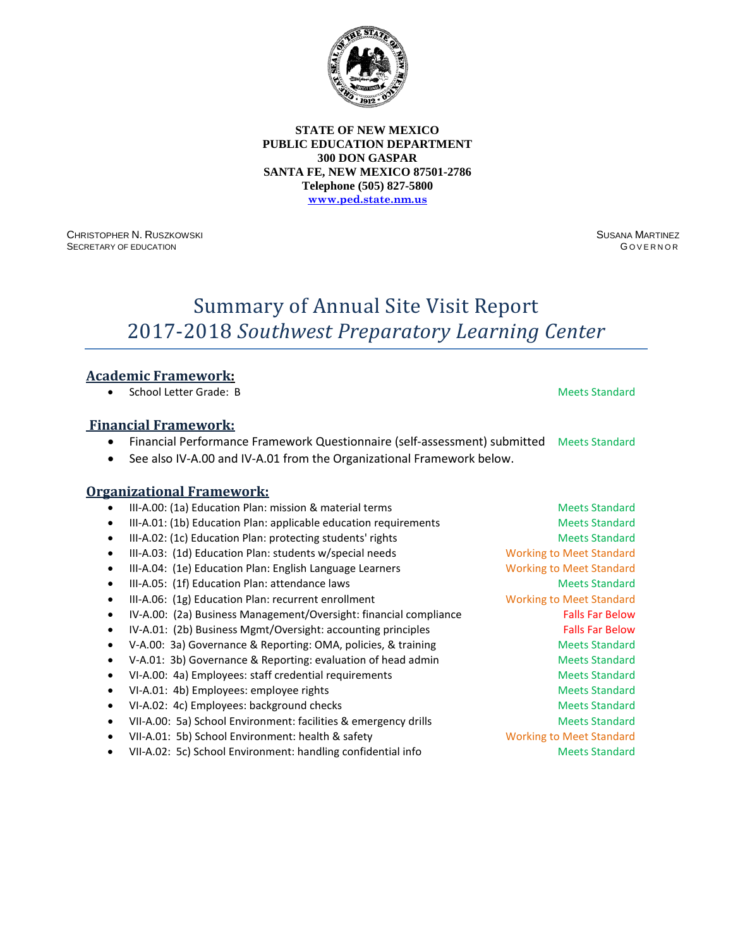

CHRISTOPHER N. RUSZKOWSKI SECRETARY OF EDUCATION

SUSANA MARTINEZ **GOVERNOR** 

# Summary of Annual Site Visit Report 2017-2018 *Southwest Preparatory Learning Center*

### **Academic Framework:**

• School Letter Grade: B Meets Standard

### **Financial Framework:**

- Financial Performance Framework Questionnaire (self-assessment) submitted Meets Standard
- See also IV-A.00 and IV-A.01 from the Organizational Framework below.

| $\bullet$ | III-A.00: (1a) Education Plan: mission & material terms           | <b>Meets Standard</b>           |
|-----------|-------------------------------------------------------------------|---------------------------------|
| ٠         | III-A.01: (1b) Education Plan: applicable education requirements  | <b>Meets Standard</b>           |
| ٠         | III-A.02: (1c) Education Plan: protecting students' rights        | <b>Meets Standard</b>           |
|           | III-A.03: (1d) Education Plan: students w/special needs           | <b>Working to Meet Standard</b> |
|           | III-A.04: (1e) Education Plan: English Language Learners          | <b>Working to Meet Standard</b> |
|           | III-A.05: (1f) Education Plan: attendance laws                    | <b>Meets Standard</b>           |
| ٠         | III-A.06: (1g) Education Plan: recurrent enrollment               | <b>Working to Meet Standard</b> |
|           | IV-A.00: (2a) Business Management/Oversight: financial compliance | <b>Falls Far Below</b>          |
|           | IV-A.01: (2b) Business Mgmt/Oversight: accounting principles      | <b>Falls Far Below</b>          |
| ٠         | V-A.00: 3a) Governance & Reporting: OMA, policies, & training     | <b>Meets Standard</b>           |
|           | V-A.01: 3b) Governance & Reporting: evaluation of head admin      | <b>Meets Standard</b>           |
|           | VI-A.00: 4a) Employees: staff credential requirements             | <b>Meets Standard</b>           |
|           | VI-A.01: 4b) Employees: employee rights                           | <b>Meets Standard</b>           |
|           | VI-A.02: 4c) Employees: background checks                         | <b>Meets Standard</b>           |
|           | VII-A.00: 5a) School Environment: facilities & emergency drills   | <b>Meets Standard</b>           |
|           | VII-A.01: 5b) School Environment: health & safety                 | <b>Working to Meet Standard</b> |
| ٠         | VII-A.02: 5c) School Environment: handling confidential info      | <b>Meets Standard</b>           |
|           |                                                                   |                                 |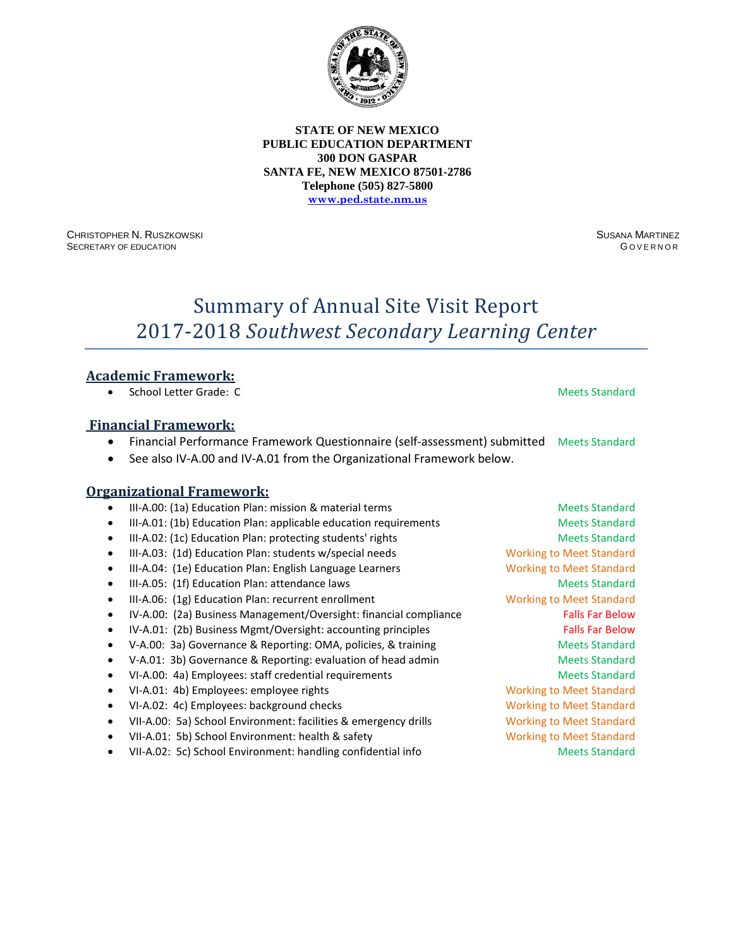

CHRISTOPHER N. RUSZKOWSKI SECRETARY OF EDUCATION

SUSANA MARTINEZ G OVERNOR

# Summary of Annual Site Visit Report 2017-2018 *Southwest Secondary Learning Center*

### **Academic Framework:**

• School Letter Grade: C Meets Standard

### **Financial Framework:**

- Financial Performance Framework Questionnaire (self-assessment) submitted Meets Standard
- See also IV-A.00 and IV-A.01 from the Organizational Framework below.

### **Organizational Framework:**

III-A.00: (1a) Education Plan: mission & material terms Meets Standard Meets Standard III-A.01: (1b) Education Plan: applicable education requirements Meets Standard III-A.02: (1c) Education Plan: protecting students' rights Meets Standard Meets Standard III-A.03: (1d) Education Plan: students w/special needs Working to Meet Standard • III-A.04: (1e) Education Plan: English Language Learners Working to Meet Standard III-A.05: (1f) Education Plan: attendance laws Meets Standard Meets Standard • III-A.06: (1g) Education Plan: recurrent enrollment Working to Meet Standard • IV-A.00: (2a) Business Management/Oversight: financial compliance Falls Far Below • IV-A.01: (2b) Business Mgmt/Oversight: accounting principles Falls Far Below • V-A.00: 3a) Governance & Reporting: OMA, policies, & training Meets Standard V-A.01: 3b) Governance & Reporting: evaluation of head admin Meets Standard VI-A.00: 4a) Employees: staff credential requirements Meets Standard • VI-A.01: 4b) Employees: employee rights Working to Meet Standard • VI-A.02: 4c) Employees: background checks Working to Meet Standard • VII-A.00: 5a) School Environment: facilities & emergency drills Working to Meet Standard VII-A.01: 5b) School Environment: health & safety Working to Meet Standard • VII-A.02: 5c) School Environment: handling confidential info Meets Standard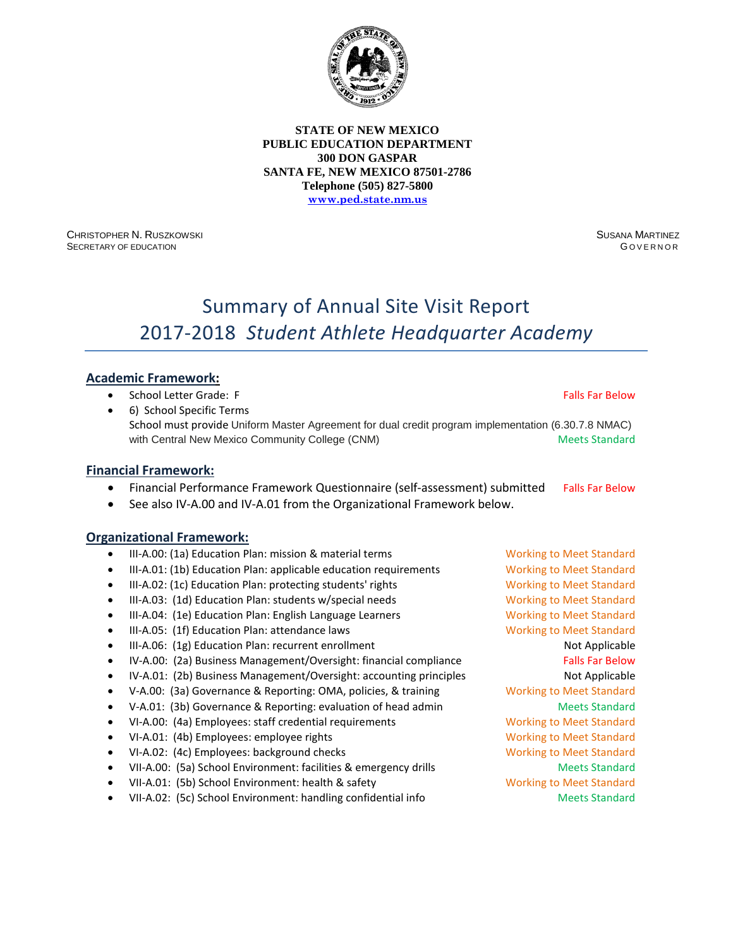

CHRISTOPHER N. RUSZKOWSKI SECRETARY OF EDUCATION

SUSANA MARTINEZ G OVERNOR

# Summary of Annual Site Visit Report 2017-2018 *Student Athlete Headquarter Academy*

### **Academic Framework:**

- School Letter Grade: F<br>• School Letter Grade: F
- 6) School Specific Terms School must provide Uniform Master Agreement for dual credit program implementation (6.30.7.8 NMAC) with Central New Mexico Community College (CNM) Meets Standard

#### **Financial Framework:**

- Financial Performance Framework Questionnaire (self-assessment) submitted Falls Far Below
- See also IV-A.00 and IV-A.01 from the Organizational Framework below.

- III-A.00: (1a) Education Plan: mission & material terms Working to Meet Standard
- III-A.01: (1b) Education Plan: applicable education requirements Working to Meet Standard
- III-A.02: (1c) Education Plan: protecting students' rights Working to Meet Standard
- III-A.03: (1d) Education Plan: students w/special needs Working to Meet Standard
- III-A.04: (1e) Education Plan: English Language Learners Working to Meet Standard
- III-A.05: (1f) Education Plan: attendance laws Working to Meet Standard
- III-A.06: (1g) Education Plan: recurrent enrollment Not Applicable
- IV-A.00: (2a) Business Management/Oversight: financial compliance Falls Far Below
- IV-A.01: (2b) Business Management/Oversight: accounting principles Not Applicable
- V-A.00: (3a) Governance & Reporting: OMA, policies, & training Working to Meet Standard
- V-A.01: (3b) Governance & Reporting: evaluation of head admin Meets Standard
- VI-A.00: (4a) Employees: staff credential requirements Working to Meet Standard
- VI-A.01: (4b) Employees: employee rights Working to Meet Standard
- VI-A.02: (4c) Employees: background checks Working to Meet Standard
- VII-A.00: (5a) School Environment: facilities & emergency drills Meets Standard
- VII-A.01: (5b) School Environment: health & safety Working to Meet Standard
- VII-A.02: (5c) School Environment: handling confidential info Meets Standard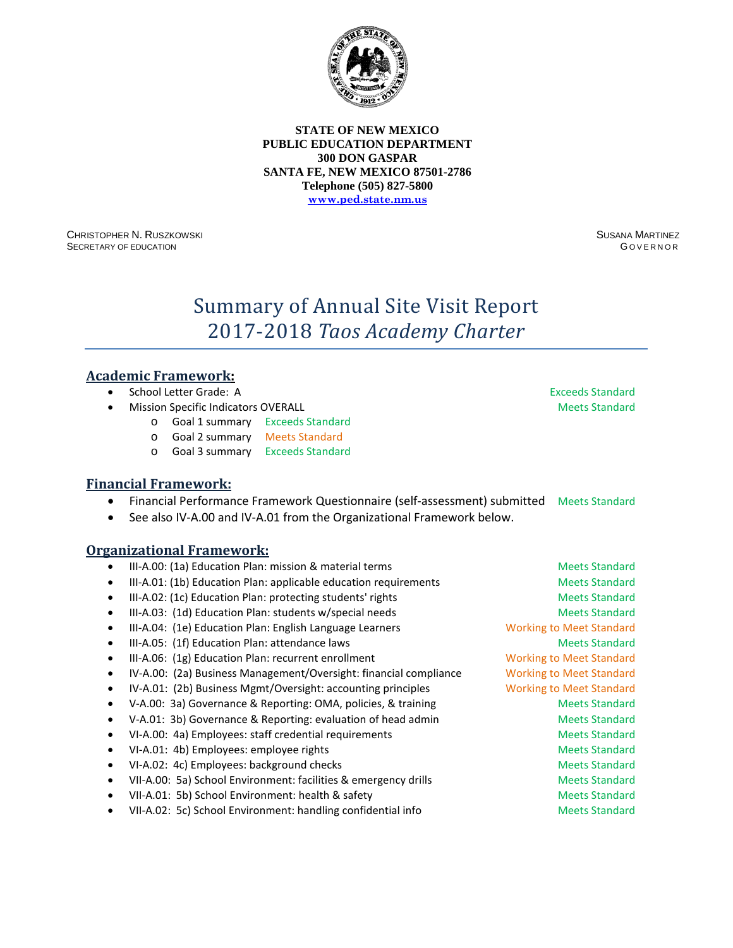

CHRISTOPHER N. RUSZKOWSKI SECRETARY OF EDUCATION

SUSANA MARTINEZ G OVERNOR

# Summary of Annual Site Visit Report 2017-2018 *Taos Academy Charter*

# **Academic Framework:**

- **School Letter Grade: A** Exceeds Standard
- **Mission Specific Indicators OVERALL Meets Standard Meets Standard Meets Standard** 
	- o Goal 1 summary Exceeds Standard
	- o Goal 2 summary Meets Standard
	- o Goal 3 summary Exceeds Standard

### **Financial Framework:**

- Financial Performance Framework Questionnaire (self-assessment) submitted Meets Standard
- See also IV-A.00 and IV-A.01 from the Organizational Framework below.

- III-A.00: (1a) Education Plan: mission & material terms Meets Standard Meets Standard
- III-A.01: (1b) Education Plan: applicable education requirements Meets Standard
- III-A.02: (1c) Education Plan: protecting students' rights Meets Standard Meets Standard
- III-A.03: (1d) Education Plan: students w/special needs Meets Standard Meets Standard
- III-A.04: (1e) Education Plan: English Language Learners Working to Meet Standard
- III-A.05: (1f) Education Plan: attendance laws Meets Standard Meets Standard
- III-A.06: (1g) Education Plan: recurrent enrollment Working to Meet Standard
- IV-A.00: (2a) Business Management/Oversight: financial compliance Working to Meet Standard
- IV-A.01: (2b) Business Mgmt/Oversight: accounting principles Working to Meet Standard
- V-A.00: 3a) Governance & Reporting: OMA, policies, & training Meets Standard
- V-A.01: 3b) Governance & Reporting: evaluation of head admin Meets Standard
- VI-A.00: 4a) Employees: staff credential requirements and a meets Standard
- VI-A.01: 4b) Employees: employee rights Meets Standard Meets Standard
- VI-A.02: 4c) Employees: background checks Meets Standard Meets Standard
- VII-A.00: 5a) School Environment: facilities & emergency drills Meets Standard
- VII-A.01: 5b) School Environment: health & safety Meets Standard Meets Standard
- VII-A.02: 5c) School Environment: handling confidential info Meets Standard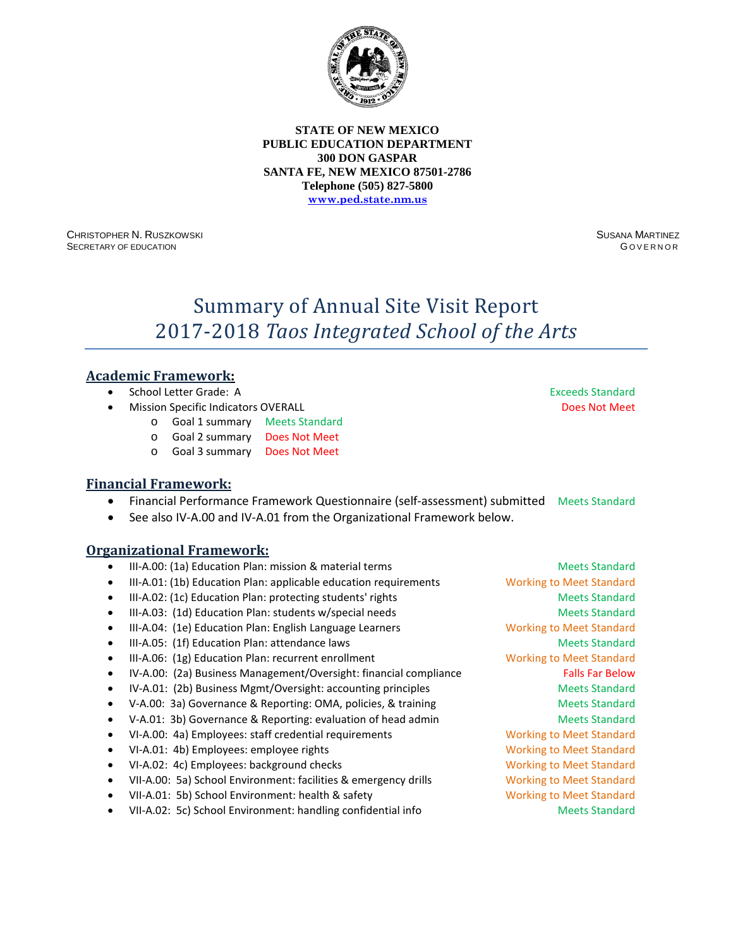

CHRISTOPHER N. RUSZKOWSKI SECRETARY OF EDUCATION

SUSANA MARTINEZ G OVERNOR

# Summary of Annual Site Visit Report 2017-2018 *Taos Integrated School of the Arts*

# **Academic Framework:**

- School Letter Grade: A Exceeds Standard
- **Mission Specific Indicators OVERALL Access Access Access Access Access Access Access Access** Does Not Meet
	- o Goal 1 summary Meets Standard
	- o Goal 2 summary Does Not Meet
	- o Goal 3 summary Does Not Meet

#### **Financial Framework:**

- Financial Performance Framework Questionnaire (self-assessment) submitted Meets Standard
- See also IV-A.00 and IV-A.01 from the Organizational Framework below.

- III-A.00: (1a) Education Plan: mission & material terms Meets Standard Meets Standard
- III-A.01: (1b) Education Plan: applicable education requirements Working to Meet Standard
- III-A.02: (1c) Education Plan: protecting students' rights Meets Standard Meets Standard
- III-A.03: (1d) Education Plan: students w/special needs Meets Standard Meets Standard
- III-A.04: (1e) Education Plan: English Language Learners Working to Meet Standard
- III-A.05: (1f) Education Plan: attendance laws Meets Standard
- III-A.06: (1g) Education Plan: recurrent enrollment Working to Meet Standard
- IV-A.00: (2a) Business Management/Oversight: financial compliance Falls Far Below
- IV-A.01: (2b) Business Mgmt/Oversight: accounting principles Meets Standard
- V-A.00: 3a) Governance & Reporting: OMA, policies, & training Meets Standard
- V-A.01: 3b) Governance & Reporting: evaluation of head admin Meets Standard
- VI-A.00: 4a) Employees: staff credential requirements Working to Meet Standard
- VI-A.01: 4b) Employees: employee rights Working to Meet Standard
- VI-A.02: 4c) Employees: background checks Working to Meet Standard
- VII-A.00: 5a) School Environment: facilities & emergency drills Working to Meet Standard
- VII-A.01: 5b) School Environment: health & safety Working to Meet Standard
- VII-A.02: 5c) School Environment: handling confidential info Meets Standard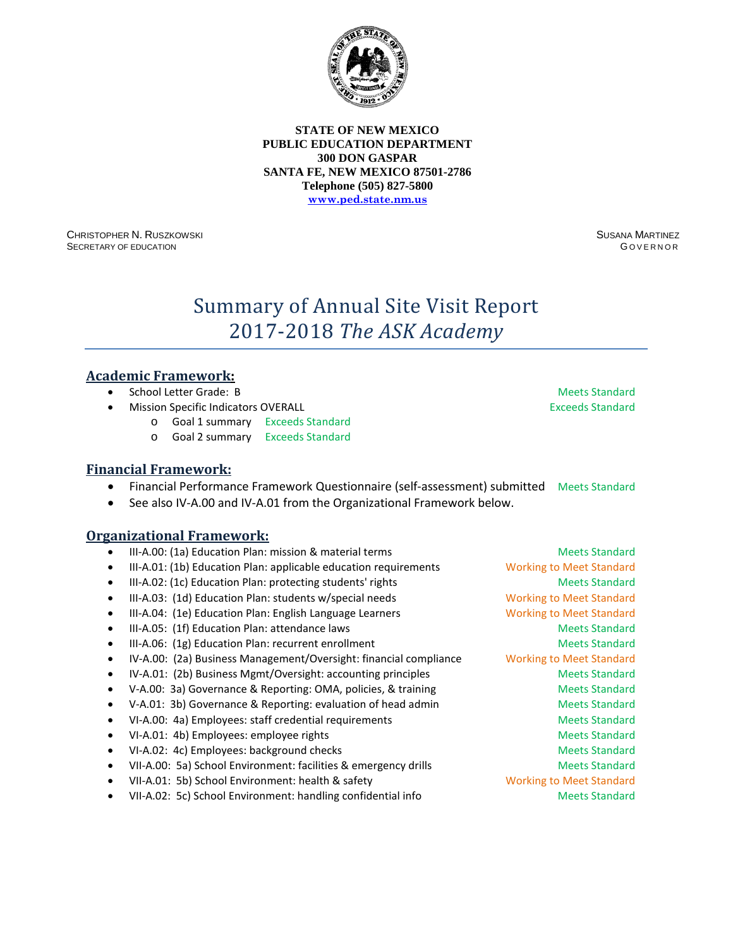

CHRISTOPHER N. RUSZKOWSKI SECRETARY OF EDUCATION

SUSANA MARTINEZ G OVERNOR

# Summary of Annual Site Visit Report 2017-2018 *The ASK Academy*

### **Academic Framework:**

- **School Letter Grade: B Meets Standard School Letter Grade: B** Meets Standard
- **Mission Specific Indicators OVERALL Exceeds Standard Exceeds Standard** 
	- o Goal 1 summary Exceeds Standard
	- o Goal 2 summary Exceeds Standard

# **Financial Framework:**

- Financial Performance Framework Questionnaire (self-assessment) submitted Meets Standard
- See also IV-A.00 and IV-A.01 from the Organizational Framework below.

- III-A.00: (1a) Education Plan: mission & material terms and meets Standard • III-A.01: (1b) Education Plan: applicable education requirements Working to Meet Standard III-A.02: (1c) Education Plan: protecting students' rights Meets Standard Meets Standard III-A.03: (1d) Education Plan: students w/special needs Working to Meet Standard • III-A.04: (1e) Education Plan: English Language Learners Working to Meet Standard • III-A.05: (1f) Education Plan: attendance laws Meets Standard Meets Standard • III-A.06: (1g) Education Plan: recurrent enrollment and a standard Meets Standard • IV-A.00: (2a) Business Management/Oversight: financial compliance Working to Meet Standard • IV-A.01: (2b) Business Mgmt/Oversight: accounting principles Meets Standard • V-A.00: 3a) Governance & Reporting: OMA, policies, & training Meets Standard V-A.01: 3b) Governance & Reporting: evaluation of head admin Meets Standard • VI-A.00: 4a) Employees: staff credential requirements and a metal of Meets Standard • VI-A.01: 4b) Employees: employee rights Meets Standard Meets Standard
- 
- VI-A.02: 4c) Employees: background checks Meets Standard Meets Standard
- VII-A.00: 5a) School Environment: facilities & emergency drills Meets Standard
- VII-A.01: 5b) School Environment: health & safety Working to Meet Standard
- VII-A.02: 5c) School Environment: handling confidential info Meets Standard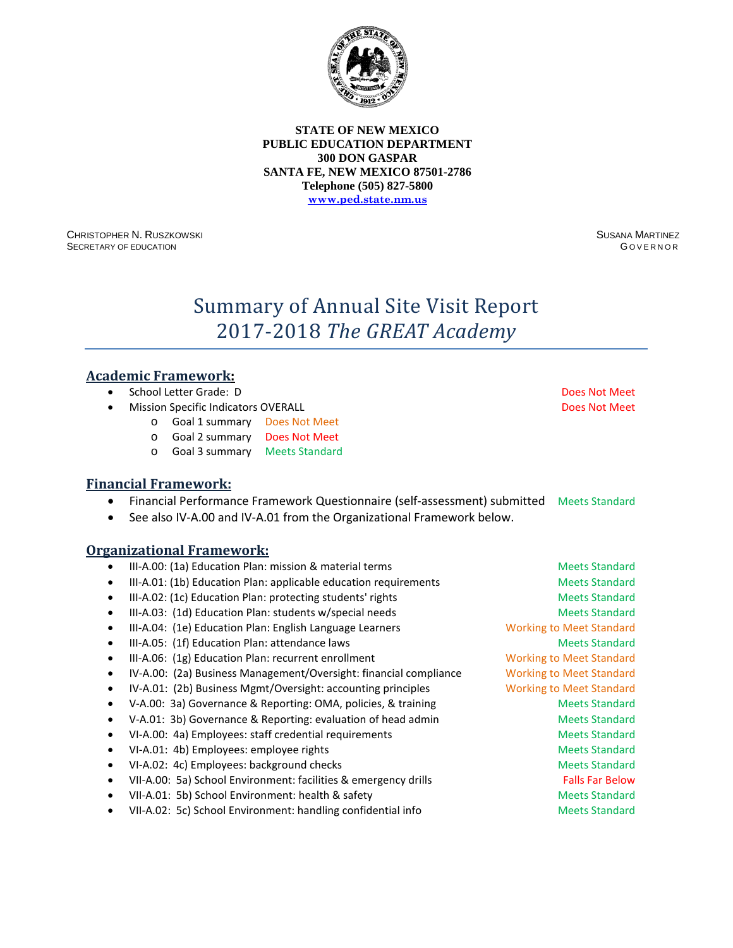

CHRISTOPHER N. RUSZKOWSKI SECRETARY OF EDUCATION

SUSANA MARTINEZ G OVERNOR

# Summary of Annual Site Visit Report 2017-2018 *The GREAT Academy*

### **Academic Framework:**

- School Letter Grade: D Does Not Meet
- **Mission Specific Indicators OVERALL And Accord Does Not Meet Does Not Meet** 
	- o Goal 1 summary Does Not Meet
	- o Goal 2 summary Does Not Meet
	- o Goal 3 summary Meets Standard

#### **Financial Framework:**

- Financial Performance Framework Questionnaire (self-assessment) submitted Meets Standard
- See also IV-A.00 and IV-A.01 from the Organizational Framework below.

- III-A.00: (1a) Education Plan: mission & material terms Meets Standard Meets Standard
- III-A.01: (1b) Education Plan: applicable education requirements Meets Standard
- III-A.02: (1c) Education Plan: protecting students' rights Meets Standard Meets Standard
- III-A.03: (1d) Education Plan: students w/special needs Meets Standard Meets Standard
- III-A.04: (1e) Education Plan: English Language Learners Working to Meet Standard
- III-A.05: (1f) Education Plan: attendance laws Meets Standard Meets Standard
- III-A.06: (1g) Education Plan: recurrent enrollment Working to Meet Standard
- IV-A.00: (2a) Business Management/Oversight: financial compliance Working to Meet Standard
- IV-A.01: (2b) Business Mgmt/Oversight: accounting principles Working to Meet Standard
- V-A.00: 3a) Governance & Reporting: OMA, policies, & training Meets Standard
- V-A.01: 3b) Governance & Reporting: evaluation of head admin Meets Standard
- VI-A.00: 4a) Employees: staff credential requirements and a meets Standard
- VI-A.01: 4b) Employees: employee rights Meets Standard Meets Standard
- VI-A.02: 4c) Employees: background checks Meets Standard Meets Standard
- VII-A.00: 5a) School Environment: facilities & emergency drills Falls Far Below
- VII-A.01: 5b) School Environment: health & safety Meets Standard Meets Standard
- VII-A.02: 5c) School Environment: handling confidential info Meets Standard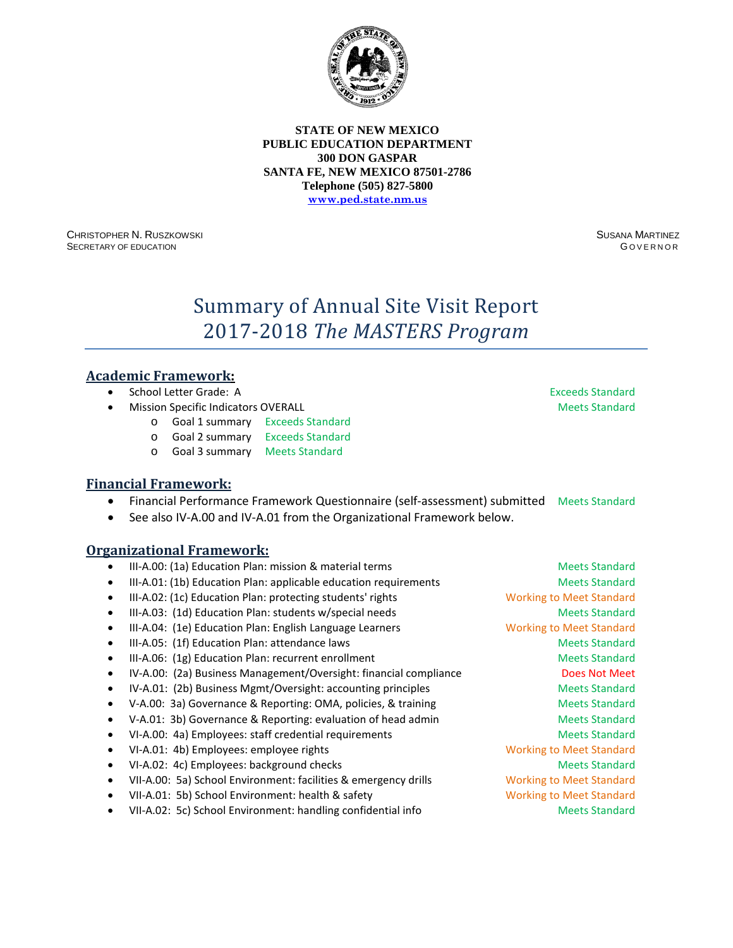

CHRISTOPHER N. RUSZKOWSKI SECRETARY OF EDUCATION

SUSANA MARTINEZ G OVERNOR

# Summary of Annual Site Visit Report 2017-2018 *The MASTERS Program*

### **Academic Framework:**

- **School Letter Grade: A** Exceeds Standard
- **Mission Specific Indicators OVERALL Meets Standard Meets Standard Meets Standard** 
	- o Goal 1 summary Exceeds Standard
	- o Goal 2 summary Exceeds Standard
	- o Goal 3 summary Meets Standard

### **Financial Framework:**

- Financial Performance Framework Questionnaire (self-assessment) submitted Meets Standard
- See also IV-A.00 and IV-A.01 from the Organizational Framework below.

- III-A.00: (1a) Education Plan: mission & material terms Meets Standard Meets Standard
- III-A.01: (1b) Education Plan: applicable education requirements Meets Standard
- III-A.02: (1c) Education Plan: protecting students' rights Working to Meet Standard
- III-A.03: (1d) Education Plan: students w/special needs Meets Standard Meets Standard
- III-A.04: (1e) Education Plan: English Language Learners Working to Meet Standard
- III-A.05: (1f) Education Plan: attendance laws Meets Standard Meets Standard
- III-A.06: (1g) Education Plan: recurrent enrollment and a standard Meets Standard
- IV-A.00: (2a) Business Management/Oversight: financial compliance Does Not Meet
- IV-A.01: (2b) Business Mgmt/Oversight: accounting principles Meets Standard
- V-A.00: 3a) Governance & Reporting: OMA, policies, & training Meets Standard
- V-A.01: 3b) Governance & Reporting: evaluation of head admin Meets Standard
- VI-A.00: 4a) Employees: staff credential requirements and a metal of Meets Standard
- VI-A.01: 4b) Employees: employee rights Working to Meet Standard
- VI-A.02: 4c) Employees: background checks Meets Standard Meets Standard
- VII-A.00: 5a) School Environment: facilities & emergency drills Working to Meet Standard
- VII-A.01: 5b) School Environment: health & safety Working to Meet Standard
- VII-A.02: 5c) School Environment: handling confidential info Meets Standard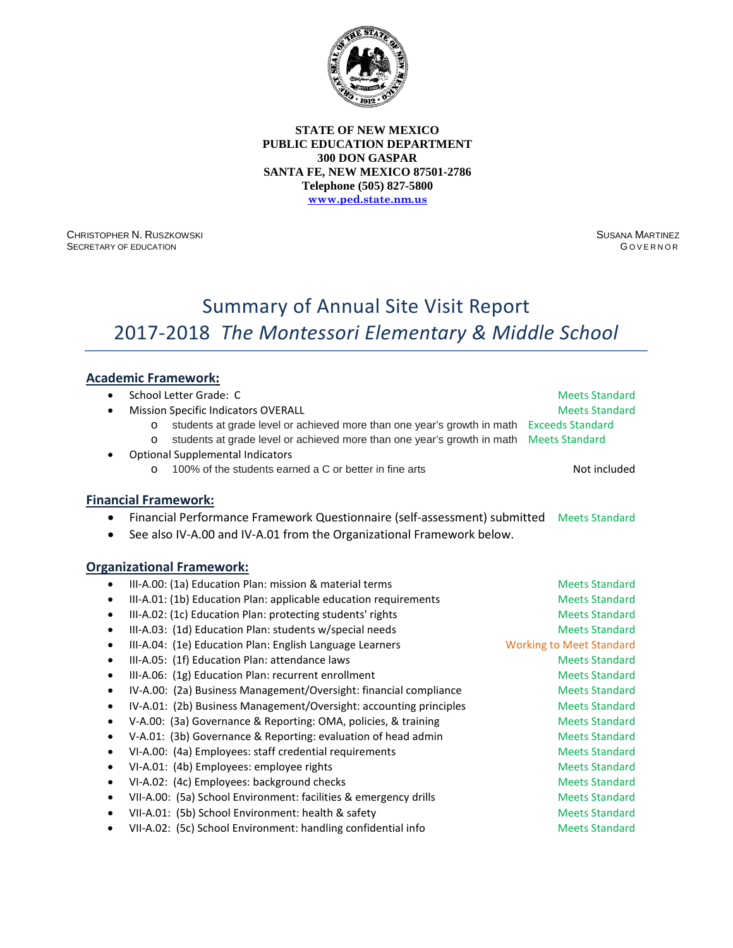

CHRISTOPHER N. RUSZKOWSKI SECRETARY OF EDUCATION

SUSANA MARTINEZ **GOVERNOR** 

# Summary of Annual Site Visit Report 2017-2018 *The Montessori Elementary & Middle School*

# **Academic Framework:**

| $\bullet$ | School Letter Grade: C                                                             | <b>Meets Standard</b>           |
|-----------|------------------------------------------------------------------------------------|---------------------------------|
| $\bullet$ | <b>Mission Specific Indicators OVERALL</b>                                         | <b>Meets Standard</b>           |
|           | students at grade level or achieved more than one year's growth in math<br>$\circ$ | <b>Exceeds Standard</b>         |
|           | students at grade level or achieved more than one year's growth in math<br>$\circ$ | <b>Meets Standard</b>           |
| ٠         | <b>Optional Supplemental Indicators</b>                                            |                                 |
|           | 100% of the students earned a C or better in fine arts<br>$\circ$                  | Not included                    |
|           | <b>Financial Framework:</b>                                                        |                                 |
| $\bullet$ | Financial Performance Framework Questionnaire (self-assessment) submitted          | <b>Meets Standard</b>           |
|           | See also IV-A.00 and IV-A.01 from the Organizational Framework below.              |                                 |
|           |                                                                                    |                                 |
|           | <b>Organizational Framework:</b>                                                   |                                 |
| $\bullet$ | III-A.00: (1a) Education Plan: mission & material terms                            | <b>Meets Standard</b>           |
| $\bullet$ | III-A.01: (1b) Education Plan: applicable education requirements                   | <b>Meets Standard</b>           |
| $\bullet$ | III-A.02: (1c) Education Plan: protecting students' rights                         | <b>Meets Standard</b>           |
| $\bullet$ | III-A.03: (1d) Education Plan: students w/special needs                            | <b>Meets Standard</b>           |
| $\bullet$ | III-A.04: (1e) Education Plan: English Language Learners                           | <b>Working to Meet Standard</b> |
| $\bullet$ | III-A.05: (1f) Education Plan: attendance laws                                     | <b>Meets Standard</b>           |
| $\bullet$ | III-A.06: (1g) Education Plan: recurrent enrollment                                | <b>Meets Standard</b>           |
| $\bullet$ | IV-A.00: (2a) Business Management/Oversight: financial compliance                  | <b>Meets Standard</b>           |
| $\bullet$ | IV-A.01: (2b) Business Management/Oversight: accounting principles                 | <b>Meets Standard</b>           |
| $\bullet$ | V-A.00: (3a) Governance & Reporting: OMA, policies, & training                     | <b>Meets Standard</b>           |
| $\bullet$ | V-A.01: (3b) Governance & Reporting: evaluation of head admin                      | <b>Meets Standard</b>           |
| $\bullet$ | VI-A.00: (4a) Employees: staff credential requirements                             | <b>Meets Standard</b>           |
| $\bullet$ | VI-A.01: (4b) Employees: employee rights                                           | <b>Meets Standard</b>           |
| $\bullet$ | VI-A.02: (4c) Employees: background checks                                         | <b>Meets Standard</b>           |
| $\bullet$ | VII-A.00: (5a) School Environment: facilities & emergency drills                   | <b>Meets Standard</b>           |
| $\bullet$ | VII-A.01: (5b) School Environment: health & safety                                 | <b>Meets Standard</b>           |
|           | VII-A.02: (5c) School Environment: handling confidential info                      | <b>Meets Standard</b>           |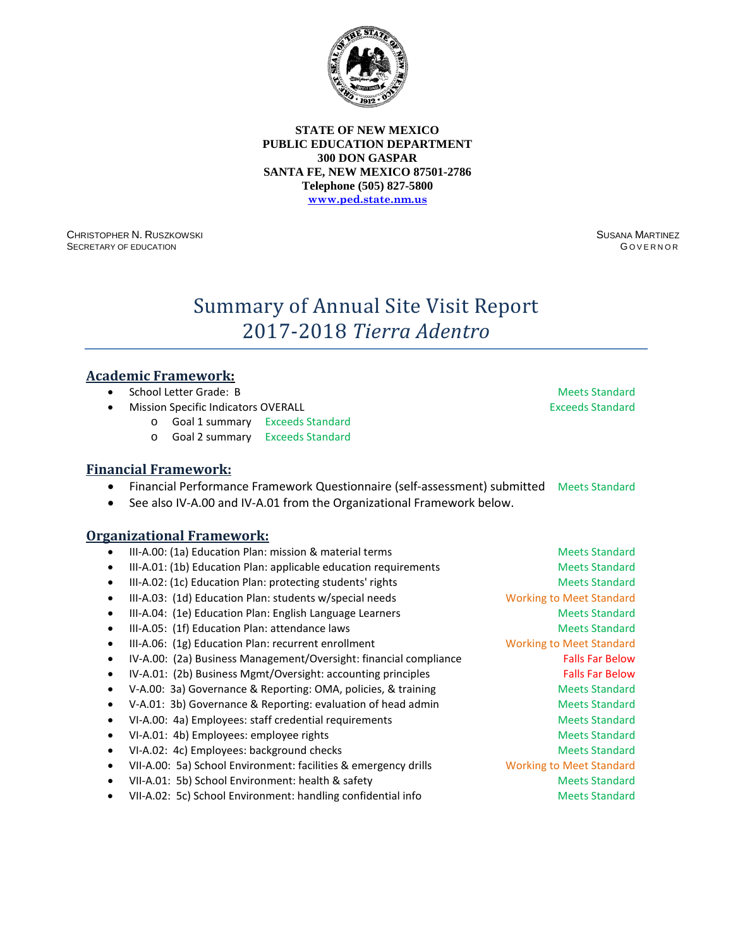

CHRISTOPHER N. RUSZKOWSKI SECRETARY OF EDUCATION

SUSANA MARTINEZ G OVERNOR

# Summary of Annual Site Visit Report 2017-2018 *Tierra Adentro*

### **Academic Framework:**

- **School Letter Grade: B Meets Standard School Letter Grade: B** Meets Standard
- **Mission Specific Indicators OVERALL Exceeds Standard Exceeds Standard** 
	- o Goal 1 summary Exceeds Standard
	- o Goal 2 summary Exceeds Standard

# **Financial Framework:**

- Financial Performance Framework Questionnaire (self-assessment) submitted Meets Standard
- See also IV-A.00 and IV-A.01 from the Organizational Framework below.

- III-A.00: (1a) Education Plan: mission & material terms and meets Standard • III-A.01: (1b) Education Plan: applicable education requirements Meets Standard III-A.02: (1c) Education Plan: protecting students' rights Meets Standard Meets Standard III-A.03: (1d) Education Plan: students w/special needs Working to Meet Standard III-A.04: (1e) Education Plan: English Language Learners Meets Standard Meets Standard • III-A.05: (1f) Education Plan: attendance laws Meets Standard Meets Standard • III-A.06: (1g) Education Plan: recurrent enrollment Working to Meet Standard • IV-A.00: (2a) Business Management/Oversight: financial compliance Falls Far Below • IV-A.01: (2b) Business Mgmt/Oversight: accounting principles Falls Far Below • V-A.00: 3a) Governance & Reporting: OMA, policies, & training Meets Standard V-A.01: 3b) Governance & Reporting: evaluation of head admin Meets Standard • VI-A.00: 4a) Employees: staff credential requirements and a metal of Meets Standard • VI-A.01: 4b) Employees: employee rights Meets Standard Meets Standard • VI-A.02: 4c) Employees: background checks Meets Standard Meets Standard • VII-A.00: 5a) School Environment: facilities & emergency drills Working to Meet Standard • VII-A.01: 5b) School Environment: health & safety Meets Standard
	- VII-A.02: 5c) School Environment: handling confidential info Meets Standard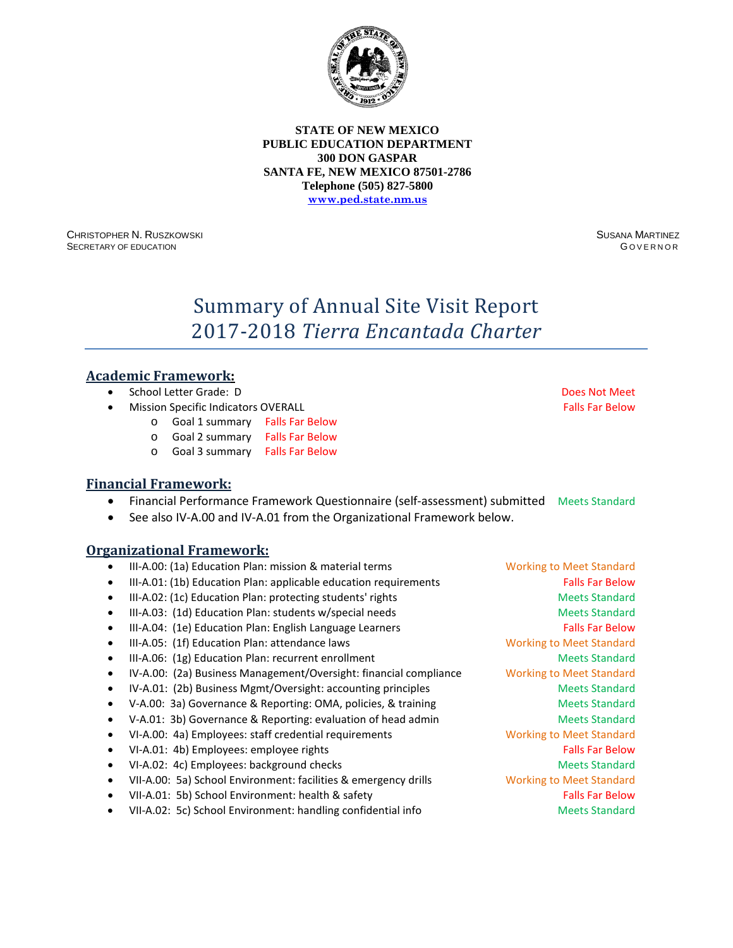

CHRISTOPHER N. RUSZKOWSKI SECRETARY OF EDUCATION

SUSANA MARTINEZ G OVERNOR

# Summary of Annual Site Visit Report 2017-2018 *Tierra Encantada Charter*

### **Academic Framework:**

- School Letter Grade: D Does Not Meet
- **Mission Specific Indicators OVERALL Falls Factors Falls Far Below Falls Far Below** 
	- o Goal 1 summary Falls Far Below
	- o Goal 2 summary Falls Far Below
	- o Goal 3 summary Falls Far Below

### **Financial Framework:**

- Financial Performance Framework Questionnaire (self-assessment) submitted Meets Standard
- See also IV-A.00 and IV-A.01 from the Organizational Framework below.

- III-A.00: (1a) Education Plan: mission & material terms Working to Meet Standard
- III-A.01: (1b) Education Plan: applicable education requirements Falls Far Below
- III-A.02: (1c) Education Plan: protecting students' rights Meets Standard Meets Standard
- III-A.03: (1d) Education Plan: students w/special needs Meets Standard Meets Standard
- III-A.04: (1e) Education Plan: English Language Learners Falls Far Below
- III-A.05: (1f) Education Plan: attendance laws Working to Meet Standard
- III-A.06: (1g) Education Plan: recurrent enrollment and a standard Meets Standard
- IV-A.00: (2a) Business Management/Oversight: financial compliance Working to Meet Standard
- IV-A.01: (2b) Business Mgmt/Oversight: accounting principles Meets Standard
- V-A.00: 3a) Governance & Reporting: OMA, policies, & training Meets Standard
- V-A.01: 3b) Governance & Reporting: evaluation of head admin Meets Standard
- VI-A.00: 4a) Employees: staff credential requirements Working to Meet Standard
- VI-A.01: 4b) Employees: employee rights Falls Far Below Falls Far Below
- VI-A.02: 4c) Employees: background checks Meets Standard Meets Standard
- VII-A.00: 5a) School Environment: facilities & emergency drills Working to Meet Standard
- VII-A.01: 5b) School Environment: health & safety Falls Far Below Falls Far Below
- VII-A.02: 5c) School Environment: handling confidential info Meets Standard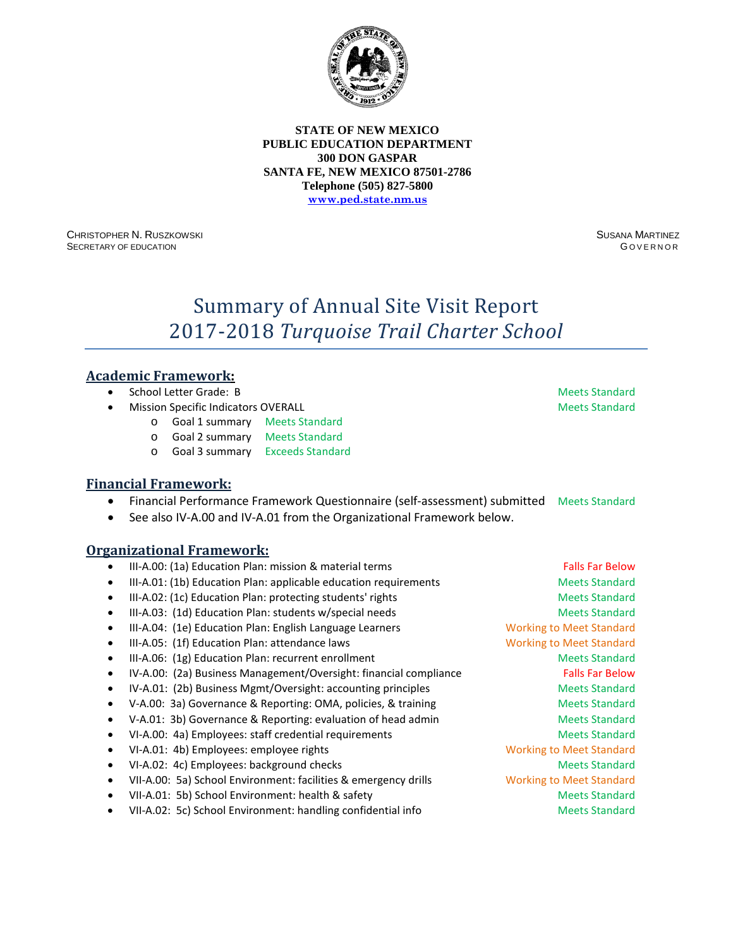

CHRISTOPHER N. RUSZKOWSKI SECRETARY OF EDUCATION

SUSANA MARTINEZ G OVERNOR

# Summary of Annual Site Visit Report 2017-2018 *Turquoise Trail Charter School*

### **Academic Framework:**

- School Letter Grade: B Meets Standard
- **Mission Specific Indicators OVERALL Meets Standard Meets Standard Meets Standard** 
	- o Goal 1 summary Meets Standard
	- o Goal 2 summary Meets Standard
	- o Goal 3 summary Exceeds Standard

### **Financial Framework:**

- Financial Performance Framework Questionnaire (self-assessment) submitted Meets Standard
- See also IV-A.00 and IV-A.01 from the Organizational Framework below.

- III-A.00: (1a) Education Plan: mission & material terms Falls Far Below Falls Far Below
- III-A.01: (1b) Education Plan: applicable education requirements Meets Standard
- III-A.02: (1c) Education Plan: protecting students' rights Meets Standard Meets Standard
- III-A.03: (1d) Education Plan: students w/special needs Meets Standard Meets Standard
- III-A.04: (1e) Education Plan: English Language Learners Working to Meet Standard
- III-A.05: (1f) Education Plan: attendance laws Working to Meet Standard
- III-A.06: (1g) Education Plan: recurrent enrollment and a series of the Meets Standard
- IV-A.00: (2a) Business Management/Oversight: financial compliance Falls Far Below
- IV-A.01: (2b) Business Mgmt/Oversight: accounting principles Meets Standard
- V-A.00: 3a) Governance & Reporting: OMA, policies, & training Meets Standard
- V-A.01: 3b) Governance & Reporting: evaluation of head admin Meets Standard
- VI-A.00: 4a) Employees: staff credential requirements and a metal of Meets Standard
- VI-A.01: 4b) Employees: employee rights Working to Meet Standard
- VI-A.02: 4c) Employees: background checks Meets Standard Meets Standard
- VII-A.00: 5a) School Environment: facilities & emergency drills Working to Meet Standard
- VII-A.01: 5b) School Environment: health & safety Meets Standard Meets Standard
- VII-A.02: 5c) School Environment: handling confidential info Meets Standard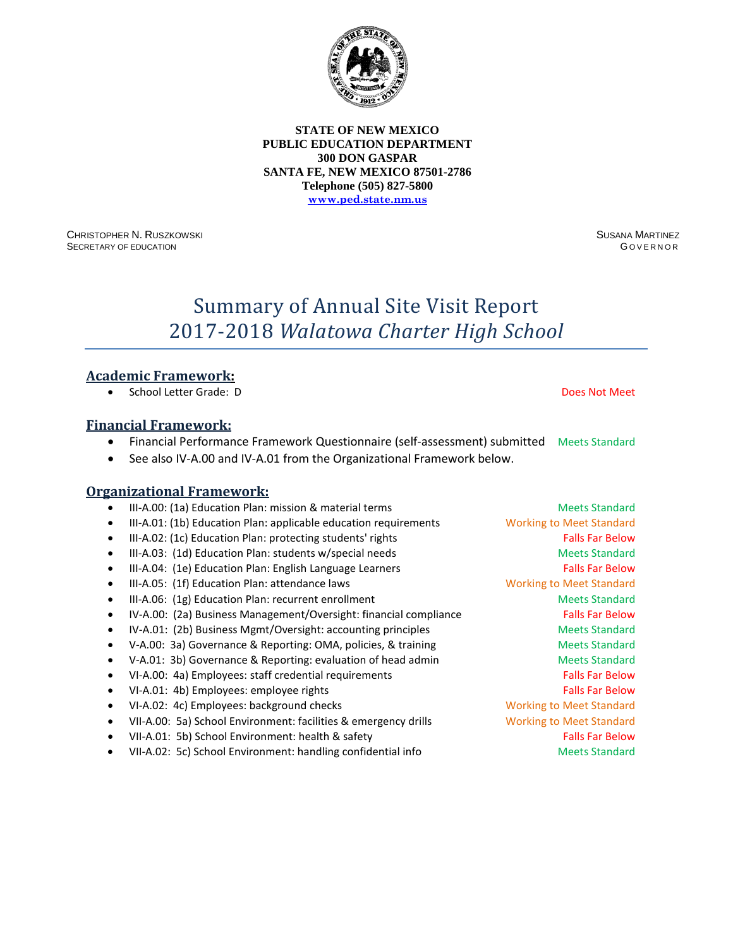CHRISTOPHER N. RUSZKOWSKI SECRETARY OF EDUCATION

SUSANA MARTINEZ **GOVERNOR** 

# Summary of Annual Site Visit Report 2017-2018 *Walatowa Charter High School*

### **Academic Framework:**

• School Letter Grade: D Does Not Meet

### **Financial Framework:**

- Financial Performance Framework Questionnaire (self-assessment) submitted Meets Standard
- See also IV-A.00 and IV-A.01 from the Organizational Framework below.

| ٠         | III-A.00: (1a) Education Plan: mission & material terms           | <b>Meets Standard</b>           |
|-----------|-------------------------------------------------------------------|---------------------------------|
| ٠         | III-A.01: (1b) Education Plan: applicable education requirements  | <b>Working to Meet Standard</b> |
| $\bullet$ | III-A.02: (1c) Education Plan: protecting students' rights        | <b>Falls Far Below</b>          |
| ٠         | III-A.03: (1d) Education Plan: students w/special needs           | <b>Meets Standard</b>           |
| $\bullet$ | III-A.04: (1e) Education Plan: English Language Learners          | <b>Falls Far Below</b>          |
| ٠         | III-A.05: (1f) Education Plan: attendance laws                    | <b>Working to Meet Standard</b> |
| $\bullet$ | III-A.06: (1g) Education Plan: recurrent enrollment               | <b>Meets Standard</b>           |
| ٠         | IV-A.00: (2a) Business Management/Oversight: financial compliance | <b>Falls Far Below</b>          |
| ٠         | IV-A.01: (2b) Business Mgmt/Oversight: accounting principles      | <b>Meets Standard</b>           |
|           | V-A.00: 3a) Governance & Reporting: OMA, policies, & training     | <b>Meets Standard</b>           |
|           | V-A.01: 3b) Governance & Reporting: evaluation of head admin      | <b>Meets Standard</b>           |
| ٠         | VI-A.00: 4a) Employees: staff credential requirements             | <b>Falls Far Below</b>          |
| $\bullet$ | VI-A.01: 4b) Employees: employee rights                           | <b>Falls Far Below</b>          |
| ٠         | VI-A.02: 4c) Employees: background checks                         | <b>Working to Meet Standard</b> |
| $\bullet$ | VII-A.00: 5a) School Environment: facilities & emergency drills   | <b>Working to Meet Standard</b> |
| ٠         | VII-A.01: 5b) School Environment: health & safety                 | <b>Falls Far Below</b>          |
| ٠         | VII-A.02: 5c) School Environment: handling confidential info      | <b>Meets Standard</b>           |
|           |                                                                   |                                 |